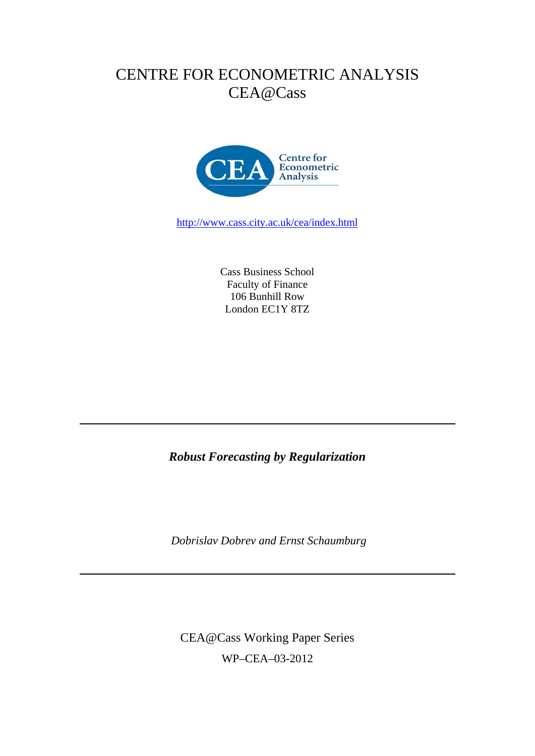# CENTRE FOR ECONOMETRIC ANALYSIS CEA@Cass



http://www.cass.city.ac.uk/cea/index.html

Cass Business School Faculty of Finance 106 Bunhill Row London EC1Y 8TZ

*Robust Forecasting by Regularization* 

 *Dobrislav Dobrev and Ernst Schaumburg* 

CEA@Cass Working Paper Series WP–CEA–03-2012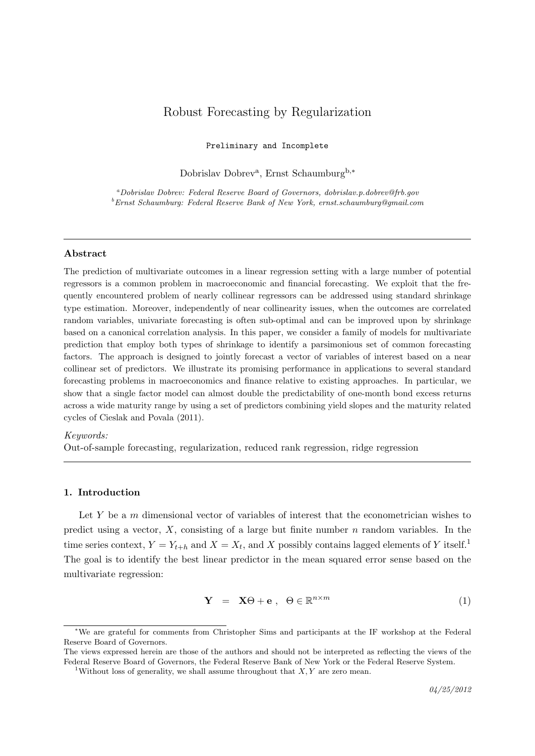# Robust Forecasting by Regularization

Preliminary and Incomplete

Dobrislav Dobrev<sup>a</sup>, Ernst Schaumburg<sup>b,\*</sup>

<sup>a</sup>Dobrislav Dobrev: Federal Reserve Board of Governors, dobrislav.p.dobrev@frb.gov  $^{b}$ Ernst Schaumburg: Federal Reserve Bank of New York, ernst.schaumburg@gmail.com

#### Abstract

The prediction of multivariate outcomes in a linear regression setting with a large number of potential regressors is a common problem in macroeconomic and financial forecasting. We exploit that the frequently encountered problem of nearly collinear regressors can be addressed using standard shrinkage type estimation. Moreover, independently of near collinearity issues, when the outcomes are correlated random variables, univariate forecasting is often sub-optimal and can be improved upon by shrinkage based on a canonical correlation analysis. In this paper, we consider a family of models for multivariate prediction that employ both types of shrinkage to identify a parsimonious set of common forecasting factors. The approach is designed to jointly forecast a vector of variables of interest based on a near collinear set of predictors. We illustrate its promising performance in applications to several standard forecasting problems in macroeconomics and finance relative to existing approaches. In particular, we show that a single factor model can almost double the predictability of one-month bond excess returns across a wide maturity range by using a set of predictors combining yield slopes and the maturity related cycles of Cieslak and Povala (2011).

#### Keywords:

Out-of-sample forecasting, regularization, reduced rank regression, ridge regression

# 1. Introduction

Let  $Y$  be a  $m$  dimensional vector of variables of interest that the econometrician wishes to predict using a vector,  $X$ , consisting of a large but finite number  $n$  random variables. In the time series context,  $Y = Y_{t+h}$  and  $X = X_t$ , and X possibly contains lagged elements of Y itself.<sup>1</sup> The goal is to identify the best linear predictor in the mean squared error sense based on the multivariate regression:

$$
\mathbf{Y} = \mathbf{X}\Theta + \mathbf{e}, \ \ \Theta \in \mathbb{R}^{n \times m} \tag{1}
$$

<sup>∗</sup>We are grateful for comments from Christopher Sims and participants at the IF workshop at the Federal Reserve Board of Governors.

The views expressed herein are those of the authors and should not be interpreted as reflecting the views of the Federal Reserve Board of Governors, the Federal Reserve Bank of New York or the Federal Reserve System.

<sup>&</sup>lt;sup>1</sup>Without loss of generality, we shall assume throughout that  $X, Y$  are zero mean.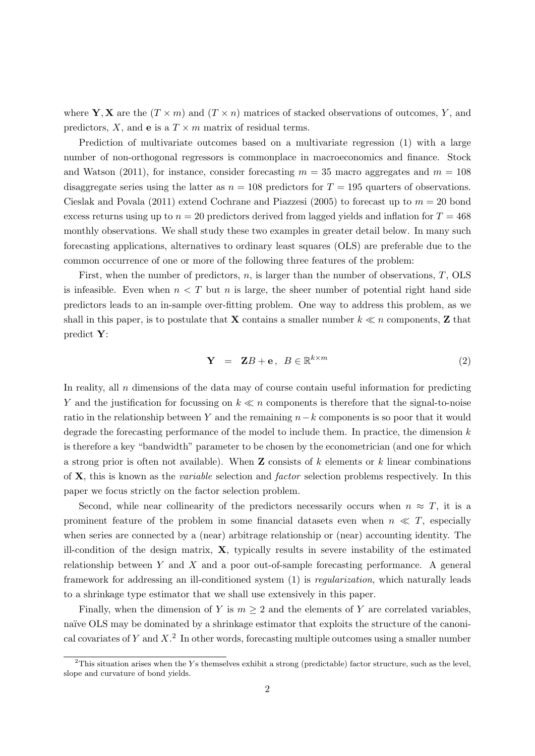where Y, X are the  $(T \times m)$  and  $(T \times n)$  matrices of stacked observations of outcomes, Y, and predictors, X, and **e** is a  $T \times m$  matrix of residual terms.

Prediction of multivariate outcomes based on a multivariate regression (1) with a large number of non-orthogonal regressors is commonplace in macroeconomics and finance. Stock and Watson (2011), for instance, consider forecasting  $m = 35$  macro aggregates and  $m = 108$ disaggregate series using the latter as  $n = 108$  predictors for  $T = 195$  quarters of observations. Cieslak and Povala (2011) extend Cochrane and Piazzesi (2005) to forecast up to  $m = 20$  bond excess returns using up to  $n = 20$  predictors derived from lagged yields and inflation for  $T = 468$ monthly observations. We shall study these two examples in greater detail below. In many such forecasting applications, alternatives to ordinary least squares (OLS) are preferable due to the common occurrence of one or more of the following three features of the problem:

First, when the number of predictors,  $n$ , is larger than the number of observations,  $T$ , OLS is infeasible. Even when  $n < T$  but n is large, the sheer number of potential right hand side predictors leads to an in-sample over-fitting problem. One way to address this problem, as we shall in this paper, is to postulate that **X** contains a smaller number  $k \ll n$  components, **Z** that predict Y:

$$
\mathbf{Y} = \mathbf{Z}B + \mathbf{e}, \ B \in \mathbb{R}^{k \times m} \tag{2}
$$

In reality, all  $n$  dimensions of the data may of course contain useful information for predicting Y and the justification for focussing on  $k \ll n$  components is therefore that the signal-to-noise ratio in the relationship between Y and the remaining  $n-k$  components is so poor that it would degrade the forecasting performance of the model to include them. In practice, the dimension  $k$ is therefore a key "bandwidth" parameter to be chosen by the econometrician (and one for which a strong prior is often not available). When  $\bf{Z}$  consists of k elements or k linear combinations of  $X$ , this is known as the *variable* selection and *factor* selection problems respectively. In this paper we focus strictly on the factor selection problem.

Second, while near collinearity of the predictors necessarily occurs when  $n \approx T$ , it is a prominent feature of the problem in some financial datasets even when  $n \ll T$ , especially when series are connected by a (near) arbitrage relationship or (near) accounting identity. The ill-condition of the design matrix,  $\mathbf{X}$ , typically results in severe instability of the estimated relationship between  $Y$  and  $X$  and a poor out-of-sample forecasting performance. A general framework for addressing an ill-conditioned system (1) is regularization, which naturally leads to a shrinkage type estimator that we shall use extensively in this paper.

Finally, when the dimension of Y is  $m \geq 2$  and the elements of Y are correlated variables, naïve OLS may be dominated by a shrinkage estimator that exploits the structure of the canonical covariates of Y and  $X$ <sup>2</sup>. In other words, forecasting multiple outcomes using a smaller number

 $2$ This situation arises when the Ys themselves exhibit a strong (predictable) factor structure, such as the level, slope and curvature of bond yields.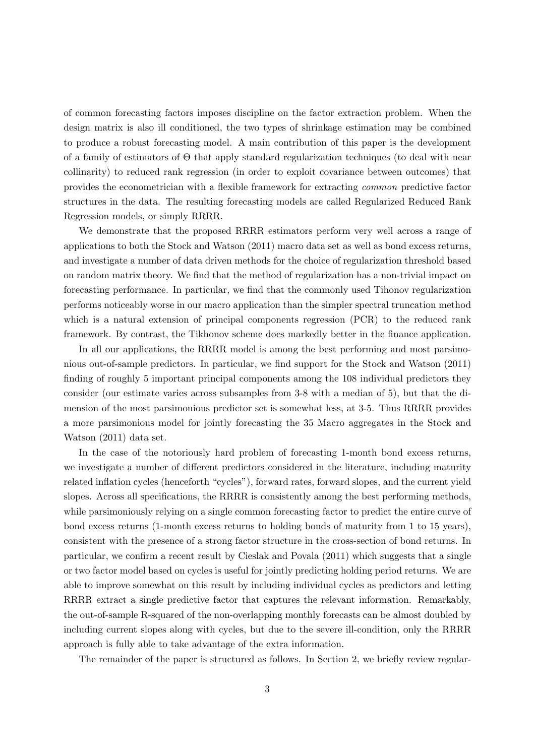of common forecasting factors imposes discipline on the factor extraction problem. When the design matrix is also ill conditioned, the two types of shrinkage estimation may be combined to produce a robust forecasting model. A main contribution of this paper is the development of a family of estimators of Θ that apply standard regularization techniques (to deal with near collinarity) to reduced rank regression (in order to exploit covariance between outcomes) that provides the econometrician with a flexible framework for extracting common predictive factor structures in the data. The resulting forecasting models are called Regularized Reduced Rank Regression models, or simply RRRR.

We demonstrate that the proposed RRRR estimators perform very well across a range of applications to both the Stock and Watson (2011) macro data set as well as bond excess returns, and investigate a number of data driven methods for the choice of regularization threshold based on random matrix theory. We find that the method of regularization has a non-trivial impact on forecasting performance. In particular, we find that the commonly used Tihonov regularization performs noticeably worse in our macro application than the simpler spectral truncation method which is a natural extension of principal components regression (PCR) to the reduced rank framework. By contrast, the Tikhonov scheme does markedly better in the finance application.

In all our applications, the RRRR model is among the best performing and most parsimonious out-of-sample predictors. In particular, we find support for the Stock and Watson (2011) finding of roughly 5 important principal components among the 108 individual predictors they consider (our estimate varies across subsamples from 3-8 with a median of 5), but that the dimension of the most parsimonious predictor set is somewhat less, at 3-5. Thus RRRR provides a more parsimonious model for jointly forecasting the 35 Macro aggregates in the Stock and Watson (2011) data set.

In the case of the notoriously hard problem of forecasting 1-month bond excess returns, we investigate a number of different predictors considered in the literature, including maturity related inflation cycles (henceforth "cycles"), forward rates, forward slopes, and the current yield slopes. Across all specifications, the RRRR is consistently among the best performing methods, while parsimoniously relying on a single common forecasting factor to predict the entire curve of bond excess returns (1-month excess returns to holding bonds of maturity from 1 to 15 years), consistent with the presence of a strong factor structure in the cross-section of bond returns. In particular, we confirm a recent result by Cieslak and Povala (2011) which suggests that a single or two factor model based on cycles is useful for jointly predicting holding period returns. We are able to improve somewhat on this result by including individual cycles as predictors and letting RRRR extract a single predictive factor that captures the relevant information. Remarkably, the out-of-sample R-squared of the non-overlapping monthly forecasts can be almost doubled by including current slopes along with cycles, but due to the severe ill-condition, only the RRRR approach is fully able to take advantage of the extra information.

The remainder of the paper is structured as follows. In Section 2, we briefly review regular-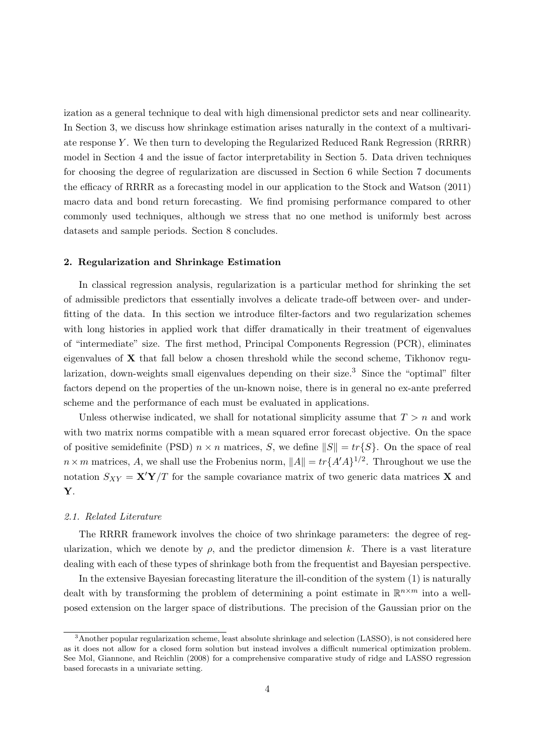ization as a general technique to deal with high dimensional predictor sets and near collinearity. In Section 3, we discuss how shrinkage estimation arises naturally in the context of a multivariate response Y . We then turn to developing the Regularized Reduced Rank Regression (RRRR) model in Section 4 and the issue of factor interpretability in Section 5. Data driven techniques for choosing the degree of regularization are discussed in Section 6 while Section 7 documents the efficacy of RRRR as a forecasting model in our application to the Stock and Watson (2011) macro data and bond return forecasting. We find promising performance compared to other commonly used techniques, although we stress that no one method is uniformly best across datasets and sample periods. Section 8 concludes.

#### 2. Regularization and Shrinkage Estimation

In classical regression analysis, regularization is a particular method for shrinking the set of admissible predictors that essentially involves a delicate trade-off between over- and underfitting of the data. In this section we introduce filter-factors and two regularization schemes with long histories in applied work that differ dramatically in their treatment of eigenvalues of "intermediate" size. The first method, Principal Components Regression (PCR), eliminates eigenvalues of X that fall below a chosen threshold while the second scheme, Tikhonov regularization, down-weights small eigenvalues depending on their size.<sup>3</sup> Since the "optimal" filter factors depend on the properties of the un-known noise, there is in general no ex-ante preferred scheme and the performance of each must be evaluated in applications.

Unless otherwise indicated, we shall for notational simplicity assume that  $T > n$  and work with two matrix norms compatible with a mean squared error forecast objective. On the space of positive semidefinite (PSD)  $n \times n$  matrices, S, we define  $||S|| = tr{S}$ . On the space of real  $n \times m$  matrices, A, we shall use the Frobenius norm,  $||A|| = tr{A'A}^{1/2}$ . Throughout we use the notation  $S_{XY} = \mathbf{X}'\mathbf{Y}/T$  for the sample covariance matrix of two generic data matrices X and Y.

# 2.1. Related Literature

The RRRR framework involves the choice of two shrinkage parameters: the degree of regularization, which we denote by  $\rho$ , and the predictor dimension k. There is a vast literature dealing with each of these types of shrinkage both from the frequentist and Bayesian perspective.

In the extensive Bayesian forecasting literature the ill-condition of the system (1) is naturally dealt with by transforming the problem of determining a point estimate in  $\mathbb{R}^{n \times m}$  into a wellposed extension on the larger space of distributions. The precision of the Gaussian prior on the

<sup>&</sup>lt;sup>3</sup>Another popular regularization scheme, least absolute shrinkage and selection (LASSO), is not considered here as it does not allow for a closed form solution but instead involves a difficult numerical optimization problem. See Mol, Giannone, and Reichlin (2008) for a comprehensive comparative study of ridge and LASSO regression based forecasts in a univariate setting.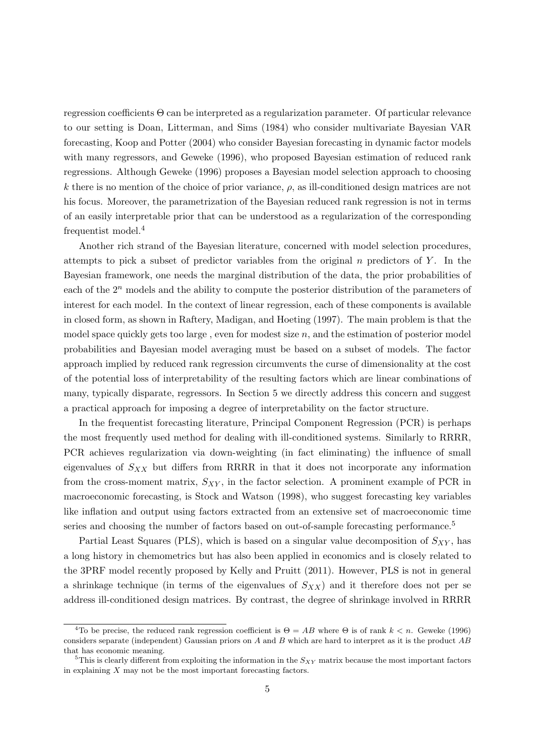regression coefficients Θ can be interpreted as a regularization parameter. Of particular relevance to our setting is Doan, Litterman, and Sims (1984) who consider multivariate Bayesian VAR forecasting, Koop and Potter (2004) who consider Bayesian forecasting in dynamic factor models with many regressors, and Geweke (1996), who proposed Bayesian estimation of reduced rank regressions. Although Geweke (1996) proposes a Bayesian model selection approach to choosing k there is no mention of the choice of prior variance,  $\rho$ , as ill-conditioned design matrices are not his focus. Moreover, the parametrization of the Bayesian reduced rank regression is not in terms of an easily interpretable prior that can be understood as a regularization of the corresponding frequentist model.<sup>4</sup>

Another rich strand of the Bayesian literature, concerned with model selection procedures, attempts to pick a subset of predictor variables from the original  $n$  predictors of  $Y$ . In the Bayesian framework, one needs the marginal distribution of the data, the prior probabilities of each of the  $2^n$  models and the ability to compute the posterior distribution of the parameters of interest for each model. In the context of linear regression, each of these components is available in closed form, as shown in Raftery, Madigan, and Hoeting (1997). The main problem is that the model space quickly gets too large, even for modest size  $n$ , and the estimation of posterior model probabilities and Bayesian model averaging must be based on a subset of models. The factor approach implied by reduced rank regression circumvents the curse of dimensionality at the cost of the potential loss of interpretability of the resulting factors which are linear combinations of many, typically disparate, regressors. In Section 5 we directly address this concern and suggest a practical approach for imposing a degree of interpretability on the factor structure.

In the frequentist forecasting literature, Principal Component Regression (PCR) is perhaps the most frequently used method for dealing with ill-conditioned systems. Similarly to RRRR, PCR achieves regularization via down-weighting (in fact eliminating) the influence of small eigenvalues of  $S_{XX}$  but differs from RRRR in that it does not incorporate any information from the cross-moment matrix,  $S_{XY}$ , in the factor selection. A prominent example of PCR in macroeconomic forecasting, is Stock and Watson (1998), who suggest forecasting key variables like inflation and output using factors extracted from an extensive set of macroeconomic time series and choosing the number of factors based on out-of-sample forecasting performance.<sup>5</sup>

Partial Least Squares (PLS), which is based on a singular value decomposition of  $S_{XY}$ , has a long history in chemometrics but has also been applied in economics and is closely related to the 3PRF model recently proposed by Kelly and Pruitt (2011). However, PLS is not in general a shrinkage technique (in terms of the eigenvalues of  $S_{XX}$ ) and it therefore does not per se address ill-conditioned design matrices. By contrast, the degree of shrinkage involved in RRRR

<sup>&</sup>lt;sup>4</sup>To be precise, the reduced rank regression coefficient is  $\Theta = AB$  where  $\Theta$  is of rank  $k < n$ . Geweke (1996) considers separate (independent) Gaussian priors on A and B which are hard to interpret as it is the product AB that has economic meaning.

<sup>&</sup>lt;sup>5</sup>This is clearly different from exploiting the information in the  $S_{XY}$  matrix because the most important factors in explaining  $X$  may not be the most important forecasting factors.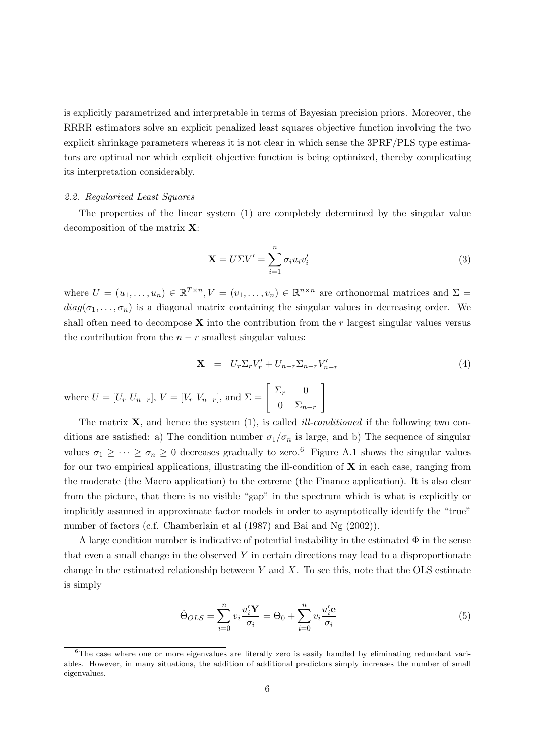is explicitly parametrized and interpretable in terms of Bayesian precision priors. Moreover, the RRRR estimators solve an explicit penalized least squares objective function involving the two explicit shrinkage parameters whereas it is not clear in which sense the 3PRF/PLS type estimators are optimal nor which explicit objective function is being optimized, thereby complicating its interpretation considerably.

## 2.2. Regularized Least Squares

The properties of the linear system (1) are completely determined by the singular value decomposition of the matrix X:

$$
\mathbf{X} = U\Sigma V' = \sum_{i=1}^{n} \sigma_i u_i v'_i \tag{3}
$$

where  $U = (u_1, \ldots, u_n) \in \mathbb{R}^{T \times n}, V = (v_1, \ldots, v_n) \in \mathbb{R}^{n \times n}$  are orthonormal matrices and  $\Sigma =$  $diag(\sigma_1, \ldots, \sigma_n)$  is a diagonal matrix containing the singular values in decreasing order. We shall often need to decompose  $X$  into the contribution from the r largest singular values versus the contribution from the  $n - r$  smallest singular values:

$$
\mathbf{X} = U_r \Sigma_r V'_r + U_{n-r} \Sigma_{n-r} V'_{n-r} \tag{4}
$$

where  $U = [U_r U_{n-r}], V = [V_r V_{n-r}],$  and  $\Sigma = \begin{bmatrix} \Sigma_r & 0 \\ 0 & \Sigma_r \end{bmatrix}$  $0 \sum_{n-r}$ 1

The matrix  $X$ , and hence the system  $(1)$ , is called *ill-conditioned* if the following two conditions are satisfied: a) The condition number  $\sigma_1/\sigma_n$  is large, and b) The sequence of singular values  $\sigma_1 \geq \cdots \geq \sigma_n \geq 0$  decreases gradually to zero.<sup>6</sup> Figure A.1 shows the singular values for our two empirical applications, illustrating the ill-condition of  $X$  in each case, ranging from the moderate (the Macro application) to the extreme (the Finance application). It is also clear from the picture, that there is no visible "gap" in the spectrum which is what is explicitly or implicitly assumed in approximate factor models in order to asymptotically identify the "true" number of factors (c.f. Chamberlain et al (1987) and Bai and Ng (2002)).

A large condition number is indicative of potential instability in the estimated  $\Phi$  in the sense that even a small change in the observed  $Y$  in certain directions may lead to a disproportionate change in the estimated relationship between  $Y$  and  $X$ . To see this, note that the OLS estimate is simply

$$
\hat{\Theta}_{OLS} = \sum_{i=0}^{n} v_i \frac{u_i' \mathbf{Y}}{\sigma_i} = \Theta_0 + \sum_{i=0}^{n} v_i \frac{u_i' \mathbf{e}}{\sigma_i} \tag{5}
$$

 $6$ The case where one or more eigenvalues are literally zero is easily handled by eliminating redundant variables. However, in many situations, the addition of additional predictors simply increases the number of small eigenvalues.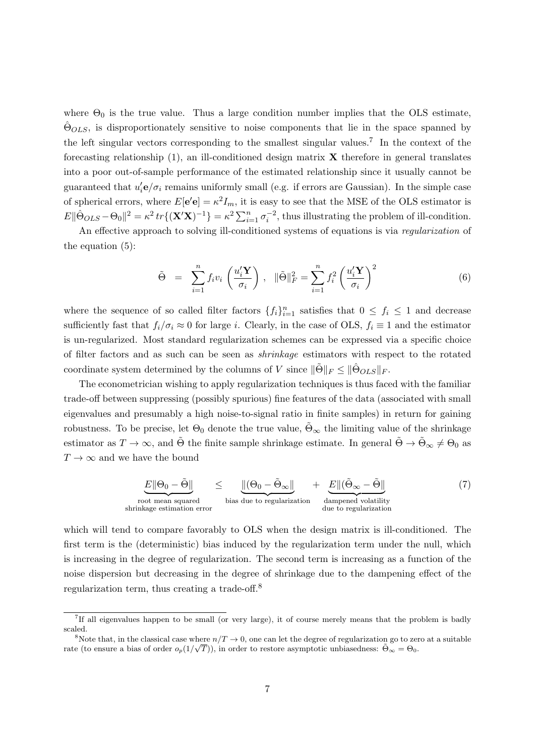where  $\Theta_0$  is the true value. Thus a large condition number implies that the OLS estimate,  $\Theta_{OLS}$ , is disproportionately sensitive to noise components that lie in the space spanned by the left singular vectors corresponding to the smallest singular values.<sup>7</sup> In the context of the forecasting relationship  $(1)$ , an ill-conditioned design matrix **X** therefore in general translates into a poor out-of-sample performance of the estimated relationship since it usually cannot be guaranteed that  $u_i'$ **e** $/\sigma_i$  remains uniformly small (e.g. if errors are Gaussian). In the simple case of spherical errors, where  $E[e'e] = \kappa^2 I_m$ , it is easy to see that the MSE of the OLS estimator is  $E\|\hat{\Theta}_{OLS} - \Theta_0\|^2 = \kappa^2 tr\{(\mathbf{X}'\mathbf{X})^{-1}\} = \kappa^2 \sum_{i=1}^n \sigma_i^{-2}$ , thus illustrating the problem of ill-condition.

An effective approach to solving ill-conditioned systems of equations is via *regularization* of the equation (5):

$$
\tilde{\Theta} = \sum_{i=1}^{n} f_i v_i \left( \frac{u_i' \mathbf{Y}}{\sigma_i} \right), \quad \|\tilde{\Theta}\|_F^2 = \sum_{i=1}^{n} f_i^2 \left( \frac{u_i' \mathbf{Y}}{\sigma_i} \right)^2 \tag{6}
$$

where the sequence of so called filter factors  $\{f_i\}_{i=1}^n$  satisfies that  $0 \leq f_i \leq 1$  and decrease sufficiently fast that  $f_i/\sigma_i \approx 0$  for large i. Clearly, in the case of OLS,  $f_i \equiv 1$  and the estimator is un-regularized. Most standard regularization schemes can be expressed via a specific choice of filter factors and as such can be seen as shrinkage estimators with respect to the rotated coordinate system determined by the columns of V since  $\|\tilde{\Theta}\|_F \leq \|\hat{\Theta}_{OLS}\|_F$ .

The econometrician wishing to apply regularization techniques is thus faced with the familiar trade-off between suppressing (possibly spurious) fine features of the data (associated with small eigenvalues and presumably a high noise-to-signal ratio in finite samples) in return for gaining robustness. To be precise, let  $\Theta_0$  denote the true value,  $\tilde{\Theta}_{\infty}$  the limiting value of the shrinkage estimator as  $T \to \infty$ , and  $\tilde{\Theta}$  the finite sample shrinkage estimate. In general  $\tilde{\Theta} \to \tilde{\Theta}_{\infty} \neq \Theta_0$  as  $T \to \infty$  and we have the bound

$$
\underbrace{E \|\Theta_0 - \tilde{\Theta}\|}_{\text{root mean squared}} \leq \underbrace{\|(\Theta_0 - \tilde{\Theta}_{\infty}\|}_{\text{bias due to regularization}} + \underbrace{E \|(\tilde{\Theta}_{\infty} - \tilde{\Theta}\|}_{\text{damped volatility}} \tag{7}
$$

which will tend to compare favorably to OLS when the design matrix is ill-conditioned. The first term is the (deterministic) bias induced by the regularization term under the null, which is increasing in the degree of regularization. The second term is increasing as a function of the noise dispersion but decreasing in the degree of shrinkage due to the dampening effect of the regularization term, thus creating a trade-off.<sup>8</sup>

<sup>7</sup> If all eigenvalues happen to be small (or very large), it of course merely means that the problem is badly scaled.

<sup>&</sup>lt;sup>8</sup>Note that, in the classical case where  $n/T \to 0$ , one can let the degree of regularization go to zero at a suitable rate (to ensure a bias of order  $o_p(1/\sqrt{T})$ ), in order to restore asymptotic unbiasedness:  $\tilde{\Theta}_{\infty} = \Theta_0$ .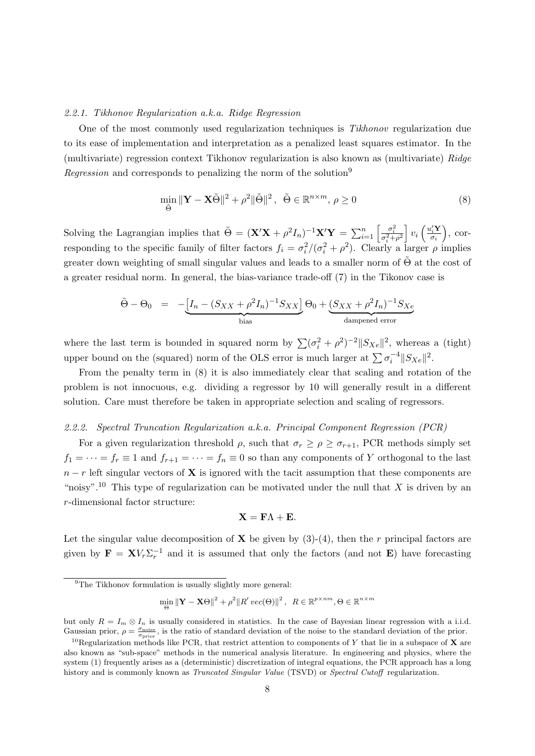# 2.2.1. Tikhonov Regularization a.k.a. Ridge Regression

One of the most commonly used regularization techniques is Tikhonov regularization due to its ease of implementation and interpretation as a penalized least squares estimator. In the (multivariate) regression context Tikhonov regularization is also known as (multivariate) Ridge Regression and corresponds to penalizing the norm of the solution<sup>9</sup>

$$
\min_{\tilde{\Theta}} \|\mathbf{Y} - \mathbf{X}\tilde{\Theta}\|^2 + \rho^2 \|\tilde{\Theta}\|^2, \quad \tilde{\Theta} \in \mathbb{R}^{n \times m}, \rho \ge 0 \tag{8}
$$

Solving the Lagrangian implies that  $\tilde{\Theta} = (\mathbf{X}'\mathbf{X} + \rho^2 I_n)^{-1} \mathbf{X}'\mathbf{Y} = \sum_{i=1}^n \left[ \frac{\sigma_i^2}{\sigma_i^2 + \rho^2} \right] v_i \left( \frac{u_i' \mathbf{Y}}{\sigma_i} \right]$  $\sigma_i$  $\big)$ , corresponding to the specific family of filter factors  $f_i = \sigma_i^2/(\sigma_i^2 + \rho^2)$ . Clearly a larger  $\rho$  implies greater down weighting of small singular values and leads to a smaller norm of  $\Theta$  at the cost of a greater residual norm. In general, the bias-variance trade-off (7) in the Tikonov case is

$$
\tilde{\Theta} - \Theta_0 = -\underbrace{[I_n - (S_{XX} + \rho^2 I_n)^{-1} S_{XX}]}_{\text{bias}} \Theta_0 + \underbrace{(S_{XX} + \rho^2 I_n)^{-1} S_{Xe}}_{\text{damped error}}
$$

where the last term is bounded in squared norm by  $\sum (\sigma_i^2 + \rho^2)^{-2} ||S_{Xe}||^2$ , whereas a (tight) upper bound on the (squared) norm of the OLS error is much larger at  $\sum \sigma_i^{-4} ||S_{Xe}||^2$ .

From the penalty term in (8) it is also immediately clear that scaling and rotation of the problem is not innocuous, e.g. dividing a regressor by 10 will generally result in a different solution. Care must therefore be taken in appropriate selection and scaling of regressors.

## 2.2.2. Spectral Truncation Regularization a.k.a. Principal Component Regression (PCR)

For a given regularization threshold  $\rho$ , such that  $\sigma_r \ge \rho \ge \sigma_{r+1}$ , PCR methods simply set  $f_1 = \cdots = f_r \equiv 1$  and  $f_{r+1} = \cdots = f_n \equiv 0$  so than any components of Y orthogonal to the last  $n - r$  left singular vectors of **X** is ignored with the tacit assumption that these components are "noisy".<sup>10</sup> This type of regularization can be motivated under the null that X is driven by an r-dimensional factor structure:

$$
\mathbf{X} = \mathbf{F}\Lambda + \mathbf{E}.
$$

Let the singular value decomposition of **X** be given by  $(3)-(4)$ , then the r principal factors are given by  $\mathbf{F} = \mathbf{X} V_r \Sigma_r^{-1}$  and it is assumed that only the factors (and not **E**) have forecasting

$$
\min_{\Theta} \|\mathbf{Y} - \mathbf{X}\Theta\|^2 + \rho^2 \|R'\, vec(\Theta)\|^2 \,,\ \ R \in \mathbb{R}^{p \times nm}, \Theta \in \mathbb{R}^{n \times m}
$$

<sup>&</sup>lt;sup>9</sup>The Tikhonov formulation is usually slightly more general:

but only  $R = I_m \otimes I_n$  is usually considered in statistics. In the case of Bayesian linear regression with a i.i.d. Gaussian prior,  $\rho = \frac{\sigma_{\text{noise}}}{\sigma_{\text{prior}}}$ , is the ratio of standard deviation of the noise to the standard deviation of the prior.

<sup>&</sup>lt;sup>10</sup>Regularization methods like PCR, that restrict attention to components of Y that lie in a subspace of **X** are also known as "sub-space" methods in the numerical analysis literature. In engineering and physics, where the system (1) frequently arises as a (deterministic) discretization of integral equations, the PCR approach has a long history and is commonly known as *Truncated Singular Value* (TSVD) or *Spectral Cutoff* regularization.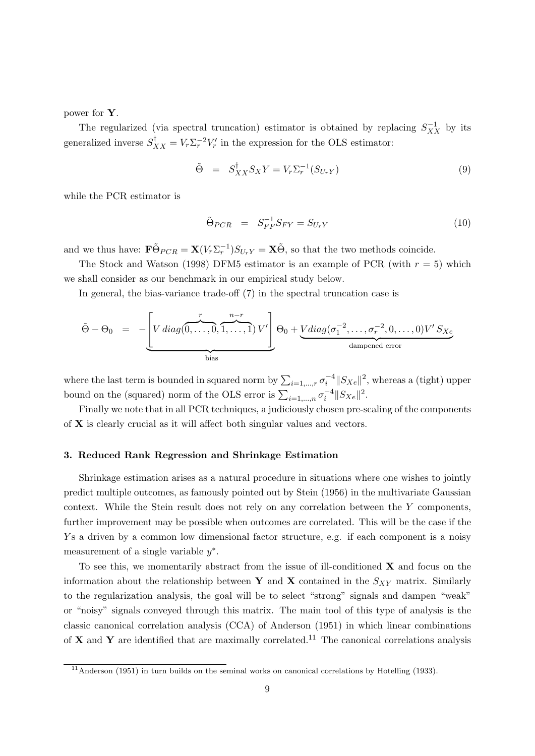power for Y.

The regularized (via spectral truncation) estimator is obtained by replacing  $S_{XX}^{-1}$  by its generalized inverse  $S_{XX}^{\dagger} = V_r \Sigma_r^{-2} V_r'$  in the expression for the OLS estimator:

$$
\tilde{\Theta} = S_{XX}^{\dagger} S_X Y = V_r \Sigma_r^{-1} (S_{U_r Y}) \tag{9}
$$

while the PCR estimator is

$$
\tilde{\Theta}_{PCR} = S_{FF}^{-1} S_{FY} = S_{U_r Y} \tag{10}
$$

and we thus have:  $\mathbf{F} \tilde{\Theta}_{PCR} = \mathbf{X} (V_r \Sigma_r^{-1}) S_{U_r Y} = \mathbf{X} \tilde{\Theta}$ , so that the two methods coincide.

The Stock and Watson (1998) DFM5 estimator is an example of PCR (with  $r = 5$ ) which we shall consider as our benchmark in our empirical study below.

In general, the bias-variance trade-off (7) in the spectral truncation case is

$$
\tilde{\Theta} - \Theta_0 = - \underbrace{\left[ V \operatorname{diag}(\overbrace{0, \ldots, 0}^{r}, \overbrace{1, \ldots, 1}^{n-r}) V' \right]}_{\text{bias}} \Theta_0 + \underbrace{V \operatorname{diag}(\sigma_1^{-2}, \ldots, \sigma_r^{-2}, 0, \ldots, 0) V' S_{Xe}}_{\text{damped error}}
$$

where the last term is bounded in squared norm by  $\sum_{i=1,\dots,r} \sigma_i^{-4} ||S_{Xe}||^2$ , whereas a (tight) upper bound on the (squared) norm of the OLS error is  $\sum_{i=1,\dots,n} \sigma_i^{-4} ||S_{Xe}||^2$ .

Finally we note that in all PCR techniques, a judiciously chosen pre-scaling of the components of X is clearly crucial as it will affect both singular values and vectors.

# 3. Reduced Rank Regression and Shrinkage Estimation

Shrinkage estimation arises as a natural procedure in situations where one wishes to jointly predict multiple outcomes, as famously pointed out by Stein (1956) in the multivariate Gaussian context. While the Stein result does not rely on any correlation between the Y components, further improvement may be possible when outcomes are correlated. This will be the case if the Y s a driven by a common low dimensional factor structure, e.g. if each component is a noisy measurement of a single variable  $y^*$ .

To see this, we momentarily abstract from the issue of ill-conditioned  $X$  and focus on the information about the relationship between Y and X contained in the  $S_{XY}$  matrix. Similarly to the regularization analysis, the goal will be to select "strong" signals and dampen "weak" or "noisy" signals conveyed through this matrix. The main tool of this type of analysis is the classic canonical correlation analysis (CCA) of Anderson (1951) in which linear combinations of **X** and **Y** are identified that are maximally correlated.<sup>11</sup> The canonical correlations analysis

 $\frac{11}{11}$ Anderson (1951) in turn builds on the seminal works on canonical correlations by Hotelling (1933).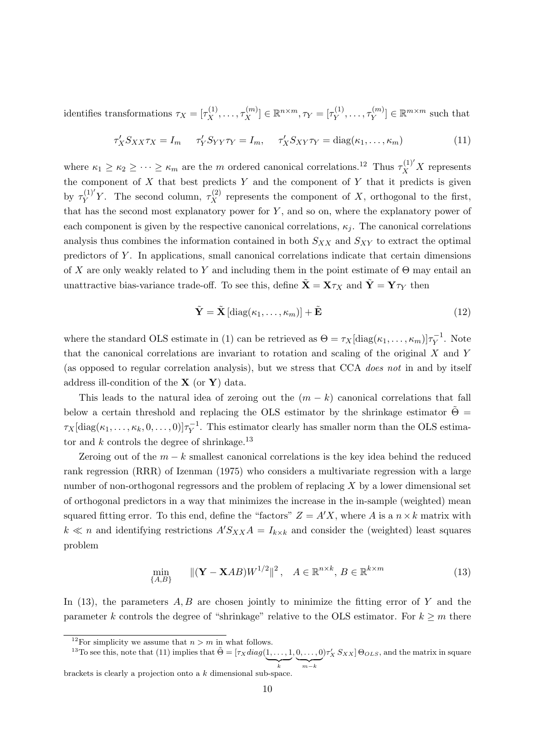identifies transformations  $\tau_X = [\tau_X^{(1)}, \dots, \tau_X^{(m)}] \in \mathbb{R}^{n \times m}, \tau_Y = [\tau_Y^{(1)}]$  $T_Y^{(1)}, \ldots, T_Y^{(m)}$  $\mathbf{y}^{(m)} \in \mathbb{R}^{m \times m}$  such that

$$
\tau_X' S_{XX} \tau_X = I_m \quad \tau_Y' S_{YY} \tau_Y = I_m, \quad \tau_X' S_{XY} \tau_Y = \text{diag}(\kappa_1, \dots, \kappa_m)
$$
(11)

where  $\kappa_1 \geq \kappa_2 \geq \cdots \geq \kappa_m$  are the m ordered canonical correlations.<sup>12</sup> Thus  $\tau_X^{(1)'}X$  represents the component of  $X$  that best predicts  $Y$  and the component of  $Y$  that it predicts is given by  $\tau_V^{(1)'}$  $Y^{(1)'}_Y$ . The second column,  $\tau_X^{(2)}$  represents the component of X, orthogonal to the first, that has the second most explanatory power for  $Y$ , and so on, where the explanatory power of each component is given by the respective canonical correlations,  $\kappa_i$ . The canonical correlations analysis thus combines the information contained in both  $S_{XX}$  and  $S_{XY}$  to extract the optimal predictors of Y . In applications, small canonical correlations indicate that certain dimensions of X are only weakly related to Y and including them in the point estimate of  $\Theta$  may entail an unattractive bias-variance trade-off. To see this, define  $\mathbf{X} = \mathbf{X}\tau_X$  and  $\mathbf{Y} = \mathbf{Y}\tau_Y$  then

$$
\tilde{\mathbf{Y}} = \tilde{\mathbf{X}} \left[ \text{diag}(\kappa_1, \dots, \kappa_m) \right] + \tilde{\mathbf{E}} \tag{12}
$$

where the standard OLS estimate in (1) can be retrieved as  $\Theta = \tau_X[\text{diag}(\kappa_1, \dots, \kappa_m)]\tau_Y^{-1}$  $Y^{\text{-}1}$ . Note that the canonical correlations are invariant to rotation and scaling of the original X and Y (as opposed to regular correlation analysis), but we stress that CCA does not in and by itself address ill-condition of the  $X$  (or  $Y$ ) data.

This leads to the natural idea of zeroing out the  $(m - k)$  canonical correlations that fall below a certain threshold and replacing the OLS estimator by the shrinkage estimator  $\tilde{\Theta} =$  $\tau_X[\mathrm{diag}(\kappa_1,\ldots,\kappa_k,0,\ldots,0)]\tau_Y^{-1}$  $Y<sup>-1</sup>$ . This estimator clearly has smaller norm than the OLS estimator and  $k$  controls the degree of shrinkage.<sup>13</sup>

Zeroing out of the  $m - k$  smallest canonical correlations is the key idea behind the reduced rank regression (RRR) of Izenman (1975) who considers a multivariate regression with a large number of non-orthogonal regressors and the problem of replacing X by a lower dimensional set of orthogonal predictors in a way that minimizes the increase in the in-sample (weighted) mean squared fitting error. To this end, define the "factors"  $Z = A'X$ , where A is a  $n \times k$  matrix with  $k \ll n$  and identifying restrictions  $A'S_{XX}A = I_{k \times k}$  and consider the (weighted) least squares problem

$$
\min_{\{A,B\}} \quad \|(Y - XAB)W^{1/2}\|^2, \quad A \in \mathbb{R}^{n \times k}, B \in \mathbb{R}^{k \times m} \tag{13}
$$

In  $(13)$ , the parameters  $A, B$  are chosen jointly to minimize the fitting error of Y and the parameter k controls the degree of "shrinkage" relative to the OLS estimator. For  $k \geq m$  there

brackets is clearly a projection onto a k dimensional sub-space.

<sup>&</sup>lt;sup>12</sup>For simplicity we assume that  $n > m$  in what follows.

<sup>&</sup>lt;sup>13</sup>To see this, note that (11) implies that  $\tilde{\Theta} = [\tau_X diag(1, \dots, 1)]$  $\sum_{k}$  $, 0, \ldots, 0$  ${m-k}$  $[\tau_X^{\prime} S_{XX}] \Theta_{OLS}$ , and the matrix in square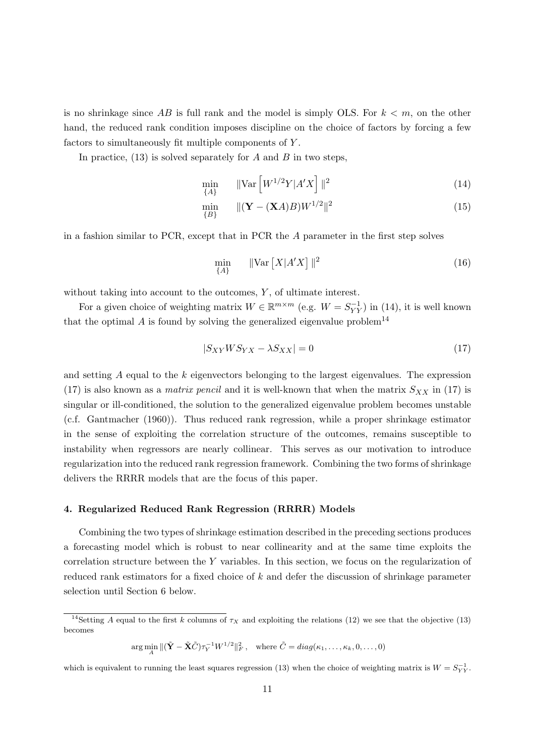is no shrinkage since AB is full rank and the model is simply OLS. For  $k < m$ , on the other hand, the reduced rank condition imposes discipline on the choice of factors by forcing a few factors to simultaneously fit multiple components of Y .

In practice,  $(13)$  is solved separately for A and B in two steps,

$$
\min_{\{A\}} \qquad \|\text{Var}\left[W^{1/2}Y|A'X\right]\|^2 \tag{14}
$$

$$
\min_{\{B\}} \quad \| (\mathbf{Y} - (\mathbf{X}A)B)W^{1/2} \|^{2} \tag{15}
$$

in a fashion similar to PCR, except that in PCR the A parameter in the first step solves

$$
\min_{\{A\}} \quad \|\text{Var}\left[X|A'X\right]\|^2 \tag{16}
$$

without taking into account to the outcomes,  $Y$ , of ultimate interest.

For a given choice of weighting matrix  $W \in \mathbb{R}^{m \times m}$  (e.g.  $W = S_{YY}^{-1}$ ) in (14), it is well known that the optimal  $A$  is found by solving the generalized eigenvalue problem<sup>14</sup>

$$
|S_{XY}WS_{YX} - \lambda S_{XX}| = 0 \tag{17}
$$

and setting  $A$  equal to the  $k$  eigenvectors belonging to the largest eigenvalues. The expression (17) is also known as a *matrix pencil* and it is well-known that when the matrix  $S_{XX}$  in (17) is singular or ill-conditioned, the solution to the generalized eigenvalue problem becomes unstable (c.f. Gantmacher (1960)). Thus reduced rank regression, while a proper shrinkage estimator in the sense of exploiting the correlation structure of the outcomes, remains susceptible to instability when regressors are nearly collinear. This serves as our motivation to introduce regularization into the reduced rank regression framework. Combining the two forms of shrinkage delivers the RRRR models that are the focus of this paper.

# 4. Regularized Reduced Rank Regression (RRRR) Models

Combining the two types of shrinkage estimation described in the preceding sections produces a forecasting model which is robust to near collinearity and at the same time exploits the correlation structure between the Y variables. In this section, we focus on the regularization of reduced rank estimators for a fixed choice of k and defer the discussion of shrinkage parameter selection until Section 6 below.

 $\arg\min_{A} \| (\tilde{\mathbf{Y}} - \tilde{\mathbf{X}} \tilde{C}) \tau_Y^{-1} W^{1/2} \|_F^2, \quad \text{where } \tilde{C} = diag(\kappa_1, \dots, \kappa_k, 0, \dots, 0)$ 

which is equivalent to running the least squares regression (13) when the choice of weighting matrix is  $W = S_{YY}^{-1}$ .

<sup>&</sup>lt;sup>14</sup>Setting A equal to the first k columns of  $\tau_X$  and exploiting the relations (12) we see that the objective (13) becomes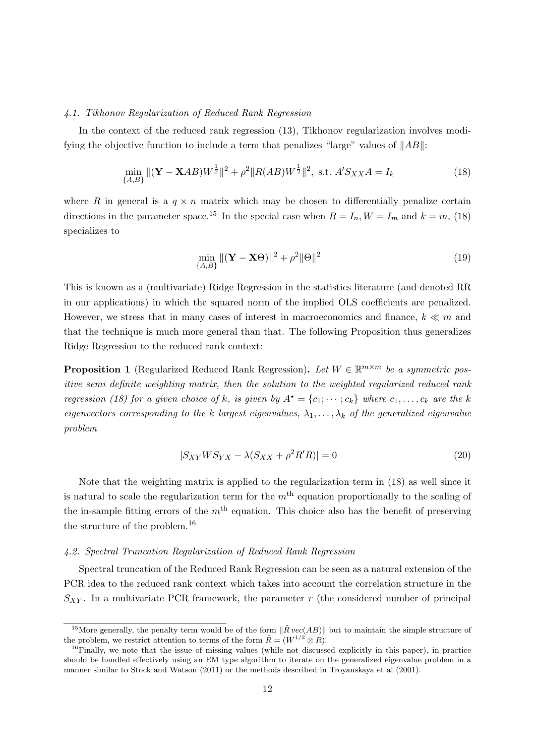# 4.1. Tikhonov Regularization of Reduced Rank Regression

In the context of the reduced rank regression (13), Tikhonov regularization involves modifying the objective function to include a term that penalizes "large" values of  $||AB||$ :

$$
\min_{\{A,B\}} \| (\mathbf{Y} - \mathbf{X}AB)W^{\frac{1}{2}} \|^{2} + \rho^{2} \| R(AB)W^{\frac{1}{2}} \|^{2}, \text{ s.t. } A'S_{XX}A = I_{k}
$$
\n(18)

where R in general is a  $q \times n$  matrix which may be chosen to differentially penalize certain directions in the parameter space.<sup>15</sup> In the special case when  $R = I_n$ ,  $W = I_m$  and  $k = m$ , (18) specializes to

$$
\min_{\{A,B\}} \|(\mathbf{Y} - \mathbf{X}\Theta)\|^2 + \rho^2 \|\Theta\|^2 \tag{19}
$$

This is known as a (multivariate) Ridge Regression in the statistics literature (and denoted RR in our applications) in which the squared norm of the implied OLS coefficients are penalized. However, we stress that in many cases of interest in macroeconomics and finance,  $k \ll m$  and that the technique is much more general than that. The following Proposition thus generalizes Ridge Regression to the reduced rank context:

**Proposition 1** (Regularized Reduced Rank Regression). Let  $W \in \mathbb{R}^{m \times m}$  be a symmetric positive semi definite weighting matrix, then the solution to the weighted regularized reduced rank regression (18) for a given choice of k, is given by  $A^* = \{c_1; \dots; c_k\}$  where  $c_1, \dots, c_k$  are the k eigenvectors corresponding to the k largest eigenvalues,  $\lambda_1, \ldots, \lambda_k$  of the generalized eigenvalue problem

$$
|S_{XY}WS_{YX} - \lambda(S_{XX} + \rho^2 R'R)| = 0
$$
\n(20)

Note that the weighting matrix is applied to the regularization term in (18) as well since it is natural to scale the regularization term for the  $m<sup>th</sup>$  equation proportionally to the scaling of the in-sample fitting errors of the  $m<sup>th</sup>$  equation. This choice also has the benefit of preserving the structure of the problem.<sup>16</sup>

# 4.2. Spectral Truncation Regularization of Reduced Rank Regression

Spectral truncation of the Reduced Rank Regression can be seen as a natural extension of the PCR idea to the reduced rank context which takes into account the correlation structure in the  $S_{XY}$ . In a multivariate PCR framework, the parameter r (the considered number of principal

<sup>&</sup>lt;sup>15</sup>More generally, the penalty term would be of the form  $\|\tilde{R} vec(AB)\|$  but to maintain the simple structure of the problem, we restrict attention to terms of the form  $\tilde{R} = (W^{1/2} \otimes R)$ .

 $^{16}$ Finally, we note that the issue of missing values (while not discussed explicitly in this paper), in practice should be handled effectively using an EM type algorithm to iterate on the generalized eigenvalue problem in a manner similar to Stock and Watson (2011) or the methods described in Troyanskaya et al (2001).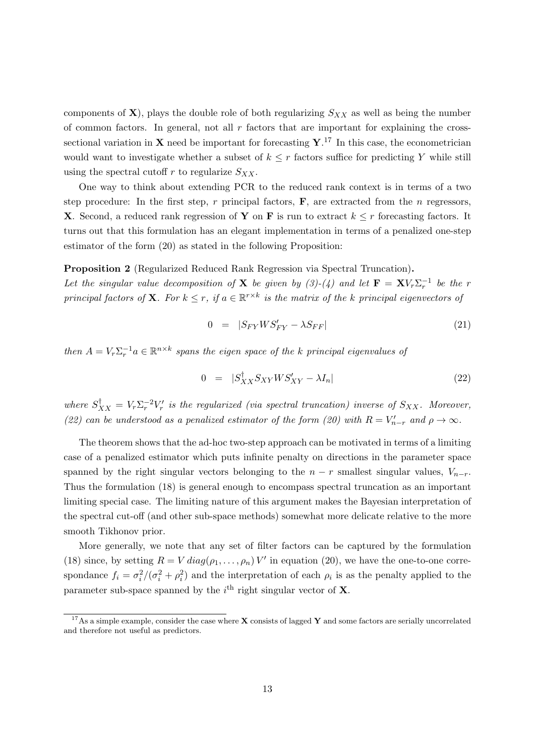components of  $X$ ), plays the double role of both regularizing  $S_{XX}$  as well as being the number of common factors. In general, not all  $r$  factors that are important for explaining the crosssectional variation in **X** need be important for forecasting  $\mathbf{Y}$ .<sup>17</sup> In this case, the econometrician would want to investigate whether a subset of  $k \leq r$  factors suffice for predicting Y while still using the spectral cutoff r to regularize  $S_{XX}$ .

One way to think about extending PCR to the reduced rank context is in terms of a two step procedure: In the first step, r principal factors,  $\bf{F}$ , are extracted from the n regressors, **X**. Second, a reduced rank regression of **Y** on **F** is run to extract  $k \leq r$  forecasting factors. It turns out that this formulation has an elegant implementation in terms of a penalized one-step estimator of the form (20) as stated in the following Proposition:

# Proposition 2 (Regularized Reduced Rank Regression via Spectral Truncation).

Let the singular value decomposition of **X** be given by  $(3)-(4)$  and let  $\mathbf{F} = \mathbf{X}V_r\Sigma_r^{-1}$  be the r principal factors of **X**. For  $k \leq r$ , if  $a \in \mathbb{R}^{r \times k}$  is the matrix of the k principal eigenvectors of

$$
0 = |S_{FY}WS'_{FY} - \lambda S_{FF}| \tag{21}
$$

then  $A = V_r \Sigma_r^{-1} a \in \mathbb{R}^{n \times k}$  spans the eigen space of the k principal eigenvalues of

$$
0 = |S_{XX}^{\dagger} S_{XY} W S_{XY}^{\prime} - \lambda I_n| \tag{22}
$$

where  $S_{XX}^{\dagger} = V_r \Sigma_r^{-2} V_r'$  is the regularized (via spectral truncation) inverse of  $S_{XX}$ . Moreover, (22) can be understood as a penalized estimator of the form (20) with  $R = V'_{n-r}$  and  $\rho \to \infty$ .

The theorem shows that the ad-hoc two-step approach can be motivated in terms of a limiting case of a penalized estimator which puts infinite penalty on directions in the parameter space spanned by the right singular vectors belonging to the  $n - r$  smallest singular values,  $V_{n-r}$ . Thus the formulation (18) is general enough to encompass spectral truncation as an important limiting special case. The limiting nature of this argument makes the Bayesian interpretation of the spectral cut-off (and other sub-space methods) somewhat more delicate relative to the more smooth Tikhonov prior.

More generally, we note that any set of filter factors can be captured by the formulation (18) since, by setting  $R = V \, diag(\rho_1, \ldots, \rho_n) V'$  in equation (20), we have the one-to-one correspondance  $f_i = \sigma_i^2/(\sigma_i^2 + \rho_i^2)$  and the interpretation of each  $\rho_i$  is as the penalty applied to the parameter sub-space spanned by the  $i<sup>th</sup>$  right singular vector of **X**.

<sup>&</sup>lt;sup>17</sup>As a simple example, consider the case where **X** consists of lagged **Y** and some factors are serially uncorrelated and therefore not useful as predictors.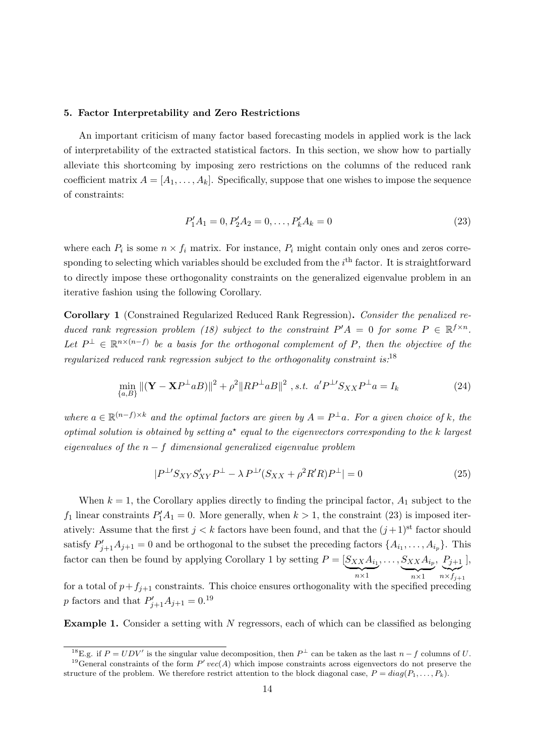# 5. Factor Interpretability and Zero Restrictions

An important criticism of many factor based forecasting models in applied work is the lack of interpretability of the extracted statistical factors. In this section, we show how to partially alleviate this shortcoming by imposing zero restrictions on the columns of the reduced rank coefficient matrix  $A = [A_1, \ldots, A_k]$ . Specifically, suppose that one wishes to impose the sequence of constraints:

$$
P'_1A_1 = 0, P'_2A_2 = 0, \dots, P'_kA_k = 0
$$
\n(23)

where each  $P_i$  is some  $n \times f_i$  matrix. For instance,  $P_i$  might contain only ones and zeros corresponding to selecting which variables should be excluded from the  $i<sup>th</sup>$  factor. It is straightforward to directly impose these orthogonality constraints on the generalized eigenvalue problem in an iterative fashion using the following Corollary.

Corollary 1 (Constrained Regularized Reduced Rank Regression). Consider the penalized reduced rank regression problem (18) subject to the constraint  $P'A = 0$  for some  $P \in \mathbb{R}^{f \times n}$ . Let  $P^{\perp} \in \mathbb{R}^{n \times (n-f)}$  be a basis for the orthogonal complement of P, then the objective of the regularized reduced rank regression subject to the orthogonality constraint is:  $^{18}$ 

$$
\min_{\{a,B\}} \|(\mathbf{Y} - \mathbf{X}P^{\perp}aB)\|^2 + \rho^2 \|RP^{\perp}aB\|^2 \text{ , s.t. } a'P^{\perp}S_{XX}P^{\perp}a = I_k
$$
\n(24)

where  $a \in \mathbb{R}^{(n-f)\times k}$  and the optimal factors are given by  $A = P^{\perp}a$ . For a given choice of k, the optimal solution is obtained by setting  $a^*$  equal to the eigenvectors corresponding to the k largest eigenvalues of the  $n - f$  dimensional generalized eigenvalue problem

$$
|P^{\perp}S_{XY}S'_{XY}P^{\perp} - \lambda P^{\perp}(S_{XX} + \rho^2 R' R)P^{\perp}| = 0
$$
\n(25)

When  $k = 1$ , the Corollary applies directly to finding the principal factor,  $A_1$  subject to the  $f_1$  linear constraints  $P'_1A_1 = 0$ . More generally, when  $k > 1$ , the constraint (23) is imposed iteratively: Assume that the first  $j < k$  factors have been found, and that the  $(j+1)$ <sup>st</sup> factor should satisfy  $P'_{j+1}A_{j+1} = 0$  and be orthogonal to the subset the preceding factors  $\{A_{i_1}, \ldots, A_{i_p}\}$ . This factor can then be found by applying Corollary 1 by setting  $P = [S_{XX}A_{i_1}]$  $\overline{n \times 1}$  $, \ldots, S_{XX}A_{i_p}$  $\overline{n \times 1}$ ,  $P_{j+1}$  $\sum_{n \times f_{j+1}}$ ], for a total of  $p+f_{j+1}$  constraints. This choice ensures orthogonality with the specified preceding

*p* factors and that  $P'_{j+1}A_{j+1} = 0.19$ 

**Example 1.** Consider a setting with  $N$  regressors, each of which can be classified as belonging

<sup>&</sup>lt;sup>18</sup>E.g. if  $P = UDV'$  is the singular value decomposition, then  $P^{\perp}$  can be taken as the last  $n-f$  columns of U. <sup>19</sup>General constraints of the form  $P'$  vec(A) which impose constraints across eigenvectors do not preserve the

structure of the problem. We therefore restrict attention to the block diagonal case,  $P = diag(P_1, \ldots, P_k)$ .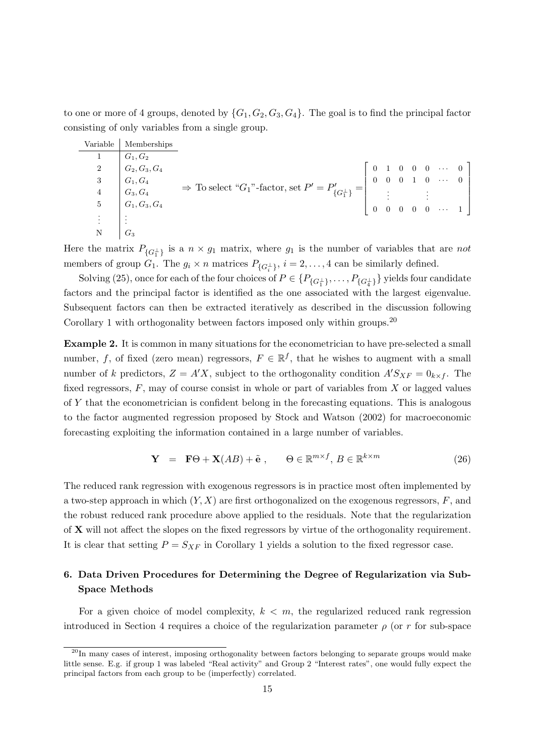to one or more of 4 groups, denoted by  $\{G_1, G_2, G_3, G_4\}$ . The goal is to find the principal factor consisting of only variables from a single group.

| Variable        | Memberships          |                                                                      |                |  |  |                                                                                                                    |  |
|-----------------|----------------------|----------------------------------------------------------------------|----------------|--|--|--------------------------------------------------------------------------------------------------------------------|--|
|                 | $G_1, G_2$           |                                                                      |                |  |  |                                                                                                                    |  |
|                 | 2 $G_2, G_3, G_4$    |                                                                      |                |  |  | $\left[\begin{array}{ccccccc} 0 & 1 & 0 & 0 & 0 & \cdots & 0 \\ 0 & 0 & 0 & 1 & 0 & \cdots & 0 \end{array}\right]$ |  |
| 3               | $\mid G_1, G_4$      |                                                                      |                |  |  |                                                                                                                    |  |
| $\overline{4}$  | $\mid G_3,G_4 \mid$  | $\Rightarrow$ To select "G1"-factor, set $P'=P'_{\{G_1^{\perp}\}}= $ |                |  |  |                                                                                                                    |  |
| $5\phantom{.0}$ | $ G_1, G_3, G_4 $    |                                                                      | $\overline{0}$ |  |  | $\begin{array}{ccc} \vdots & \vdots & \vdots \\ 0 & 0 & 0 & 0 & \cdots & 1 \end{array}$                            |  |
| ŧ.              | $\ddot{\phantom{1}}$ |                                                                      |                |  |  |                                                                                                                    |  |
|                 | $G_3$                |                                                                      |                |  |  |                                                                                                                    |  |

Here the matrix  $P_{\{G_1^{\perp}\}}$  is a  $n \times g_1$  matrix, where  $g_1$  is the number of variables that are not members of group  $G_1$ . The  $g_i \times n$  matrices  $P_{\{G_i^{\perp}\}}$ ,  $i = 2, ..., 4$  can be similarly defined.

Solving (25), once for each of the four choices of  $P\in \{P_{\{G^\perp_1\}},\ldots,P_{\{G^\perp_4\}}\}$  yields four candidate factors and the principal factor is identified as the one associated with the largest eigenvalue. Subsequent factors can then be extracted iteratively as described in the discussion following Corollary 1 with orthogonality between factors imposed only within groups.<sup>20</sup>

Example 2. It is common in many situations for the econometrician to have pre-selected a small number, f, of fixed (zero mean) regressors,  $F \in \mathbb{R}^f$ , that he wishes to augment with a small number of k predictors,  $Z = A'X$ , subject to the orthogonality condition  $A'S_{XF} = 0_{k \times f}$ . The fixed regressors,  $F$ , may of course consist in whole or part of variables from  $X$  or lagged values of Y that the econometrician is confident belong in the forecasting equations. This is analogous to the factor augmented regression proposed by Stock and Watson (2002) for macroeconomic forecasting exploiting the information contained in a large number of variables.

$$
\mathbf{Y} = \mathbf{F}\Theta + \mathbf{X}(AB) + \tilde{\mathbf{e}}, \qquad \Theta \in \mathbb{R}^{m \times f}, B \in \mathbb{R}^{k \times m}
$$
 (26)

The reduced rank regression with exogenous regressors is in practice most often implemented by a two-step approach in which  $(Y, X)$  are first orthogonalized on the exogenous regressors,  $F$ , and the robust reduced rank procedure above applied to the residuals. Note that the regularization of X will not affect the slopes on the fixed regressors by virtue of the orthogonality requirement. It is clear that setting  $P = S_{XF}$  in Corollary 1 yields a solution to the fixed regressor case.

# 6. Data Driven Procedures for Determining the Degree of Regularization via Sub-Space Methods

For a given choice of model complexity,  $k < m$ , the regularized reduced rank regression introduced in Section 4 requires a choice of the regularization parameter  $\rho$  (or r for sub-space

 $^{20}$ In many cases of interest, imposing orthogonality between factors belonging to separate groups would make little sense. E.g. if group 1 was labeled "Real activity" and Group 2 "Interest rates", one would fully expect the principal factors from each group to be (imperfectly) correlated.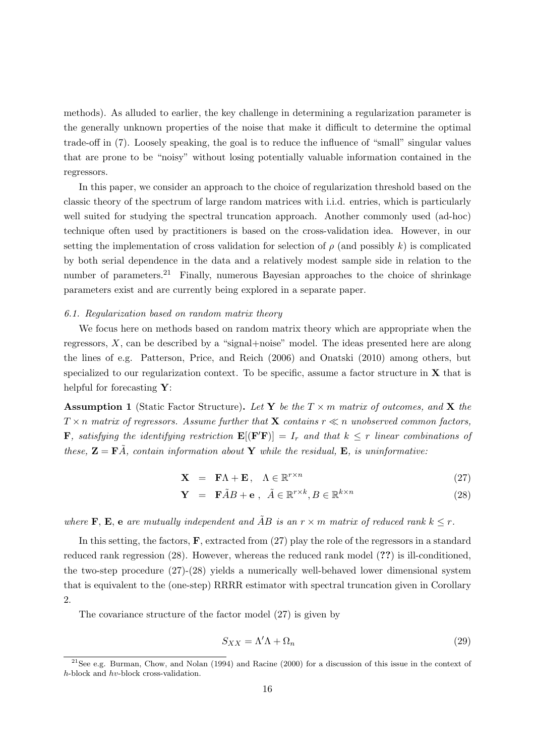methods). As alluded to earlier, the key challenge in determining a regularization parameter is the generally unknown properties of the noise that make it difficult to determine the optimal trade-off in (7). Loosely speaking, the goal is to reduce the influence of "small" singular values that are prone to be "noisy" without losing potentially valuable information contained in the regressors.

In this paper, we consider an approach to the choice of regularization threshold based on the classic theory of the spectrum of large random matrices with i.i.d. entries, which is particularly well suited for studying the spectral truncation approach. Another commonly used (ad-hoc) technique often used by practitioners is based on the cross-validation idea. However, in our setting the implementation of cross validation for selection of  $\rho$  (and possibly k) is complicated by both serial dependence in the data and a relatively modest sample side in relation to the number of parameters.<sup>21</sup> Finally, numerous Bayesian approaches to the choice of shrinkage parameters exist and are currently being explored in a separate paper.

## 6.1. Regularization based on random matrix theory

We focus here on methods based on random matrix theory which are appropriate when the regressors, X, can be described by a "signal+noise" model. The ideas presented here are along the lines of e.g. Patterson, Price, and Reich (2006) and Onatski (2010) among others, but specialized to our regularization context. To be specific, assume a factor structure in  $X$  that is helpful for forecasting  $Y$ :

**Assumption 1** (Static Factor Structure). Let Y be the  $T \times m$  matrix of outcomes, and X the  $T \times n$  matrix of regressors. Assume further that **X** contains  $r \ll n$  unobserved common factors, **F**, satisfying the identifying restriction  $\mathbf{E}[(\mathbf{F}'\mathbf{F})] = I_r$  and that  $k \leq r$  linear combinations of these,  $\mathbf{Z} = \mathbf{F}\tilde{A}$ , contain information about Y while the residual, E, is uninformative:

$$
\mathbf{X} = \mathbf{F}\Lambda + \mathbf{E}, \quad \Lambda \in \mathbb{R}^{r \times n} \tag{27}
$$

$$
\mathbf{Y} = \mathbf{F}\tilde{A}B + \mathbf{e}, \ \tilde{A} \in \mathbb{R}^{r \times k}, B \in \mathbb{R}^{k \times n}
$$
 (28)

where **F**, **E**, **e** are mutually independent and  $\tilde{A}B$  is an  $r \times m$  matrix of reduced rank  $k \leq r$ .

In this setting, the factors,  $\bf{F}$ , extracted from (27) play the role of the regressors in a standard reduced rank regression (28). However, whereas the reduced rank model (??) is ill-conditioned, the two-step procedure (27)-(28) yields a numerically well-behaved lower dimensional system that is equivalent to the (one-step) RRRR estimator with spectral truncation given in Corollary 2.

The covariance structure of the factor model (27) is given by

$$
S_{XX} = \Lambda' \Lambda + \Omega_n \tag{29}
$$

 $21$ See e.g. Burman, Chow, and Nolan (1994) and Racine (2000) for a discussion of this issue in the context of h-block and hv-block cross-validation.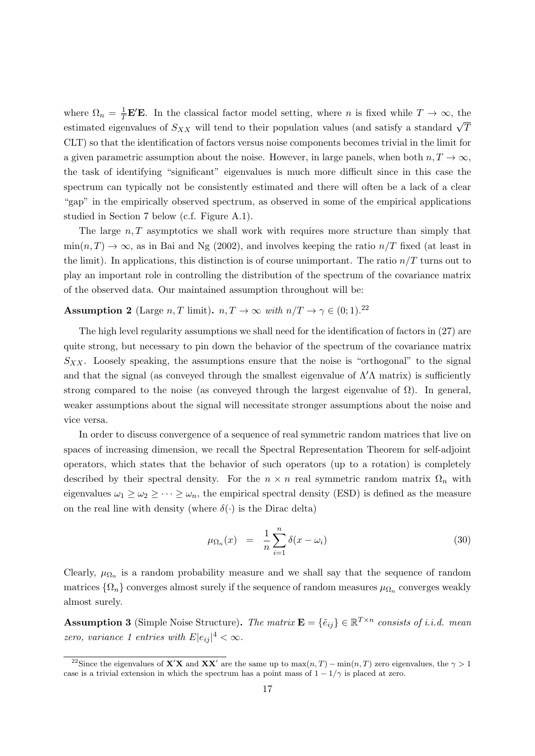where  $\Omega_n = \frac{1}{T} \mathbf{E}' \mathbf{E}$ . In the classical factor model setting, where *n* is fixed while  $T \to \infty$ , the estimated eigenvalues of  $S_{XX}$  will tend to their population values (and satisfy a standard  $\sqrt{T}$ CLT) so that the identification of factors versus noise components becomes trivial in the limit for a given parametric assumption about the noise. However, in large panels, when both  $n, T \to \infty$ , the task of identifying "significant" eigenvalues is much more difficult since in this case the spectrum can typically not be consistently estimated and there will often be a lack of a clear "gap" in the empirically observed spectrum, as observed in some of the empirical applications studied in Section 7 below (c.f. Figure A.1).

The large  $n, T$  asymptotics we shall work with requires more structure than simply that  $\min(n, T) \to \infty$ , as in Bai and Ng (2002), and involves keeping the ratio  $n/T$  fixed (at least in the limit). In applications, this distinction is of course unimportant. The ratio  $n/T$  turns out to play an important role in controlling the distribution of the spectrum of the covariance matrix of the observed data. Our maintained assumption throughout will be:

# **Assumption 2** (Large n, T limit).  $n, T \to \infty$  with  $n/T \to \gamma \in (0, 1).^{22}$

The high level regularity assumptions we shall need for the identification of factors in (27) are quite strong, but necessary to pin down the behavior of the spectrum of the covariance matrix  $S_{XX}$ . Loosely speaking, the assumptions ensure that the noise is "orthogonal" to the signal and that the signal (as conveyed through the smallest eigenvalue of  $\Lambda'$  matrix) is sufficiently strong compared to the noise (as conveyed through the largest eigenvalue of  $\Omega$ ). In general, weaker assumptions about the signal will necessitate stronger assumptions about the noise and vice versa.

In order to discuss convergence of a sequence of real symmetric random matrices that live on spaces of increasing dimension, we recall the Spectral Representation Theorem for self-adjoint operators, which states that the behavior of such operators (up to a rotation) is completely described by their spectral density. For the  $n \times n$  real symmetric random matrix  $\Omega_n$  with eigenvalues  $\omega_1 \geq \omega_2 \geq \cdots \geq \omega_n$ , the empirical spectral density (ESD) is defined as the measure on the real line with density (where  $\delta(\cdot)$  is the Dirac delta)

$$
\mu_{\Omega_n}(x) = \frac{1}{n} \sum_{i=1}^n \delta(x - \omega_i) \tag{30}
$$

Clearly,  $\mu_{\Omega_n}$  is a random probability measure and we shall say that the sequence of random matrices  $\{\Omega_n\}$  converges almost surely if the sequence of random measures  $\mu_{\Omega_n}$  converges weakly almost surely.

**Assumption 3** (Simple Noise Structure). The matrix  $\mathbf{E} = {\tilde{e}_{ij}} \in \mathbb{R}^{T \times n}$  consists of i.i.d. mean zero, variance 1 entries with  $E|e_{ij}|^4 < \infty$ .

<sup>&</sup>lt;sup>22</sup>Since the eigenvalues of **X'X** and **XX'** are the same up to  $\max(n, T) - \min(n, T)$  zero eigenvalues, the  $\gamma > 1$ case is a trivial extension in which the spectrum has a point mass of  $1 - 1/\gamma$  is placed at zero.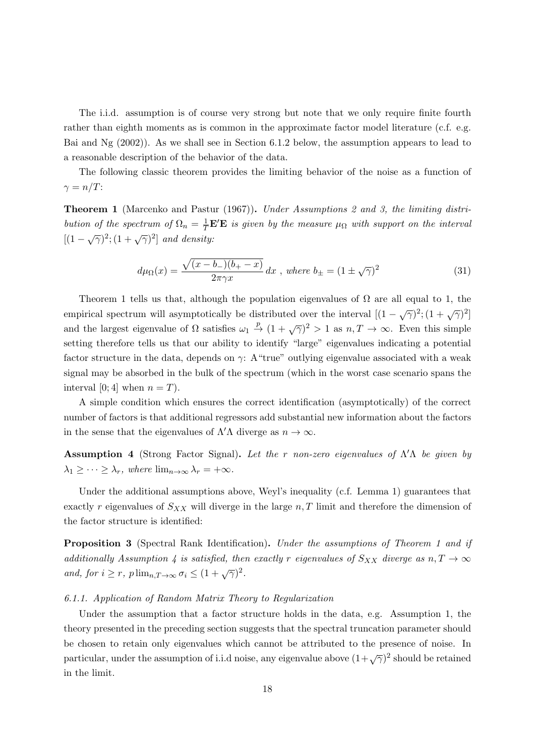The i.i.d. assumption is of course very strong but note that we only require finite fourth rather than eighth moments as is common in the approximate factor model literature (c.f. e.g. Bai and Ng (2002)). As we shall see in Section 6.1.2 below, the assumption appears to lead to a reasonable description of the behavior of the data.

The following classic theorem provides the limiting behavior of the noise as a function of  $\gamma = n/T$ :

**Theorem 1** (Marcenko and Pastur (1967)). Under Assumptions 2 and 3, the limiting distribution of the spectrum of  $\Omega_n = \frac{1}{T} \mathbf{E}' \mathbf{E}$  is given by the measure  $\mu_{\Omega}$  with support on the interval  $[(1-\sqrt{\gamma})^2; (1+\sqrt{\gamma})^2]$  and density:

$$
d\mu_{\Omega}(x) = \frac{\sqrt{(x - b_{-})(b_{+} - x)}}{2\pi\gamma x} dx, \text{ where } b_{\pm} = (1 \pm \sqrt{\gamma})^2
$$
 (31)

Theorem 1 tells us that, although the population eigenvalues of  $\Omega$  are all equal to 1, the empirical spectrum will asymptotically be distributed over the interval  $[(1 - \sqrt{\gamma})^2; (1 + \sqrt{\gamma})^2]$ and the largest eigenvalue of  $\Omega$  satisfies  $\omega_1 \stackrel{p}{\to} (1 + \sqrt{\gamma})^2 > 1$  as  $n, T \to \infty$ . Even this simple setting therefore tells us that our ability to identify "large" eigenvalues indicating a potential factor structure in the data, depends on  $\gamma$ : A "true" outlying eigenvalue associated with a weak signal may be absorbed in the bulk of the spectrum (which in the worst case scenario spans the interval [0; 4] when  $n = T$ .

A simple condition which ensures the correct identification (asymptotically) of the correct number of factors is that additional regressors add substantial new information about the factors in the sense that the eigenvalues of  $\Lambda' \Lambda$  diverge as  $n \to \infty$ .

**Assumption 4** (Strong Factor Signal). Let the r non-zero eigenvalues of  $\Lambda' \Lambda$  be given by  $\lambda_1 \geq \cdots \geq \lambda_r$ , where  $\lim_{n \to \infty} \lambda_r = +\infty$ .

Under the additional assumptions above, Weyl's inequality (c.f. Lemma 1) guarantees that exactly r eigenvalues of  $S_{XX}$  will diverge in the large  $n, T$  limit and therefore the dimension of the factor structure is identified:

**Proposition 3** (Spectral Rank Identification). Under the assumptions of Theorem 1 and if additionally Assumption 4 is satisfied, then exactly r eigenvalues of  $S_{XX}$  diverge as  $n, T \rightarrow \infty$ and, for  $i \geq r$ ,  $p \lim_{n,T \to \infty} \sigma_i \leq (1 + \sqrt{\gamma})^2$ .

## 6.1.1. Application of Random Matrix Theory to Regularization

Under the assumption that a factor structure holds in the data, e.g. Assumption 1, the theory presented in the preceding section suggests that the spectral truncation parameter should be chosen to retain only eigenvalues which cannot be attributed to the presence of noise. In particular, under the assumption of i.i.d noise, any eigenvalue above  $(1+\sqrt{\gamma})^2$  should be retained in the limit.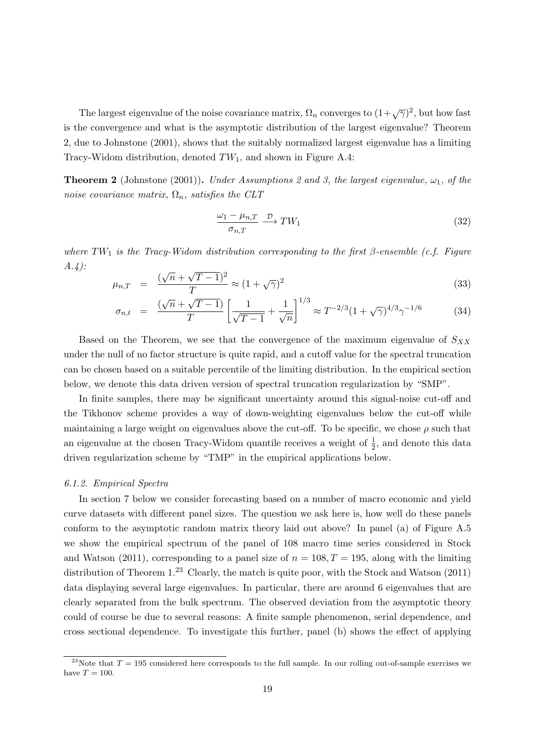The largest eigenvalue of the noise covariance matrix,  $\Omega_n$  converges to  $(1+\sqrt{\gamma})^2$ , but how fast is the convergence and what is the asymptotic distribution of the largest eigenvalue? Theorem 2, due to Johnstone (2001), shows that the suitably normalized largest eigenvalue has a limiting Tracy-Widom distribution, denoted  $TW_1$ , and shown in Figure A.4:

**Theorem 2** (Johnstone (2001)). Under Assumptions 2 and 3, the largest eigenvalue,  $\omega_1$ , of the noise covariance matrix,  $\Omega_n$ , satisfies the CLT

$$
\frac{\omega_1 - \mu_{n,T}}{\sigma_{n,T}} \xrightarrow{\mathcal{D}} TW_1 \tag{32}
$$

where TW<sub>1</sub> is the Tracy-Widom distribution corresponding to the first  $\beta$ -ensemble (c.f. Figure  $A.4)$ : √ √

$$
\mu_{n,T} = \frac{(\sqrt{n} + \sqrt{T-1})^2}{T} \approx (1 + \sqrt{\gamma})^2
$$
\n(33)

$$
\sigma_{n,t} = \frac{(\sqrt{n} + \sqrt{T - 1})}{T} \left[ \frac{1}{\sqrt{T - 1}} + \frac{1}{\sqrt{n}} \right]^{1/3} \approx T^{-2/3} (1 + \sqrt{\gamma})^{4/3} \gamma^{-1/6} \tag{34}
$$

Based on the Theorem, we see that the convergence of the maximum eigenvalue of  $S_{XX}$ under the null of no factor structure is quite rapid, and a cutoff value for the spectral truncation can be chosen based on a suitable percentile of the limiting distribution. In the empirical section below, we denote this data driven version of spectral truncation regularization by "SMP".

In finite samples, there may be significant uncertainty around this signal-noise cut-off and the Tikhonov scheme provides a way of down-weighting eigenvalues below the cut-off while maintaining a large weight on eigenvalues above the cut-off. To be specific, we chose  $\rho$  such that an eigenvalue at the chosen Tracy-Widom quantile receives a weight of  $\frac{1}{2}$ , and denote this data driven regularization scheme by "TMP" in the empirical applications below.

## 6.1.2. Empirical Spectra

In section 7 below we consider forecasting based on a number of macro economic and yield curve datasets with different panel sizes. The question we ask here is, how well do these panels conform to the asymptotic random matrix theory laid out above? In panel (a) of Figure A.5 we show the empirical spectrum of the panel of 108 macro time series considered in Stock and Watson (2011), corresponding to a panel size of  $n = 108, T = 195$ , along with the limiting distribution of Theorem 1.<sup>23</sup> Clearly, the match is quite poor, with the Stock and Watson (2011) data displaying several large eigenvalues. In particular, there are around 6 eigenvalues that are clearly separated from the bulk spectrum. The observed deviation from the asymptotic theory could of course be due to several reasons: A finite sample phenomenon, serial dependence, and cross sectional dependence. To investigate this further, panel (b) shows the effect of applying

<sup>&</sup>lt;sup>23</sup>Note that  $T = 195$  considered here corresponds to the full sample. In our rolling out-of-sample exercises we have  $T = 100$ .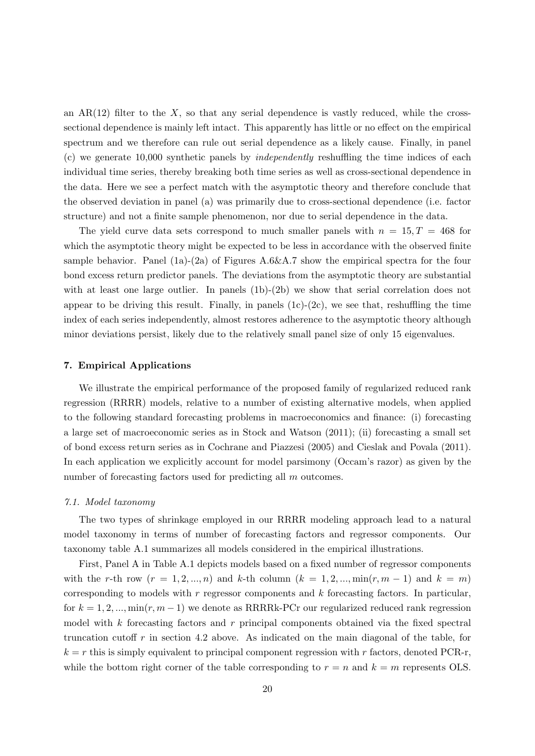an  $AR(12)$  filter to the X, so that any serial dependence is vastly reduced, while the crosssectional dependence is mainly left intact. This apparently has little or no effect on the empirical spectrum and we therefore can rule out serial dependence as a likely cause. Finally, in panel (c) we generate 10,000 synthetic panels by independently reshuffling the time indices of each individual time series, thereby breaking both time series as well as cross-sectional dependence in the data. Here we see a perfect match with the asymptotic theory and therefore conclude that the observed deviation in panel (a) was primarily due to cross-sectional dependence (i.e. factor structure) and not a finite sample phenomenon, nor due to serial dependence in the data.

The yield curve data sets correspond to much smaller panels with  $n = 15, T = 468$  for which the asymptotic theory might be expected to be less in accordance with the observed finite sample behavior. Panel  $(1a)-(2a)$  of Figures A.6&A.7 show the empirical spectra for the four bond excess return predictor panels. The deviations from the asymptotic theory are substantial with at least one large outlier. In panels (1b)-(2b) we show that serial correlation does not appear to be driving this result. Finally, in panels  $(1c)-(2c)$ , we see that, reshuffling the time index of each series independently, almost restores adherence to the asymptotic theory although minor deviations persist, likely due to the relatively small panel size of only 15 eigenvalues.

## 7. Empirical Applications

We illustrate the empirical performance of the proposed family of regularized reduced rank regression (RRRR) models, relative to a number of existing alternative models, when applied to the following standard forecasting problems in macroeconomics and finance: (i) forecasting a large set of macroeconomic series as in Stock and Watson (2011); (ii) forecasting a small set of bond excess return series as in Cochrane and Piazzesi (2005) and Cieslak and Povala (2011). In each application we explicitly account for model parsimony (Occam's razor) as given by the number of forecasting factors used for predicting all m outcomes.

## 7.1. Model taxonomy

The two types of shrinkage employed in our RRRR modeling approach lead to a natural model taxonomy in terms of number of forecasting factors and regressor components. Our taxonomy table A.1 summarizes all models considered in the empirical illustrations.

First, Panel A in Table A.1 depicts models based on a fixed number of regressor components with the r-th row  $(r = 1, 2, ..., n)$  and k-th column  $(k = 1, 2, ..., \min(r, m - 1)$  and  $k = m)$ corresponding to models with  $r$  regressor components and  $k$  forecasting factors. In particular, for  $k = 1, 2, ..., \min(r, m - 1)$  we denote as RRRRk-PCr our regularized reduced rank regression model with  $k$  forecasting factors and  $r$  principal components obtained via the fixed spectral truncation cutoff r in section 4.2 above. As indicated on the main diagonal of the table, for  $k = r$  this is simply equivalent to principal component regression with r factors, denoted PCR-r, while the bottom right corner of the table corresponding to  $r = n$  and  $k = m$  represents OLS.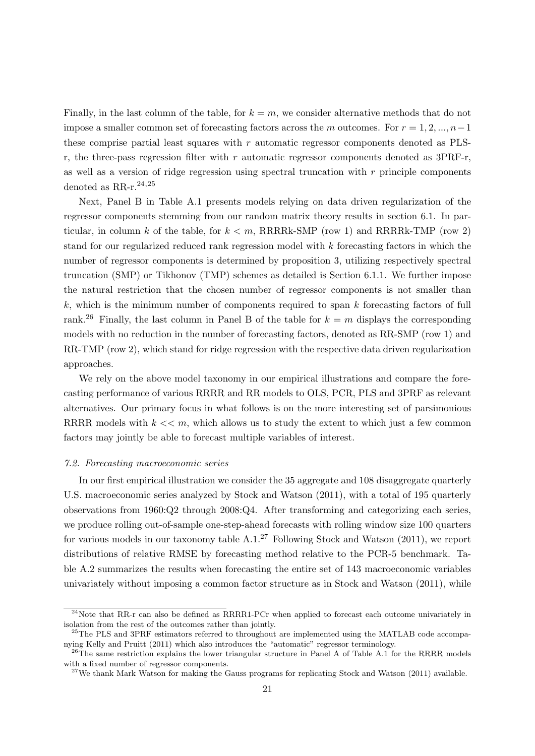Finally, in the last column of the table, for  $k = m$ , we consider alternative methods that do not impose a smaller common set of forecasting factors across the m outcomes. For  $r = 1, 2, ..., n-1$ these comprise partial least squares with  $r$  automatic regressor components denoted as PLSr, the three-pass regression filter with r automatic regressor components denoted as  $3PRF-r$ , as well as a version of ridge regression using spectral truncation with  $r$  principle components denoted as  $RR-r.^{24,25}$ 

Next, Panel B in Table A.1 presents models relying on data driven regularization of the regressor components stemming from our random matrix theory results in section 6.1. In particular, in column k of the table, for  $k < m$ , RRRRk-SMP (row 1) and RRRRk-TMP (row 2) stand for our regularized reduced rank regression model with k forecasting factors in which the number of regressor components is determined by proposition 3, utilizing respectively spectral truncation (SMP) or Tikhonov (TMP) schemes as detailed is Section 6.1.1. We further impose the natural restriction that the chosen number of regressor components is not smaller than  $k$ , which is the minimum number of components required to span  $k$  forecasting factors of full rank.<sup>26</sup> Finally, the last column in Panel B of the table for  $k = m$  displays the corresponding models with no reduction in the number of forecasting factors, denoted as RR-SMP (row 1) and RR-TMP (row 2), which stand for ridge regression with the respective data driven regularization approaches.

We rely on the above model taxonomy in our empirical illustrations and compare the forecasting performance of various RRRR and RR models to OLS, PCR, PLS and 3PRF as relevant alternatives. Our primary focus in what follows is on the more interesting set of parsimonious RRRR models with  $k \ll m$ , which allows us to study the extent to which just a few common factors may jointly be able to forecast multiple variables of interest.

#### 7.2. Forecasting macroeconomic series

In our first empirical illustration we consider the 35 aggregate and 108 disaggregate quarterly U.S. macroeconomic series analyzed by Stock and Watson (2011), with a total of 195 quarterly observations from  $1960:Q2$  through  $2008:Q4$ . After transforming and categorizing each series, we produce rolling out-of-sample one-step-ahead forecasts with rolling window size 100 quarters for various models in our taxonomy table  $A.1<sup>27</sup>$  Following Stock and Watson (2011), we report distributions of relative RMSE by forecasting method relative to the PCR-5 benchmark. Table A.2 summarizes the results when forecasting the entire set of 143 macroeconomic variables univariately without imposing a common factor structure as in Stock and Watson (2011), while

<sup>&</sup>lt;sup>24</sup>Note that RR-r can also be defined as RRRR1-PCr when applied to forecast each outcome univariately in isolation from the rest of the outcomes rather than jointly.

<sup>&</sup>lt;sup>25</sup>The PLS and 3PRF estimators referred to throughout are implemented using the MATLAB code accompanying Kelly and Pruitt (2011) which also introduces the "automatic" regressor terminology.

 $^{26}$ The same restriction explains the lower triangular structure in Panel A of Table A.1 for the RRRR models with a fixed number of regressor components.

 $27$ We thank Mark Watson for making the Gauss programs for replicating Stock and Watson (2011) available.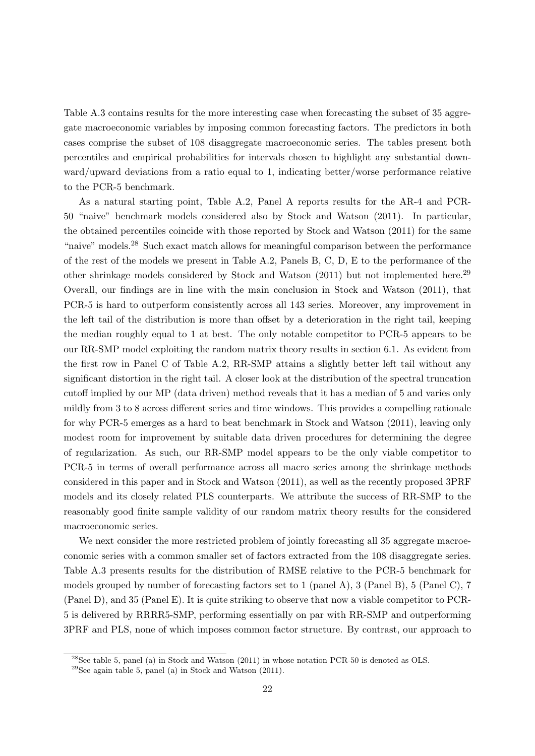Table A.3 contains results for the more interesting case when forecasting the subset of 35 aggregate macroeconomic variables by imposing common forecasting factors. The predictors in both cases comprise the subset of 108 disaggregate macroeconomic series. The tables present both percentiles and empirical probabilities for intervals chosen to highlight any substantial downward/upward deviations from a ratio equal to 1, indicating better/worse performance relative to the PCR-5 benchmark.

As a natural starting point, Table A.2, Panel A reports results for the AR-4 and PCR-50 "naive" benchmark models considered also by Stock and Watson (2011). In particular, the obtained percentiles coincide with those reported by Stock and Watson (2011) for the same "naive" models.<sup>28</sup> Such exact match allows for meaningful comparison between the performance of the rest of the models we present in Table A.2, Panels B, C, D, E to the performance of the other shrinkage models considered by Stock and Watson  $(2011)$  but not implemented here.<sup>29</sup> Overall, our findings are in line with the main conclusion in Stock and Watson (2011), that PCR-5 is hard to outperform consistently across all 143 series. Moreover, any improvement in the left tail of the distribution is more than offset by a deterioration in the right tail, keeping the median roughly equal to 1 at best. The only notable competitor to PCR-5 appears to be our RR-SMP model exploiting the random matrix theory results in section 6.1. As evident from the first row in Panel C of Table A.2, RR-SMP attains a slightly better left tail without any significant distortion in the right tail. A closer look at the distribution of the spectral truncation cutoff implied by our MP (data driven) method reveals that it has a median of 5 and varies only mildly from 3 to 8 across different series and time windows. This provides a compelling rationale for why PCR-5 emerges as a hard to beat benchmark in Stock and Watson (2011), leaving only modest room for improvement by suitable data driven procedures for determining the degree of regularization. As such, our RR-SMP model appears to be the only viable competitor to PCR-5 in terms of overall performance across all macro series among the shrinkage methods considered in this paper and in Stock and Watson (2011), as well as the recently proposed 3PRF models and its closely related PLS counterparts. We attribute the success of RR-SMP to the reasonably good finite sample validity of our random matrix theory results for the considered macroeconomic series.

We next consider the more restricted problem of jointly forecasting all 35 aggregate macroeconomic series with a common smaller set of factors extracted from the 108 disaggregate series. Table A.3 presents results for the distribution of RMSE relative to the PCR-5 benchmark for models grouped by number of forecasting factors set to 1 (panel A), 3 (Panel B), 5 (Panel C), 7 (Panel D), and 35 (Panel E). It is quite striking to observe that now a viable competitor to PCR-5 is delivered by RRRR5-SMP, performing essentially on par with RR-SMP and outperforming 3PRF and PLS, none of which imposes common factor structure. By contrast, our approach to

 $^{28}$ See table 5, panel (a) in Stock and Watson (2011) in whose notation PCR-50 is denoted as OLS.

 $29$ See again table 5, panel (a) in Stock and Watson (2011).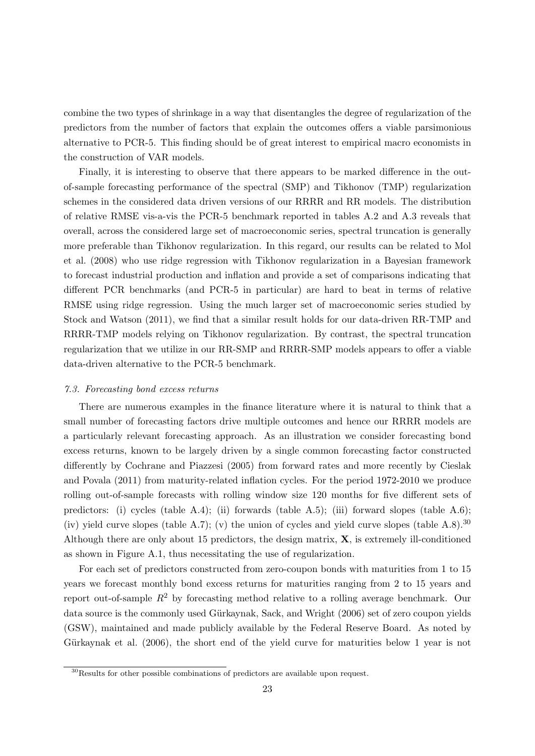combine the two types of shrinkage in a way that disentangles the degree of regularization of the predictors from the number of factors that explain the outcomes offers a viable parsimonious alternative to PCR-5. This finding should be of great interest to empirical macro economists in the construction of VAR models.

Finally, it is interesting to observe that there appears to be marked difference in the outof-sample forecasting performance of the spectral (SMP) and Tikhonov (TMP) regularization schemes in the considered data driven versions of our RRRR and RR models. The distribution of relative RMSE vis-a-vis the PCR-5 benchmark reported in tables A.2 and A.3 reveals that overall, across the considered large set of macroeconomic series, spectral truncation is generally more preferable than Tikhonov regularization. In this regard, our results can be related to Mol et al. (2008) who use ridge regression with Tikhonov regularization in a Bayesian framework to forecast industrial production and inflation and provide a set of comparisons indicating that different PCR benchmarks (and PCR-5 in particular) are hard to beat in terms of relative RMSE using ridge regression. Using the much larger set of macroeconomic series studied by Stock and Watson (2011), we find that a similar result holds for our data-driven RR-TMP and RRRR-TMP models relying on Tikhonov regularization. By contrast, the spectral truncation regularization that we utilize in our RR-SMP and RRRR-SMP models appears to offer a viable data-driven alternative to the PCR-5 benchmark.

# 7.3. Forecasting bond excess returns

There are numerous examples in the finance literature where it is natural to think that a small number of forecasting factors drive multiple outcomes and hence our RRRR models are a particularly relevant forecasting approach. As an illustration we consider forecasting bond excess returns, known to be largely driven by a single common forecasting factor constructed differently by Cochrane and Piazzesi (2005) from forward rates and more recently by Cieslak and Povala (2011) from maturity-related inflation cycles. For the period 1972-2010 we produce rolling out-of-sample forecasts with rolling window size 120 months for five different sets of predictors: (i) cycles (table A.4); (ii) forwards (table A.5); (iii) forward slopes (table A.6); (iv) yield curve slopes (table A.7); (v) the union of cycles and yield curve slopes (table A.8).<sup>30</sup> Although there are only about 15 predictors, the design matrix,  $\mathbf{X}$ , is extremely ill-conditioned as shown in Figure A.1, thus necessitating the use of regularization.

For each set of predictors constructed from zero-coupon bonds with maturities from 1 to 15 years we forecast monthly bond excess returns for maturities ranging from 2 to 15 years and report out-of-sample  $R^2$  by forecasting method relative to a rolling average benchmark. Our data source is the commonly used Gürkaynak, Sack, and Wright (2006) set of zero coupon yields (GSW), maintained and made publicly available by the Federal Reserve Board. As noted by Gürkaynak et al. (2006), the short end of the yield curve for maturities below 1 year is not

<sup>30</sup>Results for other possible combinations of predictors are available upon request.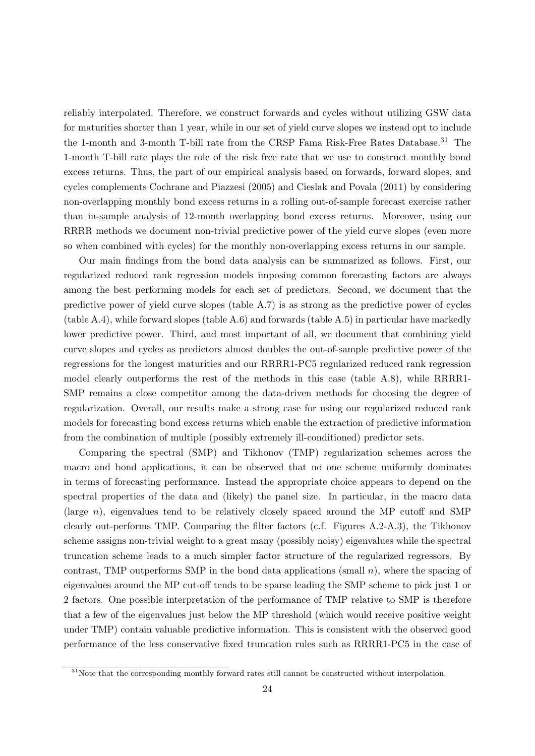reliably interpolated. Therefore, we construct forwards and cycles without utilizing GSW data for maturities shorter than 1 year, while in our set of yield curve slopes we instead opt to include the 1-month and 3-month T-bill rate from the CRSP Fama Risk-Free Rates Database.<sup>31</sup> The 1-month T-bill rate plays the role of the risk free rate that we use to construct monthly bond excess returns. Thus, the part of our empirical analysis based on forwards, forward slopes, and cycles complements Cochrane and Piazzesi (2005) and Cieslak and Povala (2011) by considering non-overlapping monthly bond excess returns in a rolling out-of-sample forecast exercise rather than in-sample analysis of 12-month overlapping bond excess returns. Moreover, using our RRRR methods we document non-trivial predictive power of the yield curve slopes (even more so when combined with cycles) for the monthly non-overlapping excess returns in our sample.

Our main findings from the bond data analysis can be summarized as follows. First, our regularized reduced rank regression models imposing common forecasting factors are always among the best performing models for each set of predictors. Second, we document that the predictive power of yield curve slopes (table A.7) is as strong as the predictive power of cycles (table A.4), while forward slopes (table A.6) and forwards (table A.5) in particular have markedly lower predictive power. Third, and most important of all, we document that combining yield curve slopes and cycles as predictors almost doubles the out-of-sample predictive power of the regressions for the longest maturities and our RRRR1-PC5 regularized reduced rank regression model clearly outperforms the rest of the methods in this case (table A.8), while RRRR1- SMP remains a close competitor among the data-driven methods for choosing the degree of regularization. Overall, our results make a strong case for using our regularized reduced rank models for forecasting bond excess returns which enable the extraction of predictive information from the combination of multiple (possibly extremely ill-conditioned) predictor sets.

Comparing the spectral (SMP) and Tikhonov (TMP) regularization schemes across the macro and bond applications, it can be observed that no one scheme uniformly dominates in terms of forecasting performance. Instead the appropriate choice appears to depend on the spectral properties of the data and (likely) the panel size. In particular, in the macro data (large  $n$ ), eigenvalues tend to be relatively closely spaced around the MP cutoff and SMP clearly out-performs TMP. Comparing the filter factors (c.f. Figures A.2-A.3), the Tikhonov scheme assigns non-trivial weight to a great many (possibly noisy) eigenvalues while the spectral truncation scheme leads to a much simpler factor structure of the regularized regressors. By contrast, TMP outperforms SMP in the bond data applications (small  $n$ ), where the spacing of eigenvalues around the MP cut-off tends to be sparse leading the SMP scheme to pick just 1 or 2 factors. One possible interpretation of the performance of TMP relative to SMP is therefore that a few of the eigenvalues just below the MP threshold (which would receive positive weight under TMP) contain valuable predictive information. This is consistent with the observed good performance of the less conservative fixed truncation rules such as RRRR1-PC5 in the case of

 $31$ Note that the corresponding monthly forward rates still cannot be constructed without interpolation.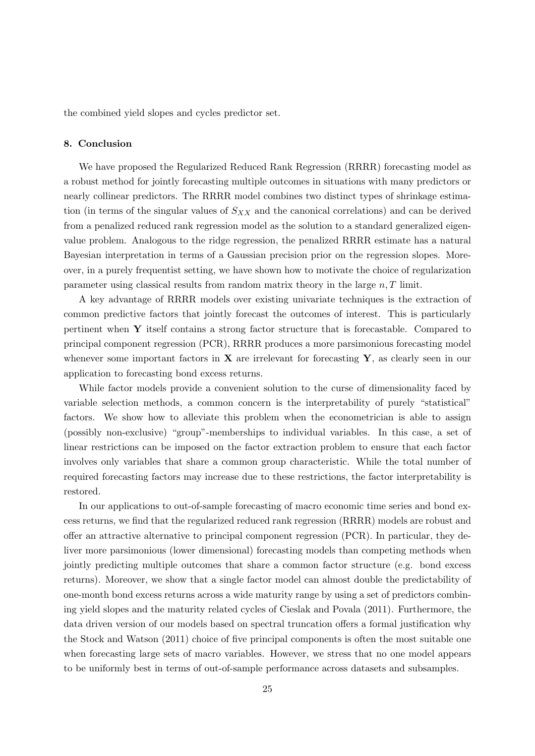the combined yield slopes and cycles predictor set.

# 8. Conclusion

We have proposed the Regularized Reduced Rank Regression (RRRR) forecasting model as a robust method for jointly forecasting multiple outcomes in situations with many predictors or nearly collinear predictors. The RRRR model combines two distinct types of shrinkage estimation (in terms of the singular values of  $S_{XX}$  and the canonical correlations) and can be derived from a penalized reduced rank regression model as the solution to a standard generalized eigenvalue problem. Analogous to the ridge regression, the penalized RRRR estimate has a natural Bayesian interpretation in terms of a Gaussian precision prior on the regression slopes. Moreover, in a purely frequentist setting, we have shown how to motivate the choice of regularization parameter using classical results from random matrix theory in the large  $n, T$  limit.

A key advantage of RRRR models over existing univariate techniques is the extraction of common predictive factors that jointly forecast the outcomes of interest. This is particularly pertinent when Y itself contains a strong factor structure that is forecastable. Compared to principal component regression (PCR), RRRR produces a more parsimonious forecasting model whenever some important factors in  $X$  are irrelevant for forecasting Y, as clearly seen in our application to forecasting bond excess returns.

While factor models provide a convenient solution to the curse of dimensionality faced by variable selection methods, a common concern is the interpretability of purely "statistical" factors. We show how to alleviate this problem when the econometrician is able to assign (possibly non-exclusive) "group"-memberships to individual variables. In this case, a set of linear restrictions can be imposed on the factor extraction problem to ensure that each factor involves only variables that share a common group characteristic. While the total number of required forecasting factors may increase due to these restrictions, the factor interpretability is restored.

In our applications to out-of-sample forecasting of macro economic time series and bond excess returns, we find that the regularized reduced rank regression (RRRR) models are robust and offer an attractive alternative to principal component regression (PCR). In particular, they deliver more parsimonious (lower dimensional) forecasting models than competing methods when jointly predicting multiple outcomes that share a common factor structure (e.g. bond excess returns). Moreover, we show that a single factor model can almost double the predictability of one-month bond excess returns across a wide maturity range by using a set of predictors combining yield slopes and the maturity related cycles of Cieslak and Povala (2011). Furthermore, the data driven version of our models based on spectral truncation offers a formal justification why the Stock and Watson (2011) choice of five principal components is often the most suitable one when forecasting large sets of macro variables. However, we stress that no one model appears to be uniformly best in terms of out-of-sample performance across datasets and subsamples.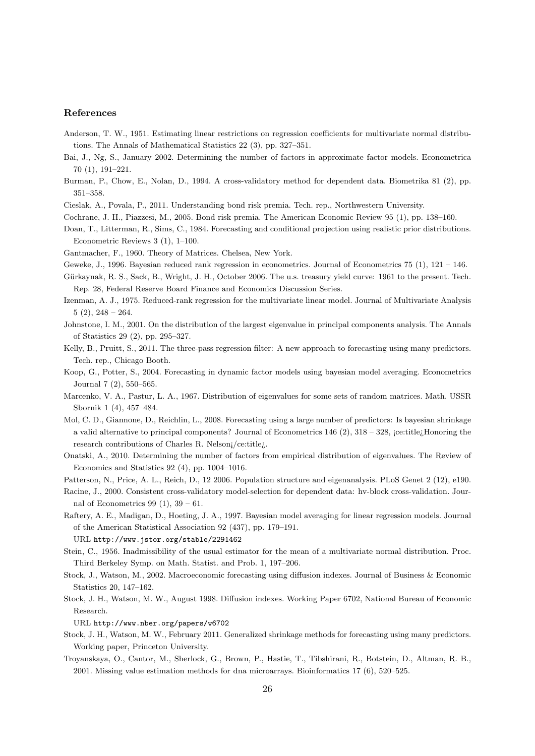# References

- Anderson, T. W., 1951. Estimating linear restrictions on regression coefficients for multivariate normal distributions. The Annals of Mathematical Statistics 22 (3), pp. 327–351.
- Bai, J., Ng, S., January 2002. Determining the number of factors in approximate factor models. Econometrica 70 (1), 191–221.
- Burman, P., Chow, E., Nolan, D., 1994. A cross-validatory method for dependent data. Biometrika 81 (2), pp. 351–358.
- Cieslak, A., Povala, P., 2011. Understanding bond risk premia. Tech. rep., Northwestern University.
- Cochrane, J. H., Piazzesi, M., 2005. Bond risk premia. The American Economic Review 95 (1), pp. 138–160.
- Doan, T., Litterman, R., Sims, C., 1984. Forecasting and conditional projection using realistic prior distributions. Econometric Reviews 3 (1), 1–100.
- Gantmacher, F., 1960. Theory of Matrices. Chelsea, New York.
- Geweke, J., 1996. Bayesian reduced rank regression in econometrics. Journal of Econometrics 75 (1), 121 146.
- Gürkaynak, R. S., Sack, B., Wright, J. H., October 2006. The u.s. treasury yield curve: 1961 to the present. Tech. Rep. 28, Federal Reserve Board Finance and Economics Discussion Series.
- Izenman, A. J., 1975. Reduced-rank regression for the multivariate linear model. Journal of Multivariate Analysis  $5(2)$ ,  $248 - 264$ .
- Johnstone, I. M., 2001. On the distribution of the largest eigenvalue in principal components analysis. The Annals of Statistics 29 (2), pp. 295–327.
- Kelly, B., Pruitt, S., 2011. The three-pass regression filter: A new approach to forecasting using many predictors. Tech. rep., Chicago Booth.
- Koop, G., Potter, S., 2004. Forecasting in dynamic factor models using bayesian model averaging. Econometrics Journal 7 (2), 550–565.
- Marcenko, V. A., Pastur, L. A., 1967. Distribution of eigenvalues for some sets of random matrices. Math. USSR Sbornik 1 (4), 457–484.
- Mol, C. D., Giannone, D., Reichlin, L., 2008. Forecasting using a large number of predictors: Is bayesian shrinkage a valid alternative to principal components? Journal of Econometrics 146 (2), 318 – 328, ¡ce:title¿Honoring the research contributions of Charles R. Nelson¡/ce:title¿.
- Onatski, A., 2010. Determining the number of factors from empirical distribution of eigenvalues. The Review of Economics and Statistics 92 (4), pp. 1004–1016.
- Patterson, N., Price, A. L., Reich, D., 12 2006. Population structure and eigenanalysis. PLoS Genet 2 (12), e190.
- Racine, J., 2000. Consistent cross-validatory model-selection for dependent data: hv-block cross-validation. Journal of Econometrics 99 (1),  $39 - 61$ .
- Raftery, A. E., Madigan, D., Hoeting, J. A., 1997. Bayesian model averaging for linear regression models. Journal of the American Statistical Association 92 (437), pp. 179–191.

URL http://www.jstor.org/stable/2291462

- Stein, C., 1956. Inadmissibility of the usual estimator for the mean of a multivariate normal distribution. Proc. Third Berkeley Symp. on Math. Statist. and Prob. 1, 197–206.
- Stock, J., Watson, M., 2002. Macroeconomic forecasting using diffusion indexes. Journal of Business & Economic Statistics 20, 147–162.
- Stock, J. H., Watson, M. W., August 1998. Diffusion indexes. Working Paper 6702, National Bureau of Economic Research.

URL http://www.nber.org/papers/w6702

- Stock, J. H., Watson, M. W., February 2011. Generalized shrinkage methods for forecasting using many predictors. Working paper, Princeton University.
- Troyanskaya, O., Cantor, M., Sherlock, G., Brown, P., Hastie, T., Tibshirani, R., Botstein, D., Altman, R. B., 2001. Missing value estimation methods for dna microarrays. Bioinformatics 17 (6), 520–525.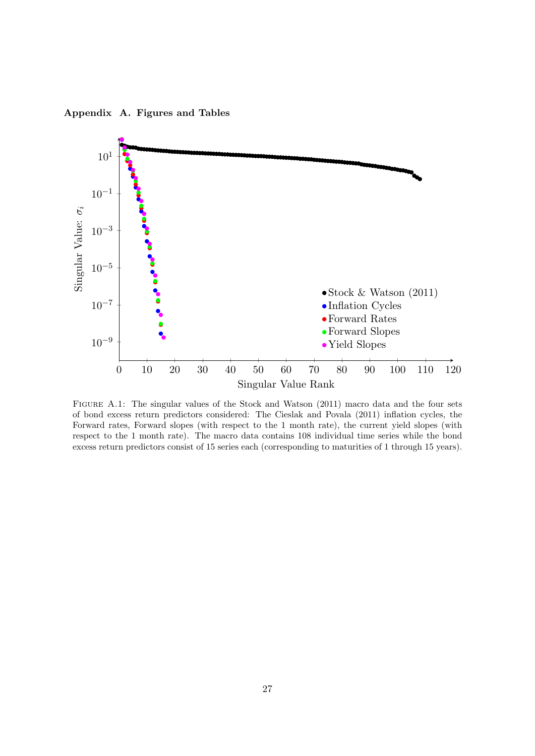Appendix A. Figures and Tables



FIGURE A.1: The singular values of the Stock and Watson (2011) macro data and the four sets of bond excess return predictors considered: The Cieslak and Povala (2011) inflation cycles, the Forward rates, Forward slopes (with respect to the 1 month rate), the current yield slopes (with respect to the 1 month rate). The macro data contains 108 individual time series while the bond excess return predictors consist of 15 series each (corresponding to maturities of 1 through 15 years).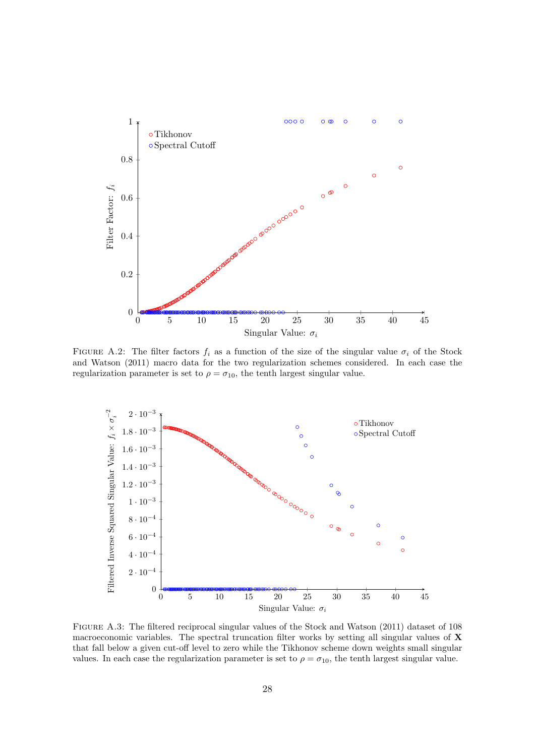

FIGURE A.2: The filter factors  $f_i$  as a function of the size of the singular value  $\sigma_i$  of the Stock and Watson (2011) macro data for the two regularization schemes considered. In each case the regularization parameter is set to  $\rho = \sigma_{10}$ , the tenth largest singular value.



Figure A.3: The filtered reciprocal singular values of the Stock and Watson (2011) dataset of 108 macroeconomic variables. The spectral truncation filter works by setting all singular values of  $\bf{X}$ that fall below a given cut-off level to zero while the Tikhonov scheme down weights small singular values. In each case the regularization parameter is set to  $\rho = \sigma_{10}$ , the tenth largest singular value.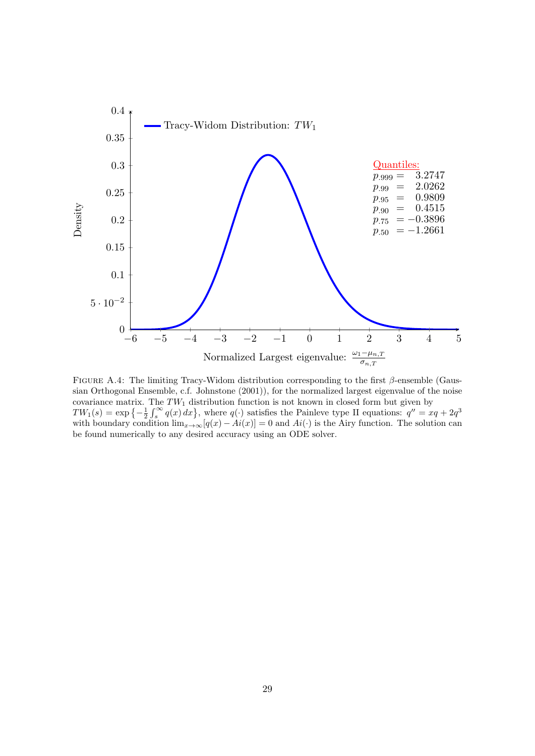

FIGURE A.4: The limiting Tracy-Widom distribution corresponding to the first  $\beta$ -ensemble (Gaussian Orthogonal Ensemble, c.f. Johnstone (2001)), for the normalized largest eigenvalue of the noise covariance matrix. The  $TW_1$  distribution function is not known in closed form but given by  $TW_1(s) = \exp\{-\frac{1}{2}\int_s^{\infty} q(x) dx\}$ , where  $q(\cdot)$  satisfies the Painleve type II equations:  $q'' = xq + 2q^3$ with boundary condition  $\lim_{x\to\infty} [q(x) - Ai(x)] = 0$  and  $Ai(\cdot)$  is the Airy function. The solution can be found numerically to any desired accuracy using an ODE solver.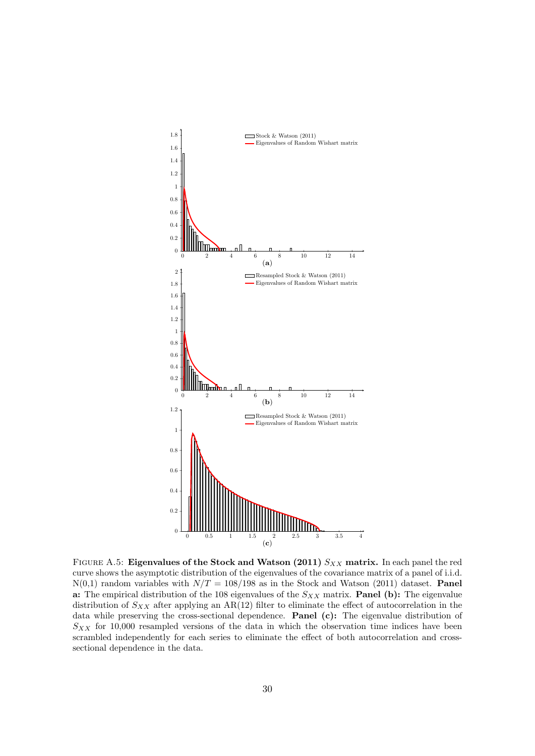

FIGURE A.5: Eigenvalues of the Stock and Watson (2011)  $S_{XX}$  matrix. In each panel the red curve shows the asymptotic distribution of the eigenvalues of the covariance matrix of a panel of i.i.d.  $N(0,1)$  random variables with  $N/T = 108/198$  as in the Stock and Watson (2011) dataset. **Panel** a: The empirical distribution of the 108 eigenvalues of the  $S_{XX}$  matrix. **Panel (b):** The eigenvalue distribution of  $S_{XX}$  after applying an AR(12) filter to eliminate the effect of autocorrelation in the data while preserving the cross-sectional dependence. Panel (c): The eigenvalue distribution of  $S_{XX}$  for 10,000 resampled versions of the data in which the observation time indices have been scrambled independently for each series to eliminate the effect of both autocorrelation and crosssectional dependence in the data.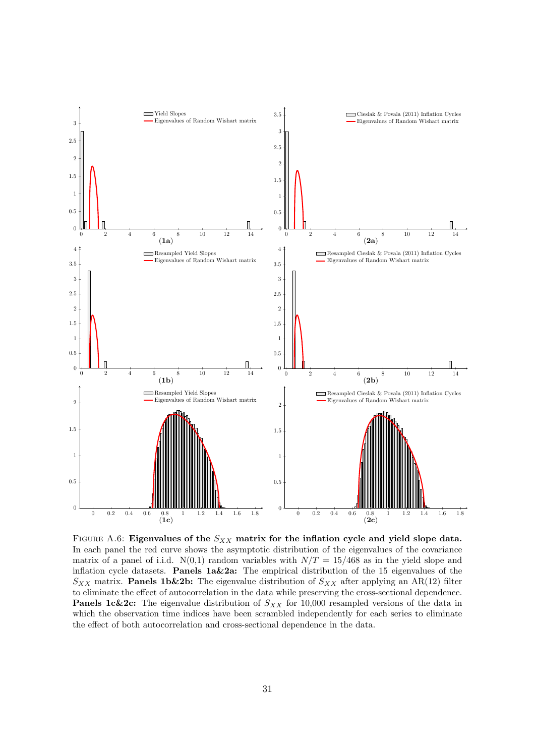

FIGURE A.6: Eigenvalues of the  $S_{XX}$  matrix for the inflation cycle and yield slope data. In each panel the red curve shows the asymptotic distribution of the eigenvalues of the covariance matrix of a panel of i.i.d.  $N(0,1)$  random variables with  $N/T = 15/468$  as in the yield slope and inflation cycle datasets. **Panels 1a&2a:** The empirical distribution of the 15 eigenvalues of the  $S_{XX}$  matrix. **Panels 1b&2b:** The eigenvalue distribution of  $S_{XX}$  after applying an AR(12) filter to eliminate the effect of autocorrelation in the data while preserving the cross-sectional dependence. **Panels 1c&2c:** The eigenvalue distribution of  $S_{XX}$  for 10,000 resampled versions of the data in which the observation time indices have been scrambled independently for each series to eliminate the effect of both autocorrelation and cross-sectional dependence in the data.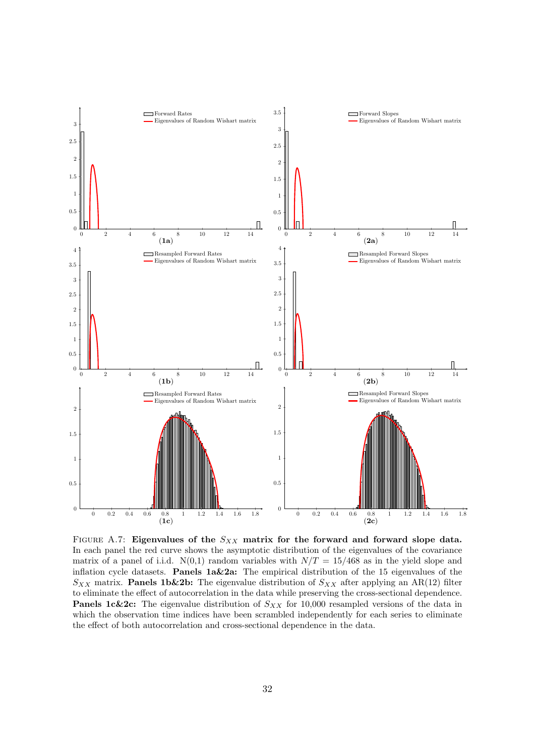

FIGURE A.7: Eigenvalues of the  $S_{XX}$  matrix for the forward and forward slope data. In each panel the red curve shows the asymptotic distribution of the eigenvalues of the covariance matrix of a panel of i.i.d.  $N(0,1)$  random variables with  $N/T = 15/468$  as in the yield slope and inflation cycle datasets. **Panels 1a&2a:** The empirical distribution of the 15 eigenvalues of the  $S_{XX}$  matrix. **Panels 1b&2b:** The eigenvalue distribution of  $S_{XX}$  after applying an AR(12) filter to eliminate the effect of autocorrelation in the data while preserving the cross-sectional dependence. **Panels 1c&2c:** The eigenvalue distribution of  $S_{XX}$  for 10,000 resampled versions of the data in which the observation time indices have been scrambled independently for each series to eliminate the effect of both autocorrelation and cross-sectional dependence in the data.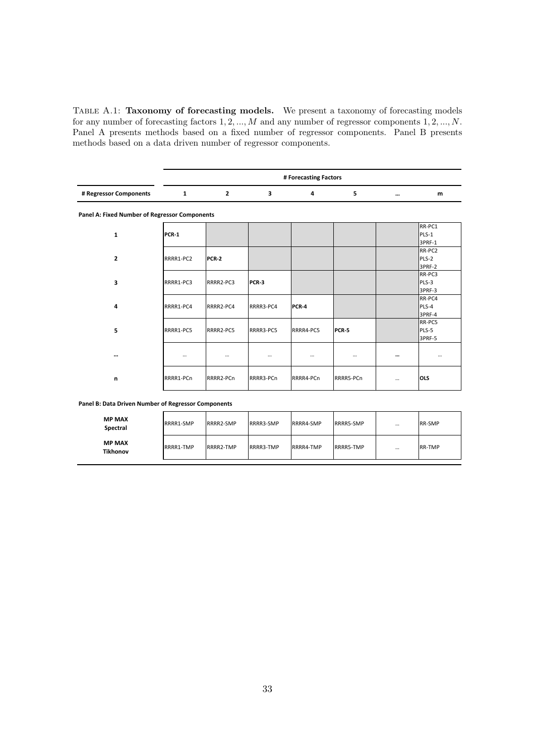TABLE A.1: Taxonomy of forecasting models. We present a taxonomy of forecasting models for any number of forecasting factors 1, 2, ..., M and any number of regressor components 1, 2, ..., N. Panel A presents methods based on a fixed number of regressor components. Panel B presents methods based on a data driven number of regressor components.

|                        |  | # Forecasting Factors |              |   |
|------------------------|--|-----------------------|--------------|---|
| # Regressor Components |  |                       | $\cdots$<br> | m |

**Panel A: Fixed Number of Regressor Components**

| 1              | <b>PCR-1</b> |              |           |           |              |          | RR-PC1<br>PLS-1<br>3PRF-1 |
|----------------|--------------|--------------|-----------|-----------|--------------|----------|---------------------------|
| $\overline{2}$ | RRRR1-PC2    | <b>PCR-2</b> |           |           |              |          | RR-PC2<br>PLS-2<br>3PRF-2 |
| 3              | RRRR1-PC3    | RRRR2-PC3    | PCR-3     |           |              |          | RR-PC3<br>PLS-3<br>3PRF-3 |
| 4              | RRRR1-PC4    | RRRR2-PC4    | RRRR3-PC4 | PCR-4     |              |          | RR-PC4<br>PLS-4<br>3PRF-4 |
| 5              | RRRR1-PC5    | RRRR2-PC5    | RRRR3-PC5 | RRRR4-PC5 | <b>PCR-5</b> |          | RR-PC5<br>PLS-5<br>3PRF-5 |
| $\cdots$       |              | $\cdots$     | $\cdots$  | $\cdots$  | $\cdots$     | $\cdots$ | $\cdots$                  |
| n              | RRRR1-PCn    | RRRR2-PCn    | RRRR3-PCn | RRRR4-PCn | RRRR5-PCn    | $\cdots$ | OLS                       |

**Panel B: Data Driven Number of Regressor Components**

| <b>MP MAX</b><br>Spectral | RRRR1-SMP | RRRR2-SMP | RRRR3-SMP | RRRR4-SMP | RRRR5-SMP | $\cdots$ | <b>RR-SMP</b> |
|---------------------------|-----------|-----------|-----------|-----------|-----------|----------|---------------|
| <b>MP MAX</b><br>Tikhonov | RRRR1-TMP | RRRR2-TMP | RRRR3-TMP | RRRR4-TMP | RRRR5-TMP | $\cdots$ | <b>RR-TMP</b> |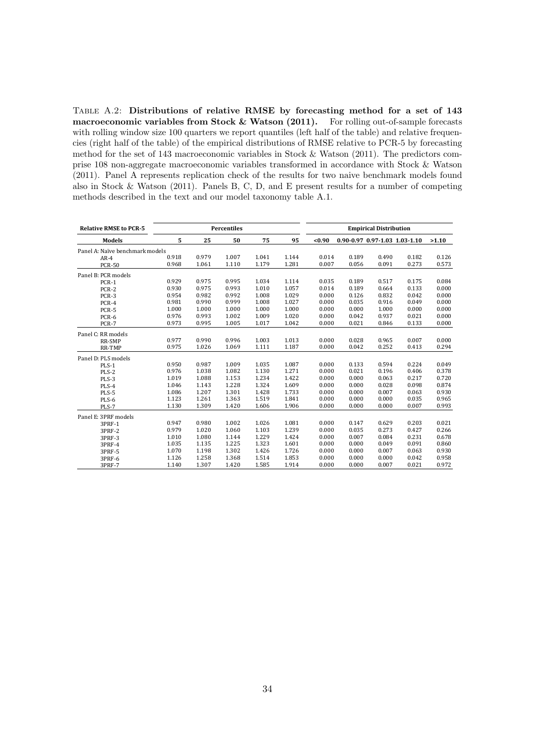Table A.2: Distributions of relative RMSE by forecasting method for a set of 143 macroeconomic variables from Stock & Watson (2011). For rolling out-of-sample forecasts with rolling window size 100 quarters we report quantiles (left half of the table) and relative frequencies (right half of the table) of the empirical distributions of RMSE relative to PCR-5 by forecasting method for the set of 143 macroeconomic variables in Stock & Watson (2011). The predictors comprise 108 non-aggregate macroeconomic variables transformed in accordance with Stock & Watson (2011). Panel A represents replication check of the results for two naive benchmark models found also in Stock & Watson (2011). Panels B, C, D, and E present results for a number of competing methods described in the text and our model taxonomy table A.1.

| <b>Relative RMSE to PCR-5</b>   |       |       | <b>Percentiles</b> |       |       |        |       | <b>Empirical Distribution</b> |       |       |
|---------------------------------|-------|-------|--------------------|-------|-------|--------|-------|-------------------------------|-------|-------|
| <b>Models</b>                   | 5     | 25    | 50                 | 75    | 95    | $0.90$ |       | 0.90-0.97 0.97-1.03 1.03-1.10 |       | >1.10 |
| Panel A: Naïve benchmark models |       |       |                    |       |       |        |       |                               |       |       |
| $AR-4$                          | 0.918 | 0.979 | 1.007              | 1.041 | 1.144 | 0.014  | 0.189 | 0.490                         | 0.182 | 0.126 |
| <b>PCR-50</b>                   | 0.968 | 1.061 | 1.110              | 1.179 | 1.281 | 0.007  | 0.056 | 0.091                         | 0.273 | 0.573 |
| Panel B: PCR models             |       |       |                    |       |       |        |       |                               |       |       |
| PCR-1                           | 0.929 | 0.975 | 0.995              | 1.034 | 1.114 | 0.035  | 0.189 | 0.517                         | 0.175 | 0.084 |
| PCR-2                           | 0.930 | 0.975 | 0.993              | 1.010 | 1.057 | 0.014  | 0.189 | 0.664                         | 0.133 | 0.000 |
| PCR-3                           | 0.954 | 0.982 | 0.992              | 1.008 | 1.029 | 0.000  | 0.126 | 0.832                         | 0.042 | 0.000 |
| PCR-4                           | 0.981 | 0.990 | 0.999              | 1.008 | 1.027 | 0.000  | 0.035 | 0.916                         | 0.049 | 0.000 |
| PCR-5                           | 1.000 | 1.000 | 1.000              | 1.000 | 1.000 | 0.000  | 0.000 | 1.000                         | 0.000 | 0.000 |
| PCR-6                           | 0.976 | 0.993 | 1.002              | 1.009 | 1.020 | 0.000  | 0.042 | 0.937                         | 0.021 | 0.000 |
| PCR-7                           | 0.973 | 0.995 | 1.005              | 1.017 | 1.042 | 0.000  | 0.021 | 0.846                         | 0.133 | 0.000 |
| Panel C: RR models              |       |       |                    |       |       |        |       |                               |       |       |
| RR-SMP                          | 0.977 | 0.990 | 0.996              | 1.003 | 1.013 | 0.000  | 0.028 | 0.965                         | 0.007 | 0.000 |
| RR-TMP                          | 0.975 | 1.026 | 1.069              | 1.111 | 1.187 | 0.000  | 0.042 | 0.252                         | 0.413 | 0.294 |
| Panel D: PLS models             |       |       |                    |       |       |        |       |                               |       |       |
| PLS-1                           | 0.950 | 0.987 | 1.009              | 1.035 | 1.087 | 0.000  | 0.133 | 0.594                         | 0.224 | 0.049 |
| PLS-2                           | 0.976 | 1.038 | 1.082              | 1.130 | 1.271 | 0.000  | 0.021 | 0.196                         | 0.406 | 0.378 |
| PLS-3                           | 1.019 | 1.088 | 1.153              | 1.234 | 1.422 | 0.000  | 0.000 | 0.063                         | 0.217 | 0.720 |
| PLS-4                           | 1.046 | 1.143 | 1.228              | 1.324 | 1.609 | 0.000  | 0.000 | 0.028                         | 0.098 | 0.874 |
| PLS-5                           | 1.086 | 1.207 | 1.301              | 1.428 | 1.733 | 0.000  | 0.000 | 0.007                         | 0.063 | 0.930 |
| PLS-6                           | 1.123 | 1.261 | 1.363              | 1.519 | 1.841 | 0.000  | 0.000 | 0.000                         | 0.035 | 0.965 |
| PLS-7                           | 1.130 | 1.309 | 1.420              | 1.606 | 1.906 | 0.000  | 0.000 | 0.000                         | 0.007 | 0.993 |
| Panel E: 3PRF models            |       |       |                    |       |       |        |       |                               |       |       |
| 3PRF-1                          | 0.947 | 0.980 | 1.002              | 1.026 | 1.081 | 0.000  | 0.147 | 0.629                         | 0.203 | 0.021 |
| 3PRF-2                          | 0.979 | 1.020 | 1.060              | 1.103 | 1.239 | 0.000  | 0.035 | 0.273                         | 0.427 | 0.266 |
| 3PRF-3                          | 1.010 | 1.080 | 1.144              | 1.229 | 1.424 | 0.000  | 0.007 | 0.084                         | 0.231 | 0.678 |
| 3PRF-4                          | 1.035 | 1.135 | 1.225              | 1.323 | 1.601 | 0.000  | 0.000 | 0.049                         | 0.091 | 0.860 |
| 3PRF-5                          | 1.070 | 1.198 | 1.302              | 1.426 | 1.726 | 0.000  | 0.000 | 0.007                         | 0.063 | 0.930 |
| 3PRF-6                          | 1.126 | 1.258 | 1.368              | 1.514 | 1.853 | 0.000  | 0.000 | 0.000                         | 0.042 | 0.958 |
| 3PRF-7                          | 1.140 | 1.307 | 1.420              | 1.585 | 1.914 | 0.000  | 0.000 | 0.007                         | 0.021 | 0.972 |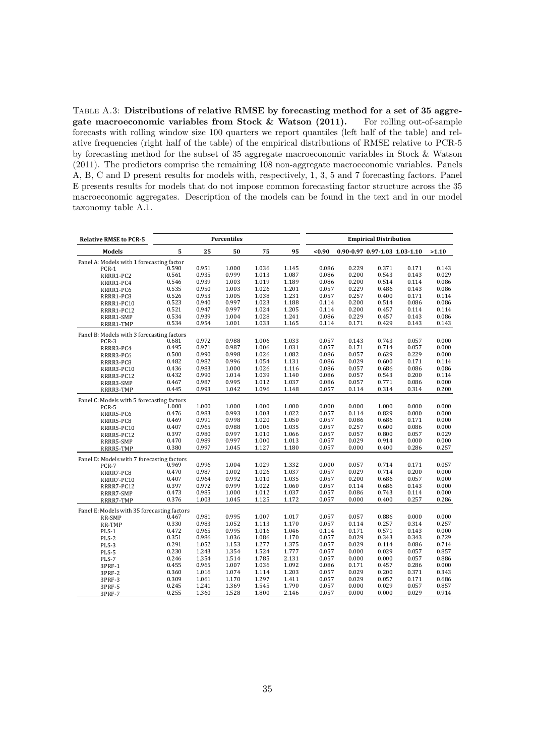TABLE A.3: Distributions of relative RMSE by forecasting method for a set of 35 aggregate macroeconomic variables from Stock & Watson (2011). For rolling out-of-sample forecasts with rolling window size 100 quarters we report quantiles (left half of the table) and relative frequencies (right half of the table) of the empirical distributions of RMSE relative to PCR-5 by forecasting method for the subset of 35 aggregate macroeconomic variables in Stock & Watson (2011). The predictors comprise the remaining 108 non-aggregate macroeconomic variables. Panels A, B, C and D present results for models with, respectively, 1, 3, 5 and 7 forecasting factors. Panel E presents results for models that do not impose common forecasting factor structure across the 35 macroeconomic aggregates. Description of the models can be found in the text and in our model taxonomy table A.1.

| <b>Relative RMSE to PCR-5</b>               |       |       | Percentiles |       |       |           |       | <b>Empirical Distribution</b> |       |       |
|---------------------------------------------|-------|-------|-------------|-------|-------|-----------|-------|-------------------------------|-------|-------|
| <b>Models</b>                               | 5     | 25    | 50          | 75    | 95    | $0.90$    |       | 0.90-0.97 0.97-1.03 1.03-1.10 |       | >1.10 |
| Panel A: Models with 1 forecasting factor   |       |       |             |       |       |           |       |                               |       |       |
| PCR-1                                       | 0.590 | 0.951 | 1.000       | 1.036 | 1.145 | 0.086     | 0.229 | 0.371                         | 0.171 | 0.143 |
| RRRR1-PC2                                   | 0.561 | 0.935 | 0.999       | 1.013 | 1.087 | 0.086     | 0.200 | 0.543                         | 0.143 | 0.029 |
| RRRR1-PC4                                   | 0.546 | 0.939 | 1.003       | 1.019 | 1.189 | 0.086     | 0.200 | 0.514                         | 0.114 | 0.086 |
| RRRR1-PC6                                   | 0.535 | 0.950 | 1.003       | 1.026 | 1.201 | 0.057     | 0.229 | 0.486                         | 0.143 | 0.086 |
| RRRR1-PC8                                   | 0.526 | 0.953 | 1.005       | 1.038 | 1.231 | 0.057     | 0.257 | 0.400                         | 0.171 | 0.114 |
| RRRR1-PC10                                  | 0.523 | 0.940 | 0.997       | 1.023 | 1.188 | 0.114     | 0.200 | 0.514                         | 0.086 | 0.086 |
| RRRR1-PC12                                  | 0.521 | 0.947 | 0.997       | 1.024 | 1.205 | 0.114     | 0.200 | 0.457                         | 0.114 | 0.114 |
| RRRR1-SMP                                   | 0.534 | 0.939 | 1.004       | 1.028 | 1.241 | 0.086     | 0.229 | 0.457                         | 0.143 | 0.086 |
| RRRR1-TMP                                   | 0.534 | 0.954 | 1.001       | 1.033 | 1.165 | 0.114     | 0.171 | 0.429                         | 0.143 | 0.143 |
| Panel B: Models with 3 forecasting factors  |       |       |             |       |       |           |       |                               |       |       |
| PCR-3                                       | 0.681 | 0.972 | 0.988       | 1.006 | 1.033 | 0.057     | 0.143 | 0.743                         | 0.057 | 0.000 |
| RRRR3-PC4                                   | 0.495 | 0.971 | 0.987       | 1.006 | 1.031 | 0.057     | 0.171 | 0.714                         | 0.057 | 0.000 |
| RRRR3-PC6                                   | 0.500 | 0.990 | 0.998       | 1.026 | 1.082 | 0.086     | 0.057 | 0.629                         | 0.229 | 0.000 |
| RRRR3-PC8                                   | 0.482 | 0.982 | 0.996       | 1.054 | 1.131 | 0.086     | 0.029 | 0.600                         | 0.171 | 0.114 |
| RRRR3-PC10                                  | 0.436 | 0.983 | 1.000       | 1.026 | 1.116 | 0.086     | 0.057 | 0.686                         | 0.086 | 0.086 |
| RRRR3-PC12                                  | 0.432 | 0.990 | 1.014       | 1.039 | 1.140 | 0.086     | 0.057 | 0.543                         | 0.200 | 0.114 |
| RRRR3-SMP                                   | 0.467 | 0.987 | 0.995       | 1.012 | 1.037 | 0.086     | 0.057 | 0.771                         | 0.086 | 0.000 |
| RRRR3-TMP                                   | 0.445 | 0.993 | 1.042       | 1.096 | 1.148 | 0.057     | 0.114 | 0.314                         | 0.314 | 0.200 |
| Panel C: Models with 5 forecasting factors  |       |       |             |       |       |           |       |                               |       |       |
| PCR-5                                       | 1.000 | 1.000 | 1.000       | 1.000 | 1.000 | 0.000     | 0.000 | 1.000                         | 0.000 | 0.000 |
| RRRR5-PC6                                   | 0.476 | 0.983 | 0.993       | 1.003 | 1.022 | 0.057     | 0.114 | 0.829                         | 0.000 | 0.000 |
| RRRR5-PC8                                   | 0.469 | 0.991 | 0.998       | 1.020 | 1.050 | 0.057     | 0.086 | 0.686                         | 0.171 | 0.000 |
| RRRR5-PC10                                  | 0.407 | 0.965 | 0.988       | 1.006 | 1.035 | 0.057     | 0.257 | 0.600                         | 0.086 | 0.000 |
| RRRR5-PC12                                  | 0.397 | 0.980 | 0.997       | 1.010 | 1.066 | 0.057     | 0.057 | 0.800                         | 0.057 | 0.029 |
| RRRR5-SMP                                   | 0.470 | 0.989 | 0.997       | 1.000 | 1.013 | 0.057     | 0.029 | 0.914                         | 0.000 | 0.000 |
| RRRR5-TMP                                   | 0.380 | 0.997 | 1.045       | 1.127 | 1.180 | 0.057     | 0.000 | 0.400                         | 0.286 | 0.257 |
| Panel D: Models with 7 forecasting factors  |       |       |             |       |       |           |       |                               |       |       |
| PCR-7                                       | 0.969 | 0.996 | 1.004       | 1.029 | 1.332 | 0.000     | 0.057 | 0.714                         | 0.171 | 0.057 |
| RRRR7-PC8                                   | 0.470 | 0.987 | 1.002       | 1.026 | 1.037 | 0.057     | 0.029 | 0.714                         | 0.200 | 0.000 |
| RRRR7-PC10                                  | 0.407 | 0.964 | 0.992       | 1.010 | 1.035 | 0.057     | 0.200 | 0.686                         | 0.057 | 0.000 |
| RRRR7-PC12                                  | 0.397 | 0.972 | 0.999       | 1.022 | 1.060 | 0.057     | 0.114 | 0.686                         | 0.143 | 0.000 |
| RRRR7-SMP                                   | 0.473 | 0.985 | 1.000       | 1.012 | 1.037 | 0.057     | 0.086 | 0.743                         | 0.114 | 0.000 |
| RRRR7-TMP                                   | 0.376 | 1.003 | 1.045       | 1.125 | 1.172 | 0.057     | 0.000 | 0.400                         | 0.257 | 0.286 |
| Panel E: Models with 35 forecasting factors |       |       |             |       |       |           |       |                               |       |       |
| RR-SMP                                      | 0.467 | 0.981 | 0.995       | 1.007 | 1.017 | 0.057     | 0.057 | 0.886                         | 0.000 | 0.000 |
| RR-TMP                                      | 0.330 | 0.983 | 1.052       | 1.113 | 1.170 | $0.057\,$ | 0.114 | 0.257                         | 0.314 | 0.257 |
| PLS-1                                       | 0.472 | 0.965 | 0.995       | 1.016 | 1.046 | 0.114     | 0.171 | 0.571                         | 0.143 | 0.000 |
| PLS-2                                       | 0.351 | 0.986 | 1.036       | 1.086 | 1.170 | 0.057     | 0.029 | 0.343                         | 0.343 | 0.229 |
| PLS-3                                       | 0.291 | 1.052 | 1.153       | 1.277 | 1.375 | 0.057     | 0.029 | 0.114                         | 0.086 | 0.714 |
| PLS-5                                       | 0.230 | 1.243 | 1.354       | 1.524 | 1.777 | 0.057     | 0.000 | 0.029                         | 0.057 | 0.857 |
| PLS-7                                       | 0.246 | 1.354 | 1.514       | 1.785 | 2.131 | 0.057     | 0.000 | 0.000                         | 0.057 | 0.886 |
| 3PRF-1                                      | 0.455 | 0.965 | 1.007       | 1.036 | 1.092 | 0.086     | 0.171 | 0.457                         | 0.286 | 0.000 |
| 3PRF-2                                      | 0.360 | 1.016 | 1.074       | 1.114 | 1.203 | 0.057     | 0.029 | 0.200                         | 0.371 | 0.343 |
| 3PRF-3                                      | 0.309 | 1.061 | 1.170       | 1.297 | 1.411 | 0.057     | 0.029 | 0.057                         | 0.171 | 0.686 |
| 3PRF-5                                      | 0.245 | 1.241 | 1.369       | 1.545 | 1.790 | 0.057     | 0.000 | 0.029                         | 0.057 | 0.857 |
| 3PRF-7                                      | 0.255 | 1.360 | 1.528       | 1.800 | 2.146 | 0.057     | 0.000 | 0.000                         | 0.029 | 0.914 |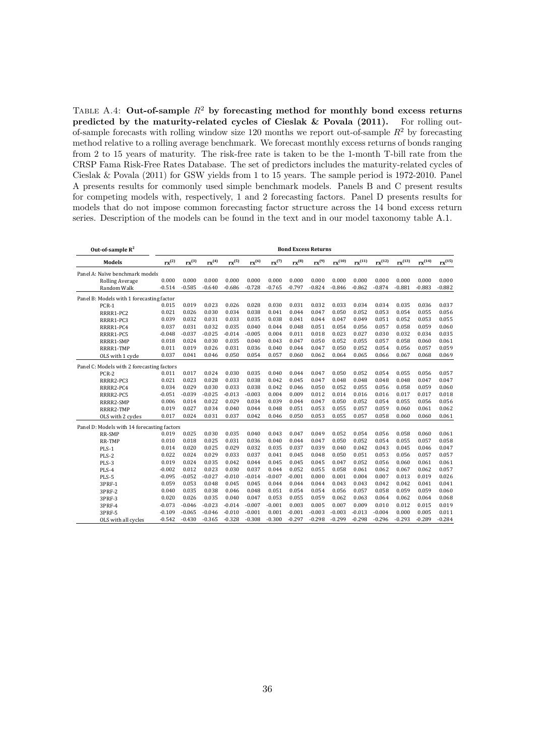TABLE A.4: Out-of-sample  $R^2$  by forecasting method for monthly bond excess returns predicted by the maturity-related cycles of Cieslak & Povala (2011). For rolling outof-sample forecasts with rolling window size 120 months we report out-of-sample  $R^2$  by forecasting method relative to a rolling average benchmark. We forecast monthly excess returns of bonds ranging from 2 to 15 years of maturity. The risk-free rate is taken to be the 1-month T-bill rate from the CRSP Fama Risk-Free Rates Database. The set of predictors includes the maturity-related cycles of Cieslak & Povala (2011) for GSW yields from 1 to 15 years. The sample period is 1972-2010. Panel A presents results for commonly used simple benchmark models. Panels B and C present results for competing models with, respectively, 1 and 2 forecasting factors. Panel D presents results for models that do not impose common forecasting factor structure across the 14 bond excess return series. Description of the models can be found in the text and in our model taxonomy table A.1.

| Out-of-sample $R^2$                         | <b>Bond Excess Returns</b> |                  |            |            |            |                     |                  |            |             |                   |                   |                   |                   |                   |
|---------------------------------------------|----------------------------|------------------|------------|------------|------------|---------------------|------------------|------------|-------------|-------------------|-------------------|-------------------|-------------------|-------------------|
| <b>Models</b>                               | $rx^{(2)}$                 | ${\rm rx}^{(3)}$ | $rx^{(4)}$ | $rx^{(5)}$ | $rx^{(6)}$ | $\mathbf{rx}^{(7)}$ | ${\rm rx}^{(8)}$ | $rx^{(9)}$ | $rx^{(10)}$ | ${\rm rx}^{(11)}$ | ${\rm rx}^{(12)}$ | ${\rm rx}^{(13)}$ | ${\rm rx}^{(14)}$ | ${\rm rx}^{(15)}$ |
| Panel A: Naïve benchmark models             |                            |                  |            |            |            |                     |                  |            |             |                   |                   |                   |                   |                   |
| Rolling Average                             | 0.000                      | 0.000            | 0.000      | 0.000      | 0.000      | 0.000               | 0.000            | 0.000      | 0.000       | 0.000             | 0.000             | 0.000             | 0.000             | 0.000             |
| Random Walk                                 | $-0.514$                   | $-0.585$         | $-0.640$   | $-0.686$   | $-0.728$   | $-0.765$            | $-0.797$         | $-0.824$   | $-0.846$    | $-0.862$          | $-0.874$          | $-0.881$          | $-0.883$          | $-0.882$          |
| Panel B: Models with 1 forecasting factor   |                            |                  |            |            |            |                     |                  |            |             |                   |                   |                   |                   |                   |
| $PCR-1$                                     | 0.015                      | 0.019            | 0.023      | 0.026      | 0.028      | 0.030               | 0.031            | 0.032      | 0.033       | 0.034             | 0.034             | 0.035             | 0.036             | 0.037             |
| RRRR1-PC2                                   | 0.021                      | 0.026            | 0.030      | 0.034      | 0.038      | 0.041               | 0.044            | 0.047      | 0.050       | 0.052             | 0.053             | 0.054             | 0.055             | 0.056             |
| RRRR1-PC3                                   | 0.039                      | 0.032            | 0.031      | 0.033      | 0.035      | 0.038               | 0.041            | 0.044      | 0.047       | 0.049             | 0.051             | 0.052             | 0.053             | 0.055             |
| RRRR1-PC4                                   | 0.037                      | 0.031            | 0.032      | 0.035      | 0.040      | 0.044               | 0.048            | 0.051      | 0.054       | 0.056             | 0.057             | 0.058             | 0.059             | 0.060             |
| RRRR1-PC5                                   | $-0.048$                   | $-0.037$         | $-0.025$   | $-0.014$   | $-0.005$   | 0.004               | 0.011            | 0.018      | 0.023       | 0.027             | 0.030             | 0.032             | 0.034             | 0.035             |
| RRRR1-SMP                                   | 0.018                      | 0.024            | 0.030      | 0.035      | 0.040      | 0.043               | 0.047            | 0.050      | 0.052       | 0.055             | 0.057             | 0.058             | 0.060             | 0.061             |
| RRRR1-TMP                                   | 0.011                      | 0.019            | 0.026      | 0.031      | 0.036      | 0.040               | 0.044            | 0.047      | 0.050       | 0.052             | 0.054             | 0.056             | 0.057             | 0.059             |
| OLS with 1 cycle                            | 0.037                      | 0.041            | 0.046      | 0.050      | 0.054      | 0.057               | 0.060            | 0.062      | 0.064       | 0.065             | 0.066             | 0.067             | 0.068             | 0.069             |
| Panel C: Models with 2 forecasting factors  |                            |                  |            |            |            |                     |                  |            |             |                   |                   |                   |                   |                   |
| PCR-2                                       | 0.011                      | 0.017            | 0.024      | 0.030      | 0.035      | 0.040               | 0.044            | 0.047      | 0.050       | 0.052             | 0.054             | 0.055             | 0.056             | 0.057             |
| RRRR2-PC3                                   | 0.021                      | 0.023            | 0.028      | 0.033      | 0.038      | 0.042               | 0.045            | 0.047      | 0.048       | 0.048             | 0.048             | 0.048             | 0.047             | 0.047             |
| RRRR2-PC4                                   | 0.034                      | 0.029            | 0.030      | 0.033      | 0.038      | 0.042               | 0.046            | 0.050      | 0.052       | 0.055             | 0.056             | 0.058             | 0.059             | 0.060             |
| RRRR2-PC5                                   | $-0.051$                   | $-0.039$         | $-0.025$   | $-0.013$   | $-0.003$   | 0.004               | 0.009            | 0.012      | 0.014       | 0.016             | 0.016             | 0.017             | 0.017             | 0.018             |
| RRRR2-SMP                                   | 0.006                      | 0.014            | 0.022      | 0.029      | 0.034      | 0.039               | 0.044            | 0.047      | 0.050       | 0.052             | 0.054             | 0.055             | 0.056             | 0.056             |
| RRRR2-TMP                                   | 0.019                      | 0.027            | 0.034      | 0.040      | 0.044      | 0.048               | 0.051            | 0.053      | 0.055       | 0.057             | 0.059             | 0.060             | 0.061             | 0.062             |
| OLS with 2 cycles                           | 0.017                      | 0.024            | 0.031      | 0.037      | 0.042      | 0.046               | 0.050            | 0.053      | 0.055       | 0.057             | 0.058             | 0.060             | 0.060             | 0.061             |
| Panel D: Models with 14 forecasting factors |                            |                  |            |            |            |                     |                  |            |             |                   |                   |                   |                   |                   |
| RR-SMP                                      | 0.019                      | 0.025            | 0.030      | 0.035      | 0.040      | 0.043               | 0.047            | 0.049      | 0.052       | 0.054             | 0.056             | 0.058             | 0.060             | 0.061             |
| <b>RR-TMP</b>                               | 0.010                      | 0.018            | 0.025      | 0.031      | 0.036      | 0.040               | 0.044            | 0.047      | 0.050       | 0.052             | 0.054             | 0.055             | 0.057             | 0.058             |
| $PLS-1$                                     | 0.014                      | 0.020            | 0.025      | 0.029      | 0.032      | 0.035               | 0.037            | 0.039      | 0.040       | 0.042             | 0.043             | 0.045             | 0.046             | 0.047             |
| PLS-2                                       | 0.022                      | 0.024            | 0.029      | 0.033      | 0.037      | 0.041               | 0.045            | 0.048      | 0.050       | 0.051             | 0.053             | 0.056             | 0.057             | 0.057             |
| PLS-3                                       | 0.019                      | 0.024            | 0.035      | 0.042      | 0.044      | 0.045               | 0.045            | 0.045      | 0.047       | 0.052             | 0.056             | 0.060             | 0.061             | 0.061             |
| PLS-4                                       | $-0.002$                   | 0.012            | 0.023      | 0.030      | 0.037      | 0.044               | 0.052            | 0.055      | 0.058       | 0.061             | 0.062             | 0.067             | 0.062             | 0.057             |
| PLS-5                                       | $-0.095$                   | $-0.052$         | $-0.027$   | $-0.010$   | $-0.014$   | $-0.007$            | $-0.001$         | 0.000      | 0.001       | 0.004             | 0.007             | 0.013             | 0.019             | 0.026             |
| 3PRF-1                                      | 0.059                      | 0.053            | 0.048      | 0.045      | 0.045      | 0.044               | 0.044            | 0.044      | 0.043       | 0.043             | 0.042             | 0.042             | 0.041             | 0.041             |
| 3PRF-2                                      | 0.040                      | 0.035            | 0.038      | 0.046      | 0.048      | 0.051               | 0.054            | 0.054      | 0.056       | 0.057             | 0.058             | 0.059             | 0.059             | 0.060             |
| 3PRF-3                                      | 0.020                      | 0.026            | 0.035      | 0.040      | 0.047      | 0.053               | 0.055            | 0.059      | 0.062       | 0.063             | 0.064             | 0.062             | 0.064             | 0.068             |
| 3PRF-4                                      | $-0.073$                   | $-0.046$         | $-0.023$   | $-0.014$   | $-0.007$   | $-0.001$            | 0.003            | 0.005      | 0.007       | 0.009             | 0.010             | 0.012             | 0.015             | 0.019             |
| 3PRF-5                                      | $-0.109$                   | $-0.065$         | $-0.046$   | $-0.010$   | $-0.001$   | 0.001               | $-0.001$         | $-0.003$   | $-0.003$    | $-0.013$          | $-0.004$          | 0.000             | 0.005             | 0.011             |
| OLS with all cycles                         | $-0.542$                   | $-0.430$         | $-0.365$   | $-0.328$   | $-0.308$   | $-0.300$            | $-0.297$         | $-0.298$   | $-0.299$    | $-0.298$          | $-0.296$          | $-0.293$          | $-0.289$          | $-0.284$          |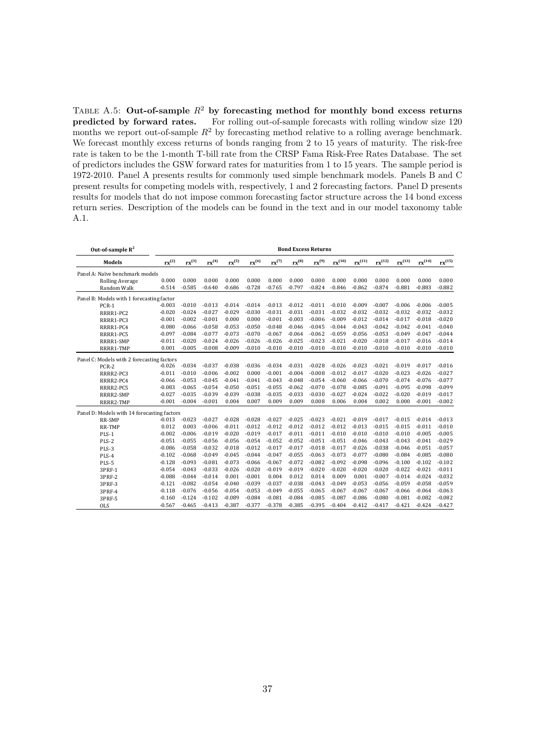TABLE A.5: Out-of-sample  $R^2$  by forecasting method for monthly bond excess returns predicted by forward rates. For rolling out-of-sample forecasts with rolling window size 120 months we report out-of-sample  $R^2$  by forecasting method relative to a rolling average benchmark. We forecast monthly excess returns of bonds ranging from 2 to 15 years of maturity. The risk-free rate is taken to be the 1-month T-bill rate from the CRSP Fama Risk-Free Rates Database. The set of predictors includes the GSW forward rates for maturities from 1 to 15 years. The sample period is 1972-2010. Panel A presents results for commonly used simple benchmark models. Panels B and C present results for competing models with, respectively, 1 and 2 forecasting factors. Panel D presents results for models that do not impose common forecasting factor structure across the 14 bond excess return series. Description of the models can be found in the text and in our model taxonomy table A.1.

| Out-of-sample $R^2$                         | <b>Bond Excess Returns</b> |                  |            |            |            |                     |                  |                  |             |                   |                   |                   |                   |                   |
|---------------------------------------------|----------------------------|------------------|------------|------------|------------|---------------------|------------------|------------------|-------------|-------------------|-------------------|-------------------|-------------------|-------------------|
| <b>Models</b>                               | ${\rm rx}^{(2)}$           | ${\rm rx}^{(3)}$ | $rx^{(4)}$ | $rx^{(5)}$ | $rx^{(6)}$ | $\mathbf{rx}^{(7)}$ | ${\rm rx}^{(8)}$ | ${\rm rx}^{(9)}$ | $rx^{(10)}$ | ${\rm rx}^{(11)}$ | ${\rm rx}^{(12)}$ | ${\rm rx}^{(13)}$ | ${\rm rx}^{(14)}$ | ${\rm rx}^{(15)}$ |
| Panel A: Naïve benchmark models             |                            |                  |            |            |            |                     |                  |                  |             |                   |                   |                   |                   |                   |
| <b>Rolling Average</b>                      | 0.000                      | 0.000            | 0.000      | 0.000      | 0.000      | 0.000               | 0.000            | 0.000            | 0.000       | 0.000             | 0.000             | 0.000             | 0.000             | 0.000             |
| Random Walk                                 | $-0.514$                   | $-0.585$         | $-0.640$   | $-0.686$   | $-0.728$   | $-0.765$            | $-0.797$         | $-0.824$         | $-0.846$    | $-0.862$          | $-0.874$          | $-0.881$          | $-0.883$          | $-0.882$          |
| Panel B: Models with 1 forecasting factor   |                            |                  |            |            |            |                     |                  |                  |             |                   |                   |                   |                   |                   |
| PCR-1                                       | $-0.003$                   | $-0.010$         | $-0.013$   | $-0.014$   | $-0.014$   | $-0.013$            | $-0.012$         | $-0.011$         | $-0.010$    | $-0.009$          | $-0.007$          | $-0.006$          | $-0.006$          | $-0.005$          |
| RRRR1-PC2                                   | $-0.020$                   | $-0.024$         | $-0.027$   | $-0.029$   | $-0.030$   | $-0.031$            | $-0.031$         | $-0.031$         | $-0.032$    | $-0.032$          | $-0.032$          | $-0.032$          | $-0.032$          | $-0.032$          |
| RRRR1-PC3                                   | $-0.001$                   | $-0.002$         | $-0.001$   | 0.000      | 0.000      | $-0.001$            | $-0.003$         | $-0.006$         | $-0.009$    | $-0.012$          | $-0.014$          | $-0.017$          | $-0.018$          | $-0.020$          |
| RRRR1-PC4                                   | $-0.080$                   | $-0.066$         | $-0.058$   | $-0.053$   | $-0.050$   | $-0.048$            | $-0.046$         | $-0.045$         | $-0.044$    | $-0.043$          | $-0.042$          | $-0.042$          | $-0.041$          | $-0.040$          |
| RRRR1-PC5                                   | $-0.097$                   | $-0.084$         | $-0.077$   | $-0.073$   | $-0.070$   | $-0.067$            | $-0.064$         | $-0.062$         | $-0.059$    | $-0.056$          | $-0.053$          | $-0.049$          | $-0.047$          | $-0.044$          |
| RRRR1-SMP                                   | $-0.011$                   | $-0.020$         | $-0.024$   | $-0.026$   | $-0.026$   | $-0.026$            | $-0.025$         | $-0.023$         | $-0.021$    | $-0.020$          | $-0.018$          | $-0.017$          | $-0.016$          | $-0.014$          |
| RRRR1-TMP                                   | 0.001                      | $-0.005$         | $-0.008$   | $-0.009$   | $-0.010$   | $-0.010$            | $-0.010$         | $-0.010$         | $-0.010$    | $-0.010$          | $-0.010$          | $-0.010$          | $-0.010$          | $-0.010$          |
| Panel C: Models with 2 forecasting factors  |                            |                  |            |            |            |                     |                  |                  |             |                   |                   |                   |                   |                   |
| PCR-2                                       | $-0.026$                   | $-0.034$         | $-0.037$   | $-0.038$   | $-0.036$   | $-0.034$            | $-0.031$         | $-0.028$         | $-0.026$    | $-0.023$          | $-0.021$          | $-0.019$          | $-0.017$          | $-0.016$          |
| RRRR2-PC3                                   | $-0.011$                   | $-0.010$         | $-0.006$   | $-0.002$   | 0.000      | $-0.001$            | $-0.004$         | $-0.008$         | $-0.012$    | $-0.017$          | $-0.020$          | $-0.023$          | $-0.026$          | $-0.027$          |
| RRRR2-PC4                                   | $-0.066$                   | $-0.053$         | $-0.045$   | $-0.041$   | $-0.041$   | $-0.043$            | $-0.048$         | $-0.054$         | $-0.060$    | $-0.066$          | $-0.070$          | $-0.074$          | $-0.076$          | $-0.077$          |
| RRRR2-PC5                                   | $-0.083$                   | $-0.065$         | $-0.054$   | $-0.050$   | $-0.051$   | $-0.055$            | $-0.062$         | $-0.070$         | $-0.078$    | $-0.085$          | $-0.091$          | $-0.095$          | $-0.098$          | $-0.099$          |
| RRRR2-SMP                                   | $-0.027$                   | $-0.035$         | $-0.039$   | $-0.039$   | $-0.038$   | $-0.035$            | $-0.033$         | $-0.030$         | $-0.027$    | $-0.024$          | $-0.022$          | $-0.020$          | $-0.019$          | $-0.017$          |
| RRRR2-TMP                                   | $-0.001$                   | $-0.004$         | $-0.001$   | 0.004      | 0.007      | 0.009               | 0.009            | 0.008            | 0.006       | 0.004             | 0.002             | 0.000             | $-0.001$          | $-0.002$          |
| Panel D: Models with 14 forecasting factors |                            |                  |            |            |            |                     |                  |                  |             |                   |                   |                   |                   |                   |
| RR-SMP                                      | $-0.013$                   | $-0.023$         | $-0.027$   | $-0.028$   | $-0.028$   | $-0.027$            | $-0.025$         | $-0.023$         | $-0.021$    | $-0.019$          | $-0.017$          | $-0.015$          | $-0.014$          | $-0.013$          |
| <b>RR-TMP</b>                               | 0.012                      | 0.003            | $-0.006$   | $-0.011$   | $-0.012$   | $-0.012$            | $-0.012$         | $-0.012$         | $-0.012$    | $-0.013$          | $-0.015$          | $-0.015$          | $-0.011$          | $-0.010$          |
| $PLS-1$                                     | $-0.002$                   | $-0.006$         | $-0.019$   | $-0.020$   | $-0.019$   | $-0.017$            | $-0.011$         | $-0.011$         | $-0.010$    | $-0.010$          | $-0.010$          | $-0.010$          | $-0.005$          | $-0.005$          |
| PLS-2                                       | $-0.051$                   | $-0.055$         | $-0.056$   | $-0.056$   | $-0.054$   | $-0.052$            | $-0.052$         | $-0.051$         | $-0.051$    | $-0.046$          | $-0.043$          | $-0.043$          | $-0.041$          | $-0.029$          |
| PLS-3                                       | $-0.086$                   | $-0.058$         | $-0.032$   | $-0.018$   | $-0.012$   | $-0.017$            | $-0.017$         | $-0.018$         | $-0.017$    | $-0.026$          | $-0.038$          | $-0.046$          | $-0.051$          | $-0.057$          |
| PLS-4                                       | $-0.102$                   | $-0.068$         | $-0.049$   | $-0.045$   | $-0.044$   | $-0.047$            | $-0.055$         | $-0.063$         | $-0.073$    | $-0.077$          | $-0.080$          | $-0.084$          | $-0.085$          | $-0.080$          |
| PLS-5                                       | $-0.128$                   | $-0.093$         | $-0.081$   | $-0.073$   | $-0.066$   | $-0.067$            | $-0.072$         | $-0.082$         | $-0.092$    | $-0.098$          | $-0.096$          | $-0.100$          | $-0.102$          | $-0.102$          |
| 3PRF-1                                      | $-0.054$                   | $-0.043$         | $-0.033$   | $-0.026$   | $-0.020$   | $-0.019$            | $-0.019$         | $-0.020$         | $-0.020$    | $-0.020$          | $-0.020$          | $-0.022$          | $-0.021$          | $-0.011$          |
| 3PRF-2                                      | $-0.088$                   | $-0.044$         | $-0.014$   | 0.001      | $-0.001$   | 0.004               | 0.012            | 0.014            | 0.009       | 0.001             | $-0.007$          | $-0.014$          | $-0.024$          | $-0.032$          |
| 3PRF-3                                      | $-0.121$                   | $-0.082$         | $-0.054$   | $-0.040$   | $-0.039$   | $-0.037$            | $-0.038$         | $-0.043$         | $-0.049$    | $-0.053$          | $-0.056$          | $-0.059$          | $-0.058$          | $-0.059$          |
| 3PRF-4                                      | $-0.118$                   | $-0.076$         | $-0.056$   | $-0.054$   | $-0.053$   | $-0.049$            | $-0.055$         | $-0.065$         | $-0.067$    | $-0.067$          | $-0.067$          | $-0.066$          | $-0.064$          | $-0.063$          |
| 3PRF-5                                      | $-0.160$                   | $-0.124$         | $-0.102$   | $-0.089$   | $-0.084$   | $-0.081$            | $-0.084$         | $-0.085$         | $-0.087$    | $-0.086$          | $-0.080$          | $-0.081$          | $-0.082$          | $-0.082$          |
| <b>OLS</b>                                  | $-0.567$                   | $-0.465$         | $-0.413$   | $-0.387$   | $-0.377$   | $-0.378$            | $-0.385$         | $-0.395$         | $-0.404$    | $-0.412$          | $-0.417$          | $-0.421$          | $-0.424$          | $-0.427$          |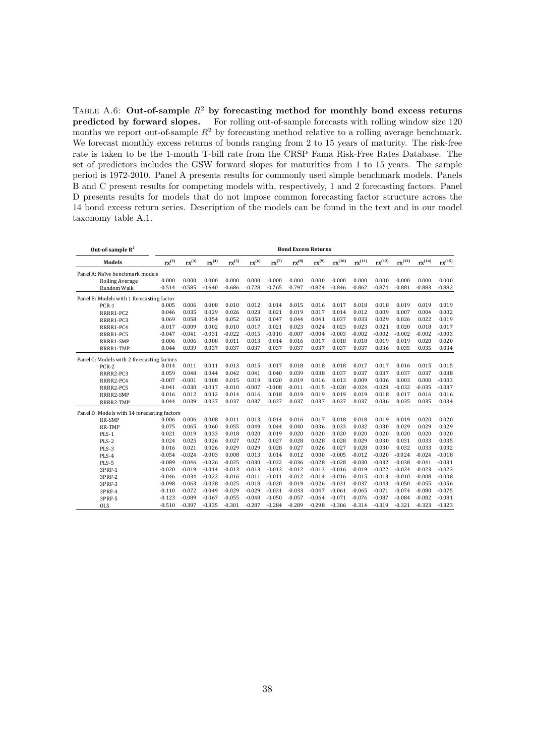TABLE A.6: Out-of-sample  $R^2$  by forecasting method for monthly bond excess returns predicted by forward slopes. For rolling out-of-sample forecasts with rolling window size 120 months we report out-of-sample  $R^2$  by forecasting method relative to a rolling average benchmark. We forecast monthly excess returns of bonds ranging from 2 to 15 years of maturity. The risk-free rate is taken to be the 1-month T-bill rate from the CRSP Fama Risk-Free Rates Database. The set of predictors includes the GSW forward slopes for maturities from 1 to 15 years. The sample period is 1972-2010. Panel A presents results for commonly used simple benchmark models. Panels B and C present results for competing models with, respectively, 1 and 2 forecasting factors. Panel D presents results for models that do not impose common forecasting factor structure across the 14 bond excess return series. Description of the models can be found in the text and in our model taxonomy table A.1.

| Out-of-sample $R^2$                         | <b>Bond Excess Returns</b> |            |            |            |            |                               |            |                  |             |                   |                   |                   |             |                   |
|---------------------------------------------|----------------------------|------------|------------|------------|------------|-------------------------------|------------|------------------|-------------|-------------------|-------------------|-------------------|-------------|-------------------|
| <b>Models</b>                               | $rx^{(2)}$                 | $rx^{(3)}$ | $rx^{(4)}$ | $rx^{(5)}$ | $rx^{(6)}$ | $\mathbf{r} \mathbf{x}^{(7)}$ | $rx^{(8)}$ | ${\rm rx}^{(9)}$ | $rx^{(10)}$ | ${\rm rx}^{(11)}$ | ${\rm rx}^{(12)}$ | ${\rm rx}^{(13)}$ | $rx^{(14)}$ | ${\rm rx}^{(15)}$ |
| Panel A: Naïve benchmark models             |                            |            |            |            |            |                               |            |                  |             |                   |                   |                   |             |                   |
| <b>Rolling Average</b>                      | 0.000                      | 0.000      | 0.000      | 0.000      | 0.000      | 0.000                         | 0.000      | 0.000            | 0.000       | 0.000             | 0.000             | 0.000             | 0.000       | 0.000             |
| Random Walk                                 | $-0.514$                   | $-0.585$   | $-0.640$   | $-0.686$   | $-0.728$   | $-0.765$                      | $-0.797$   | $-0.824$         | $-0.846$    | $-0.862$          | $-0.874$          | $-0.881$          | $-0.883$    | $-0.882$          |
| Panel B: Models with 1 forecasting factor   |                            |            |            |            |            |                               |            |                  |             |                   |                   |                   |             |                   |
| PCR-1                                       | 0.005                      | 0.006      | 0.008      | 0.010      | 0.012      | 0.014                         | 0.015      | 0.016            | 0.017       | 0.018             | 0.018             | 0.019             | 0.019       | 0.019             |
| RRRR1-PC2                                   | 0.046                      | 0.035      | 0.029      | 0.026      | 0.023      | 0.021                         | 0.019      | 0.017            | 0.014       | 0.012             | 0.009             | 0.007             | 0.004       | 0.002             |
| RRRR1-PC3                                   | 0.069                      | 0.058      | 0.054      | 0.052      | 0.050      | 0.047                         | 0.044      | 0.041            | 0.037       | 0.033             | 0.029             | 0.026             | 0.022       | 0.019             |
| RRRR1-PC4                                   | $-0.017$                   | $-0.009$   | 0.002      | 0.010      | 0.017      | 0.021                         | 0.023      | 0.024            | 0.023       | 0.023             | 0.021             | 0.020             | 0.018       | 0.017             |
| RRRR1-PC5                                   | $-0.047$                   | $-0.041$   | $-0.031$   | $-0.022$   | $-0.015$   | $-0.010$                      | $-0.007$   | $-0.004$         | $-0.003$    | $-0.002$          | $-0.002$          | $-0.002$          | $-0.002$    | $-0.003$          |
| RRRR1-SMP                                   | 0.006                      | 0.006      | 0.008      | 0.011      | 0.013      | 0.014                         | 0.016      | 0.017            | 0.018       | 0.018             | 0.019             | 0.019             | 0.020       | 0.020             |
| RRRR1-TMP                                   | 0.044                      | 0.039      | 0.037      | 0.037      | 0.037      | 0.037                         | 0.037      | 0.037            | 0.037       | 0.037             | 0.036             | 0.035             | 0.035       | 0.034             |
| Panel C: Models with 2 forecasting factors  |                            |            |            |            |            |                               |            |                  |             |                   |                   |                   |             |                   |
| PCR-2                                       | 0.014                      | 0.011      | 0.011      | 0.013      | 0.015      | 0.017                         | 0.018      | 0.018            | 0.018       | 0.017             | 0.017             | 0.016             | 0.015       | 0.015             |
| RRRR2-PC3                                   | 0.059                      | 0.048      | 0.044      | 0.042      | 0.041      | 0.040                         | 0.039      | 0.038            | 0.037       | 0.037             | 0.037             | 0.037             | 0.037       | 0.038             |
| RRRR2-PC4                                   | $-0.007$                   | $-0.001$   | 0.008      | 0.015      | 0.019      | 0.020                         | 0.019      | 0.016            | 0.013       | 0.009             | 0.006             | 0.003             | 0.000       | $-0.003$          |
| RRRR2-PC5                                   | $-0.041$                   | $-0.030$   | $-0.017$   | $-0.010$   | $-0.007$   | $-0.008$                      | $-0.011$   | $-0.015$         | $-0.020$    | $-0.024$          | $-0.028$          | $-0.032$          | $-0.035$    | $-0.037$          |
| RRRR2-SMP                                   | 0.016                      | 0.012      | 0.012      | 0.014      | 0.016      | 0.018                         | 0.019      | 0.019            | 0.019       | 0.019             | 0.018             | 0.017             | 0.016       | 0.016             |
| RRRR2-TMP                                   | 0.044                      | 0.039      | 0.037      | 0.037      | 0.037      | 0.037                         | 0.037      | 0.037            | 0.037       | 0.037             | 0.036             | 0.035             | 0.035       | 0.034             |
| Panel D: Models with 14 forecasting factors |                            |            |            |            |            |                               |            |                  |             |                   |                   |                   |             |                   |
| RR-SMP                                      | 0.006                      | 0.006      | 0.008      | 0.011      | 0.013      | 0.014                         | 0.016      | 0.017            | 0.018       | 0.018             | 0.019             | 0.019             | 0.020       | 0.020             |
| RR-TMP                                      | 0.075                      | 0.065      | 0.060      | 0.055      | 0.049      | 0.044                         | 0.040      | 0.036            | 0.033       | 0.032             | 0.030             | 0.029             | 0.029       | 0.029             |
| $PLS-1$                                     | 0.021                      | 0.019      | 0.033      | 0.018      | 0.020      | 0.019                         | 0.020      | 0.020            | 0.020       | 0.020             | 0.020             | 0.020             | 0.020       | 0.020             |
| PLS-2                                       | 0.024                      | 0.025      | 0.026      | 0.027      | 0.027      | 0.027                         | 0.028      | 0.028            | 0.028       | 0.029             | 0.030             | 0.031             | 0.033       | 0.035             |
| PLS-3                                       | 0.016                      | 0.021      | 0.026      | 0.029      | 0.029      | 0.028                         | 0.027      | 0.026            | 0.027       | 0.028             | 0.030             | 0.032             | 0.033       | 0.032             |
| PLS-4                                       | $-0.054$                   | $-0.024$   | $-0.003$   | 0.008      | 0.013      | 0.014                         | 0.012      | 0.000            | $-0.005$    | $-0.012$          | $-0.020$          | $-0.024$          | $-0.024$    | $-0.018$          |
| PLS-5                                       | $-0.089$                   | $-0.046$   | $-0.026$   | $-0.025$   | $-0.030$   | $-0.032$                      | $-0.036$   | $-0.028$         | $-0.028$    | $-0.030$          | $-0.032$          | $-0.038$          | $-0.041$    | $-0.031$          |
| 3PRF-1                                      | $-0.020$                   | $-0.019$   | $-0.014$   | $-0.013$   | $-0.013$   | $-0.013$                      | $-0.012$   | $-0.013$         | $-0.016$    | $-0.019$          | $-0.022$          | $-0.024$          | $-0.023$    | $-0.023$          |
| 3PRF-2                                      | $-0.046$                   | $-0.034$   | $-0.022$   | $-0.016$   | $-0.011$   | $-0.011$                      | $-0.012$   | $-0.014$         | $-0.016$    | $-0.015$          | $-0.013$          | $-0.010$          | $-0.008$    | $-0.008$          |
| 3PRF-3                                      | $-0.098$                   | $-0.063$   | $-0.038$   | $-0.025$   | $-0.018$   | $-0.020$                      | $-0.019$   | $-0.026$         | $-0.031$    | $-0.037$          | $-0.043$          | $-0.050$          | $-0.055$    | $-0.056$          |
| 3PRF-4                                      | $-0.110$                   | $-0.072$   | $-0.049$   | $-0.029$   | $-0.029$   | $-0.031$                      | $-0.033$   | $-0.047$         | $-0.061$    | $-0.065$          | $-0.071$          | $-0.074$          | $-0.080$    | $-0.075$          |
| 3PRF-5                                      | $-0.123$                   | $-0.089$   | $-0.067$   | $-0.055$   | $-0.048$   | $-0.050$                      | $-0.057$   | $-0.064$         | $-0.071$    | $-0.076$          | $-0.087$          | $-0.084$          | $-0.082$    | $-0.081$          |
| <b>OLS</b>                                  | $-0.510$                   | $-0.397$   | $-0.335$   | $-0.301$   | $-0.287$   | $-0.284$                      | $-0.289$   | $-0.298$         | $-0.306$    | $-0.314$          | $-0.319$          | $-0.321$          | $-0.323$    | $-0.323$          |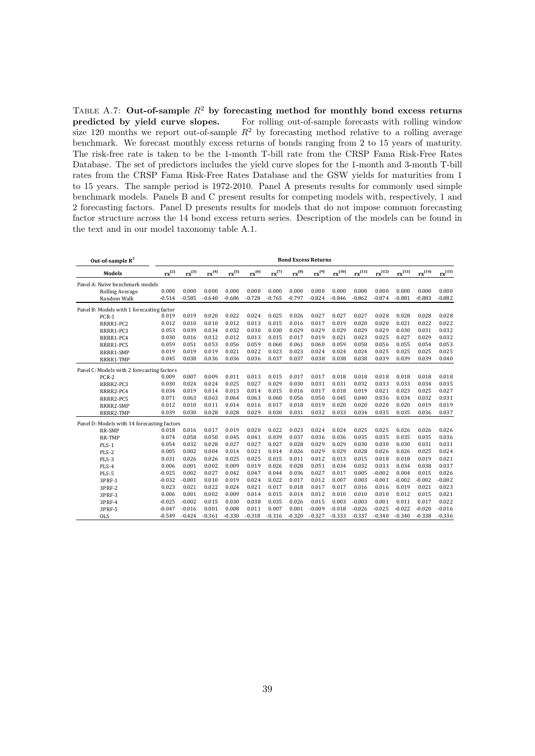TABLE A.7: Out-of-sample  $R^2$  by forecasting method for monthly bond excess returns predicted by yield curve slopes. For rolling out-of-sample forecasts with rolling window size 120 months we report out-of-sample  $R^2$  by forecasting method relative to a rolling average benchmark. We forecast monthly excess returns of bonds ranging from 2 to 15 years of maturity. The risk-free rate is taken to be the 1-month T-bill rate from the CRSP Fama Risk-Free Rates Database. The set of predictors includes the yield curve slopes for the 1-month and 3-month T-bill rates from the CRSP Fama Risk-Free Rates Database and the GSW yields for maturities from 1 to 15 years. The sample period is 1972-2010. Panel A presents results for commonly used simple benchmark models. Panels B and C present results for competing models with, respectively, 1 and 2 forecasting factors. Panel D presents results for models that do not impose common forecasting factor structure across the 14 bond excess return series. Description of the models can be found in the text and in our model taxonomy table A.1.

| Out-of-sample $R^2$                         |            | <b>Bond Excess Returns</b> |                   |            |            |                     |            |                  |             |                   |                   |                   |                   |             |
|---------------------------------------------|------------|----------------------------|-------------------|------------|------------|---------------------|------------|------------------|-------------|-------------------|-------------------|-------------------|-------------------|-------------|
| <b>Models</b>                               | $rx^{(2)}$ | $rx^{(3)}$                 | rx <sup>(4)</sup> | $rx^{(5)}$ | $rx^{(6)}$ | $\mathbf{rx}^{(7)}$ | $rx^{(8)}$ | ${\rm rx}^{(9)}$ | $rx^{(10)}$ | ${\rm rx}^{(11)}$ | ${\rm rx}^{(12)}$ | ${\rm rx}^{(13)}$ | ${\rm rx}^{(14)}$ | $rx^{(15)}$ |
| Panel A: Naïve benchmark models             |            |                            |                   |            |            |                     |            |                  |             |                   |                   |                   |                   |             |
| <b>Rolling Average</b>                      | 0.000      | 0.000                      | 0.000             | 0.000      | 0.000      | 0.000               | 0.000      | 0.000            | 0.000       | 0.000             | 0.000             | 0.000             | 0.000             | 0.000       |
| Random Walk                                 | $-0.514$   | $-0.585$                   | $-0.640$          | $-0.686$   | $-0.728$   | $-0.765$            | $-0.797$   | $-0.824$         | $-0.846$    | $-0.862$          | $-0.874$          | $-0.881$          | $-0.883$          | $-0.882$    |
| Panel B: Models with 1 forecasting factor   |            |                            |                   |            |            |                     |            |                  |             |                   |                   |                   |                   |             |
| $PCR-1$                                     | 0.019      | 0.019                      | 0.020             | 0.022      | 0.024      | 0.025               | 0.026      | 0.027            | 0.027       | 0.027             | 0.028             | 0.028             | 0.028             | 0.028       |
| RRRR1-PC2                                   | 0.012      | 0.010                      | 0.010             | 0.012      | 0.013      | 0.015               | 0.016      | 0.017            | 0.019       | 0.020             | 0.020             | 0.021             | 0.022             | 0.022       |
| RRRR1-PC3                                   | 0.053      | 0.039                      | 0.034             | 0.032      | 0.030      | 0.030               | 0.029      | 0.029            | 0.029       | 0.029             | 0.029             | 0.030             | 0.031             | 0.032       |
| RRRR1-PC4                                   | 0.030      | 0.016                      | 0.012             | 0.012      | 0.013      | 0.015               | 0.017      | 0.019            | 0.021       | 0.023             | 0.025             | 0.027             | 0.029             | 0.032       |
| RRRR1-PC5                                   | 0.059      | 0.051                      | 0.053             | 0.056      | 0.059      | 0.060               | 0.061      | 0.060            | 0.059       | 0.058             | 0.056             | 0.055             | 0.054             | 0.053       |
| RRRR1-SMP                                   | 0.019      | 0.019                      | 0.019             | 0.021      | 0.022      | 0.023               | 0.023      | 0.024            | 0.024       | 0.024             | 0.025             | 0.025             | 0.025             | 0.025       |
| RRRR1-TMP                                   | 0.045      | 0.038                      | 0.036             | 0.036      | 0.036      | 0.037               | 0.037      | 0.038            | 0.038       | 0.038             | 0.039             | 0.039             | 0.039             | 0.040       |
| Panel C: Models with 2 forecasting factors  |            |                            |                   |            |            |                     |            |                  |             |                   |                   |                   |                   |             |
| PCR-2                                       | 0.009      | 0.007                      | 0.009             | 0.011      | 0.013      | 0.015               | 0.017      | 0.017            | 0.018       | 0.018             | 0.018             | 0.018             | 0.018             | 0.018       |
| RRRR2-PC3                                   | 0.030      | 0.024                      | 0.024             | 0.025      | 0.027      | 0.029               | 0.030      | 0.031            | 0.031       | 0.032             | 0.033             | 0.033             | 0.034             | 0.035       |
| RRRR2-PC4                                   | 0.034      | 0.019                      | 0.014             | 0.013      | 0.014      | 0.015               | 0.016      | 0.017            | 0.018       | 0.019             | 0.021             | 0.023             | 0.025             | 0.027       |
| RRRR2-PC5                                   | 0.071      | 0.063                      | 0.063             | 0.064      | 0.063      | 0.060               | 0.056      | 0.050            | 0.045       | 0.040             | 0.036             | 0.034             | 0.032             | 0.031       |
| RRRR2-SMP                                   | 0.012      | 0.010                      | 0.011             | 0.014      | 0.016      | 0.017               | 0.018      | 0.019            | 0.020       | 0.020             | 0.020             | 0.020             | 0.019             | 0.019       |
| RRRR2-TMP                                   | 0.039      | 0.030                      | 0.028             | 0.028      | 0.029      | 0.030               | 0.031      | 0.032            | 0.033       | 0.034             | 0.035             | 0.035             | 0.036             | 0.037       |
| Panel D: Models with 14 forecasting factors |            |                            |                   |            |            |                     |            |                  |             |                   |                   |                   |                   |             |
| <b>RR-SMP</b>                               | 0.018      | 0.016                      | 0.017             | 0.019      | 0.020      | 0.022               | 0.023      | 0.024            | 0.024       | 0.025             | 0.025             | 0.026             | 0.026             | 0.026       |
| RR-TMP                                      | 0.074      | 0.058                      | 0.050             | 0.045      | 0.041      | 0.039               | 0.037      | 0.036            | 0.036       | 0.035             | 0.035             | 0.035             | 0.035             | 0.036       |
| PLS-1                                       | 0.054      | 0.032                      | 0.028             | 0.027      | 0.027      | 0.027               | 0.028      | 0.029            | 0.029       | 0.030             | 0.030             | 0.030             | 0.031             | 0.031       |
| PLS-2                                       | 0.005      | 0.002                      | 0.004             | 0.014      | 0.021      | 0.014               | 0.026      | 0.029            | 0.029       | 0.028             | 0.026             | 0.026             | 0.025             | 0.024       |
| PLS-3                                       | 0.031      | 0.026                      | 0.026             | 0.025      | 0.025      | 0.015               | 0.011      | 0.012            | 0.013       | 0.015             | 0.018             | 0.018             | 0.019             | 0.021       |
| PLS-4                                       | 0.006      | 0.001                      | 0.002             | 0.009      | 0.019      | 0.026               | 0.028      | 0.051            | 0.034       | 0.032             | 0.033             | 0.034             | 0.038             | 0.037       |
| PLS-5                                       | $-0.025$   | 0.002                      | 0.027             | 0.042      | 0.047      | 0.044               | 0.036      | 0.027            | 0.017       | 0.005             | $-0.002$          | 0.004             | 0.015             | 0.026       |
| 3PRF-1                                      | $-0.032$   | $-0.001$                   | 0.010             | 0.019      | 0.024      | 0.022               | 0.017      | 0.012            | 0.007       | 0.003             | $-0.001$          | $-0.002$          | $-0.002$          | $-0.002$    |
| 3PRF-2                                      | 0.023      | 0.021                      | 0.022             | 0.024      | 0.021      | 0.017               | 0.018      | 0.017            | 0.017       | 0.016             | 0.016             | 0.019             | 0.021             | 0.023       |
| 3PRF-3                                      | 0.006      | 0.001                      | 0.002             | 0.009      | 0.014      | 0.015               | 0.014      | 0.012            | 0.010       | 0.010             | 0.010             | 0.012             | 0.015             | 0.021       |
| 3PRF-4                                      | $-0.025$   | $-0.002$                   | 0.015             | 0.030      | 0.038      | 0.035               | 0.026      | 0.015            | 0.003       | $-0.003$          | 0.001             | 0.011             | 0.017             | 0.022       |
| 3PRF-5                                      | $-0.047$   | $-0.016$                   | 0.001             | 0.008      | 0.011      | 0.007               | 0.001      | $-0.009$         | $-0.018$    | $-0.026$          | $-0.025$          | $-0.022$          | $-0.020$          | $-0.016$    |
| <b>OLS</b>                                  | $-0.549$   | $-0.424$                   | $-0.361$          | $-0.330$   | $-0.318$   | $-0.316$            | $-0.320$   | $-0.327$         | $-0.333$    | $-0.337$          | $-0.340$          | $-0.340$          | $-0.338$          | $-0.336$    |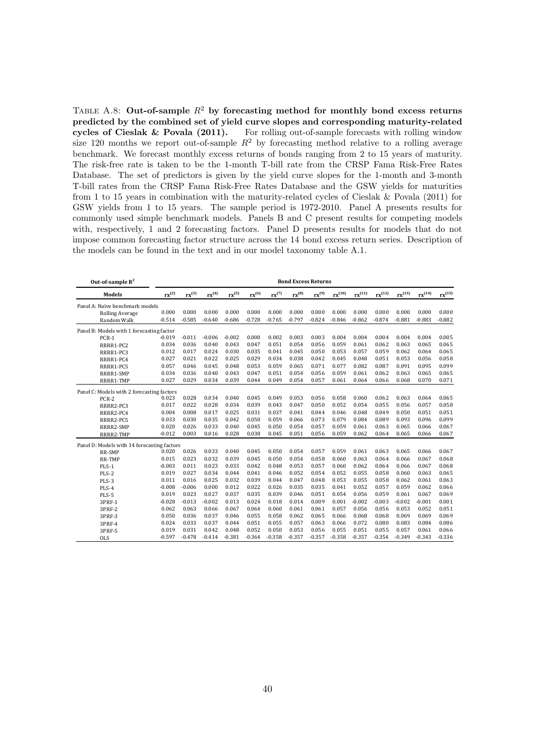TABLE A.8: Out-of-sample  $R^2$  by forecasting method for monthly bond excess returns predicted by the combined set of yield curve slopes and corresponding maturity-related cycles of Cieslak & Povala (2011). For rolling out-of-sample forecasts with rolling window size 120 months we report out-of-sample  $R^2$  by forecasting method relative to a rolling average benchmark. We forecast monthly excess returns of bonds ranging from 2 to 15 years of maturity. The risk-free rate is taken to be the 1-month T-bill rate from the CRSP Fama Risk-Free Rates Database. The set of predictors is given by the yield curve slopes for the 1-month and 3-month T-bill rates from the CRSP Fama Risk-Free Rates Database and the GSW yields for maturities from 1 to 15 years in combination with the maturity-related cycles of Cieslak & Povala (2011) for GSW yields from 1 to 15 years. The sample period is 1972-2010. Panel A presents results for commonly used simple benchmark models. Panels B and C present results for competing models with, respectively, 1 and 2 forecasting factors. Panel D presents results for models that do not impose common forecasting factor structure across the 14 bond excess return series. Description of the models can be found in the text and in our model taxonomy table A.1.

| Out-of-sample $R^2$                         | <b>Bond Excess Returns</b> |                  |            |            |            |                     |                  |            |             |                   |                   |                   |             |                   |
|---------------------------------------------|----------------------------|------------------|------------|------------|------------|---------------------|------------------|------------|-------------|-------------------|-------------------|-------------------|-------------|-------------------|
| <b>Models</b>                               | ${\rm rx}^{(2)}$           | ${\rm rx}^{(3)}$ | $rx^{(4)}$ | $rx^{(5)}$ | $rx^{(6)}$ | $\mathbf{rx}^{(7)}$ | ${\rm rx}^{(8)}$ | $rx^{(9)}$ | $rx^{(10)}$ | ${\rm rx}^{(11)}$ | ${\rm rx}^{(12)}$ | ${\rm rx}^{(13)}$ | $rx^{(14)}$ | ${\rm rx}^{(15)}$ |
| Panel A: Naïve benchmark models             |                            |                  |            |            |            |                     |                  |            |             |                   |                   |                   |             |                   |
| <b>Rolling Average</b>                      | 0.000                      | 0.000            | 0.000      | 0.000      | 0.000      | 0.000               | 0.000            | 0.000      | 0.000       | 0.000             | 0.000             | 0.000             | 0.000       | 0.000             |
| Random Walk                                 | $-0.514$                   | $-0.585$         | $-0.640$   | $-0.686$   | $-0.728$   | $-0.765$            | $-0.797$         | $-0.824$   | $-0.846$    | $-0.862$          | $-0.874$          | $-0.881$          | $-0.883$    | $-0.882$          |
| Panel B: Models with 1 forecasting factor   |                            |                  |            |            |            |                     |                  |            |             |                   |                   |                   |             |                   |
| PCR-1                                       | $-0.019$                   | $-0.011$         | $-0.006$   | $-0.002$   | 0.000      | 0.002               | 0.003            | 0.003      | 0.004       | 0.004             | 0.004             | 0.004             | 0.004       | 0.005             |
| RRRR1-PC2                                   | 0.034                      | 0.036            | 0.040      | 0.043      | 0.047      | 0.051               | 0.054            | 0.056      | 0.059       | 0.061             | 0.062             | 0.063             | 0.065       | 0.065             |
| RRRR1-PC3                                   | 0.012                      | 0.017            | 0.024      | 0.030      | 0.035      | 0.041               | 0.045            | 0.050      | 0.053       | 0.057             | 0.059             | 0.062             | 0.064       | 0.065             |
| RRRR1-PC4                                   | 0.027                      | 0.021            | 0.022      | 0.025      | 0.029      | 0.034               | 0.038            | 0.042      | 0.045       | 0.048             | 0.051             | 0.053             | 0.056       | 0.058             |
| RRRR1-PC5                                   | 0.057                      | 0.046            | 0.045      | 0.048      | 0.053      | 0.059               | 0.065            | 0.071      | 0.077       | 0.082             | 0.087             | 0.091             | 0.095       | 0.099             |
| RRRR1-SMP                                   | 0.034                      | 0.036            | 0.040      | 0.043      | 0.047      | 0.051               | 0.054            | 0.056      | 0.059       | 0.061             | 0.062             | 0.063             | 0.065       | 0.065             |
| RRRR1-TMP                                   | 0.027                      | 0.029            | 0.034      | 0.039      | 0.044      | 0.049               | 0.054            | 0.057      | 0.061       | 0.064             | 0.066             | 0.068             | 0.070       | 0.071             |
| Panel C: Models with 2 forecasting factors  |                            |                  |            |            |            |                     |                  |            |             |                   |                   |                   |             |                   |
| PCR-2                                       | 0.023                      | 0.028            | 0.034      | 0.040      | 0.045      | 0.049               | 0.053            | 0.056      | 0.058       | 0.060             | 0.062             | 0.063             | 0.064       | 0.065             |
| RRRR2-PC3                                   | 0.017                      | 0.022            | 0.028      | 0.034      | 0.039      | 0.043               | 0.047            | 0.050      | 0.052       | 0.054             | 0.055             | 0.056             | 0.057       | 0.058             |
| RRRR2-PC4                                   | 0.004                      | 0.008            | 0.017      | 0.025      | 0.031      | 0.037               | 0.041            | 0.044      | 0.046       | 0.048             | 0.049             | 0.050             | 0.051       | 0.051             |
| RRRR2-PC5                                   | 0.033                      | 0.030            | 0.035      | 0.042      | 0.050      | 0.059               | 0.066            | 0.073      | 0.079       | 0.084             | 0.089             | 0.093             | 0.096       | 0.099             |
| RRRR2-SMP                                   | 0.020                      | 0.026            | 0.033      | 0.040      | 0.045      | 0.050               | 0.054            | 0.057      | 0.059       | 0.061             | 0.063             | 0.065             | 0.066       | 0.067             |
| RRRR2-TMP                                   | $-0.012$                   | 0.003            | 0.016      | 0.028      | 0.038      | 0.045               | 0.051            | 0.056      | 0.059       | 0.062             | 0.064             | 0.065             | 0.066       | 0.067             |
| Panel D: Models with 14 forecasting factors |                            |                  |            |            |            |                     |                  |            |             |                   |                   |                   |             |                   |
| RR-SMP                                      | 0.020                      | 0.026            | 0.033      | 0.040      | 0.045      | 0.050               | 0.054            | 0.057      | 0.059       | 0.061             | 0.063             | 0.065             | 0.066       | 0.067             |
| RR-TMP                                      | 0.015                      | 0.023            | 0.032      | 0.039      | 0.045      | 0.050               | 0.054            | 0.058      | 0.060       | 0.063             | 0.064             | 0.066             | 0.067       | 0.068             |
| $PLS-1$                                     | $-0.003$                   | 0.011            | 0.023      | 0.033      | 0.042      | 0.048               | 0.053            | 0.057      | 0.060       | 0.062             | 0.064             | 0.066             | 0.067       | 0.068             |
| PLS-2                                       | 0.019                      | 0.027            | 0.034      | 0.044      | 0.041      | 0.046               | 0.052            | 0.054      | 0.052       | 0.055             | 0.058             | 0.060             | 0.063       | 0.065             |
| PLS-3                                       | 0.011                      | 0.016            | 0.025      | 0.032      | 0.039      | 0.044               | 0.047            | 0.048      | 0.053       | 0.055             | 0.058             | 0.062             | 0.061       | 0.063             |
| PLS-4                                       | $-0.008$                   | $-0.006$         | 0.000      | 0.012      | 0.022      | 0.026               | 0.035            | 0.035      | 0.041       | 0.052             | 0.057             | 0.059             | 0.062       | 0.066             |
| PLS-5                                       | 0.019                      | 0.023            | 0.027      | 0.037      | 0.035      | 0.039               | 0.046            | 0.051      | 0.054       | 0.056             | 0.059             | 0.061             | 0.067       | 0.069             |
| 3PRF-1                                      | $-0.028$                   | $-0.013$         | $-0.002$   | 0.013      | 0.024      | 0.018               | 0.014            | 0.009      | 0.001       | $-0.002$          | $-0.003$          | $-0.002$          | $-0.001$    | 0.001             |
| 3PRF-2                                      | 0.062                      | 0.063            | 0.066      | 0.067      | 0.064      | 0.060               | 0.061            | 0.061      | 0.057       | 0.056             | 0.056             | 0.053             | 0.052       | 0.051             |
| 3PRF-3                                      | 0.050                      | 0.036            | 0.037      | 0.046      | 0.055      | 0.058               | 0.062            | 0.065      | 0.066       | 0.068             | 0.068             | 0.069             | 0.069       | 0.069             |
| 3PRF-4                                      | 0.024                      | 0.033            | 0.037      | 0.044      | 0.051      | 0.055               | 0.057            | 0.063      | 0.066       | 0.072             | 0.080             | 0.083             | 0.084       | 0.086             |
| 3PRF-5                                      | 0.019                      | 0.031            | 0.042      | 0.048      | 0.052      | 0.050               | 0.053            | 0.056      | 0.055       | 0.051             | 0.055             | 0.057             | 0.061       | 0.066             |
| <b>OLS</b>                                  | $-0.597$                   | $-0.478$         | $-0.414$   | $-0.381$   | $-0.364$   | $-0.358$            | $-0.357$         | $-0.357$   | $-0.358$    | $-0.357$          | $-0.354$          | $-0.349$          | $-0.343$    | $-0.336$          |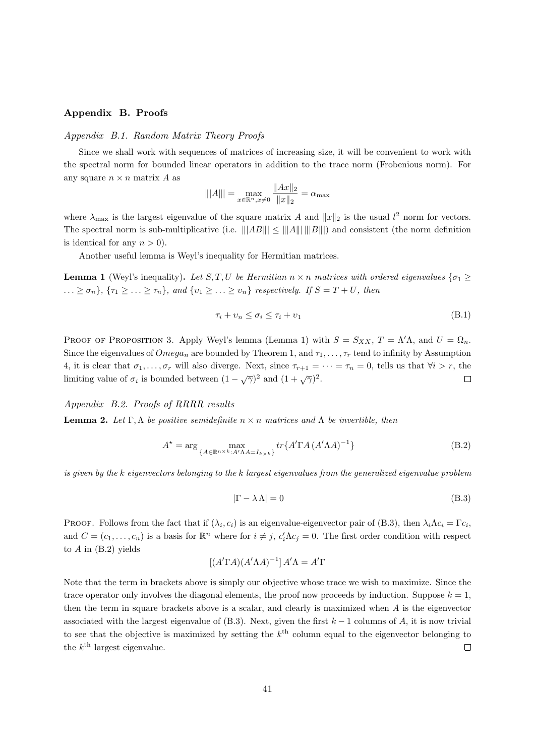# Appendix B. Proofs

# Appendix B.1. Random Matrix Theory Proofs

Since we shall work with sequences of matrices of increasing size, it will be convenient to work with the spectral norm for bounded linear operators in addition to the trace norm (Frobenious norm). For any square  $n \times n$  matrix A as

$$
|||A||| = \max_{x \in \mathbb{R}^n, x \neq 0} \frac{||Ax||_2}{||x||_2} = \alpha_{\text{max}}
$$

where  $\lambda_{\text{max}}$  is the largest eigenvalue of the square matrix A and  $||x||_2$  is the usual  $l^2$  norm for vectors. The spectral norm is sub-multiplicative (i.e.  $\|AB\| \le \|A\| \, \|B\|$ ) and consistent (the norm definition is identical for any  $n > 0$ ).

Another useful lemma is Weyl's inequality for Hermitian matrices.

**Lemma 1** (Weyl's inequality). Let  $S, T, U$  be Hermitian  $n \times n$  matrices with ordered eigenvalues  $\{\sigma_1 \geq$  $\ldots \geq \sigma_n$ ,  $\{\tau_1 \geq \ldots \geq \tau_n\}$ , and  $\{v_1 \geq \ldots \geq v_n\}$  respectively. If  $S = T + U$ , then

$$
\tau_i + \nu_n \le \sigma_i \le \tau_i + \nu_1 \tag{B.1}
$$

PROOF OF PROPOSITION 3. Apply Weyl's lemma (Lemma 1) with  $S = S_{XX}$ ,  $T = \Lambda' \Lambda$ , and  $U = \Omega_n$ . Since the eigenvalues of  $Omega_n$  are bounded by Theorem 1, and  $\tau_1, \ldots, \tau_r$  tend to infinity by Assumption 4, it is clear that  $\sigma_1, \ldots, \sigma_r$  will also diverge. Next, since  $\tau_{r+1} = \cdots = \tau_n = 0$ , tells us that  $\forall i > r$ , the limiting value of  $\sigma_i$  is bounded between  $(1-\sqrt{\gamma})^2$  and  $(1+\sqrt{\gamma})^2$ .  $\Box$ 

Appendix B.2. Proofs of RRRR results

**Lemma 2.** Let  $\Gamma, \Lambda$  be positive semidefinite  $n \times n$  matrices and  $\Lambda$  be invertible, then

$$
A^* = \arg\max_{\{A \in \mathbb{R}^{n \times k}: A' \Lambda A = I_{k \times k}\}} tr\{A' \Gamma A (A' \Lambda A)^{-1}\}
$$
(B.2)

is given by the k eigenvectors belonging to the k largest eigenvalues from the generalized eigenvalue problem

$$
|\Gamma - \lambda \Lambda| = 0 \tag{B.3}
$$

PROOF. Follows from the fact that if  $(\lambda_i, c_i)$  is an eigenvalue-eigenvector pair of (B.3), then  $\lambda_i \Lambda c_i = \Gamma c_i$ , and  $C = (c_1, \ldots, c_n)$  is a basis for  $\mathbb{R}^n$  where for  $i \neq j$ ,  $c'_i \Lambda c_j = 0$ . The first order condition with respect to  $A$  in  $(B.2)$  yields

$$
[(A'\Gamma A)(A'\Lambda A)^{-1}]A'\Lambda = A'\Gamma
$$

Note that the term in brackets above is simply our objective whose trace we wish to maximize. Since the trace operator only involves the diagonal elements, the proof now proceeds by induction. Suppose  $k = 1$ , then the term in square brackets above is a scalar, and clearly is maximized when A is the eigenvector associated with the largest eigenvalue of (B.3). Next, given the first  $k-1$  columns of A, it is now trivial to see that the objective is maximized by setting the  $k^{\text{th}}$  column equal to the eigenvector belonging to the  $k^{\text{th}}$  largest eigenvalue.  $\Box$